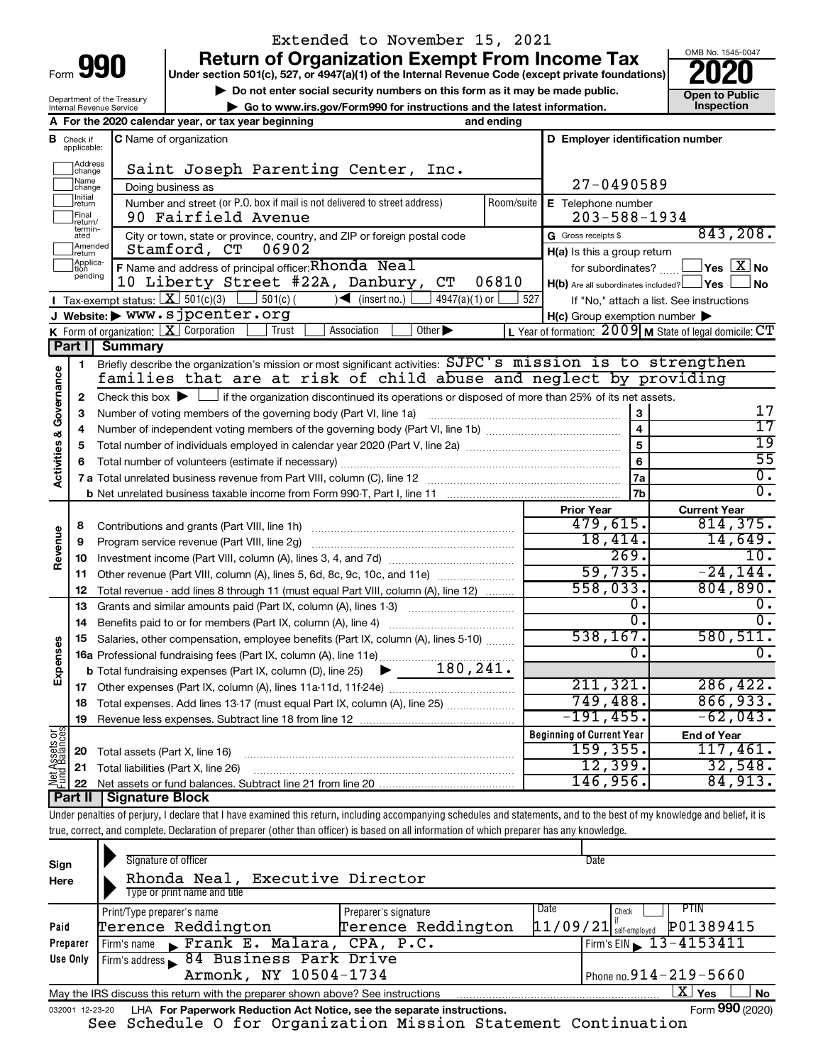| Form | YП | I |
|------|----|---|
|      |    |   |

Department of the Treasury Internal Revenue Service

## **Return of Organization Exempt From Income Tax** Extended to November 15, 2021

**Under section 501(c), 527, or 4947(a)(1) of the Internal Revenue Code (except private foundations)**

**b** Do not enter social security numbers on this form as it may be made public.<br> **Go to www.irs.gov/Form990 for instructions and the latest information. 
<br>
Inspection | Go to www.irs.gov/Form990 for instructions and the latest information. Inspection**



**A For the 2020 calendar year, or tax year beginning and ending B** Check if **C** Name of organization **C D Employer identification number** Check if C Name of organization applicable: Haddress<br>
Change Saint Joseph Parenting Center, Inc. Name<br>
change 27-0490589 Doing business as Initial<br>Treturn  $\Box$ **E** Telephone number Number and street (or P.O. box if mail is not delivered to street address) Room/suite | E Telephone number 90 Fairfield Avenue 203-588-1934  $\Box$ Final  $\begin{array}{|l|l|}\n\hline \text{Fint} & \text{90} \text{ Fairfield Avenue} \\
\text{return} & \text{City or town, state or province, country, and ZIP or foreign postal code} & \text{G. Gross receives} \end{array}$ 843,208. G Gross receipts \$ ]Amended<br>]return  $\Box$ Stamford, CT 06902 **H(a)** Is this a group return Applica-<br>tion<br>pending **F** Name and address of principal officer: **Rhonda** Neal the state of the subordinates? **The State of State Address** No 10 Liberty Street #22A, Danbury, CT 06810 **Yes No** † † H(b) Are all subordinates included? Tax-exempt status:  $\boxed{\mathbf{X}}$  501(c)(3)  $\boxed{\phantom{0}}$  501(c)(  $\phantom{\bullet}$  )< (insert no.)  $\boxed{\phantom{0}}$  4947(a)(1) or  $\boxed{\phantom{0}}$  $\Box$  501(c) ( )  $\blacktriangleleft$  (insert no.)  $\Box$  4947(a)(1) or  $\Box$  527 If "No," attach a list. See instructions **I J Website: |** www.sjpcenter.org **H(c)** Group exemption number **K** Form of organization:  $\boxed{\mathbf{X}}$  Corporation  $\boxed{\phantom{a}}$  Trust  $\boxed{\phantom{a}}$  Association  $\boxed{\phantom{a}}$ Form of organization:  $\boxed{\textbf{X}}$  Corporation  $\boxed{\phantom{\textbf{X}}}$  Trust  $\boxed{\phantom{\textbf{X}}}$  Association  $\boxed{\phantom{\textbf{X}}}$  Other  $\blacktriangleright$   $\phantom{\textbf{X}}$   $\phantom{\textbf{X}}$   $\phantom{\textbf{X}}$   $\phantom{\textbf{X}}$   $\phantom{\textbf{X}}$   $\phantom{\textbf{X}}$   $\phantom{\textbf{X}}$   $\phantom{\textbf{X}}$   $\phantom{\text$ **Part I Summary** Briefly describe the organization's mission or most significant activities:  $\texttt{SJPC}\text{'}\texttt{s}$   $\texttt{mission is to strengthen}$ **1** Activities & Governance **Activities & Governance** families that are at risk of child abuse and neglect by providing Check this box  $\blacktriangleright$  if the organization discontinued its operations or disposed of more than 25% of its net assets. **2** 17 **3 3** Number of voting members of the governing body (Part VI, line 1a) www.communically.communically.com 17 **4 4** Number of independent voting members of the governing body (Part VI, line 1b) manumour manumour manumour 19 **5 5** Total number of individuals employed in calendar year 2020 (Part V, line 2a) www.communition.communition. 55 **6 6** Total number of volunteers (estimate if necessary) …………………………………………………………………………… 0. **7a 7 a** Total unrelated business revenue from Part VIII, column (C), line 12 ~~~~~~~~~~~~~~~~~~~~ 0. **7b b** Net unrelated business taxable income from Form 990-T, Part I, line 11 **Prior Year Current Year** Contributions and grants (Part VIII, line 1h) ~~~~~~~~~~~~~~~~~~~~~ 479,615. 814,375. **8 Revenue** 18,414. 14,649. Program service revenue (Part VIII, line 2g) ~~~~~~~~~~~~~~~~~~~~~ **9**  $269.$  10. **10** Investment income (Part VIII, column (A), lines 3, 4, and 7d) ~~~~~~~~~~~~~  $59,735.$   $-24,144.$ **11** Other revenue (Part VIII, column (A), lines 5, 6d, 8c, 9c, 10c, and 11e) ........................... 558,033. 804,890. Total revenue - add lines 8 through 11 (must equal Part VIII, column (A), line 12) **12**  $\begin{array}{ccc} 0 \cdot & \hspace{1.5cm} 0 \end{array}$ **13** Grants and similar amounts paid (Part IX, column (A), lines 1-3) \_\_\_\_\_\_\_\_\_\_\_\_\_\_\_\_\_\_\_\_\_  $\overline{0.1}$   $\overline{0.0}$ **14** Benefits paid to or for members (Part IX, column (A), line 4) www.communition.com 538,167. 580,511. **15** Salaries, other compensation, employee benefits (Part IX, column (A), lines 5-10)  $\ldots \ldots \ldots$ **Expenses**  $\begin{array}{ccc} 0 \end{array}$  . **16 a** Professional fundraising fees (Part IX, column (A), line 11e) ~~~~~~~~~~~~~~ 180,241. **b** Total fundraising expenses (Part IX, column (D), line 25)  $\blacktriangleright$ 211,321. 286,422. **17** Other expenses (Part IX, column (A), lines 11a 11d, 11f 24e) ………………………………… 749,488. 866,933. **18** Total expenses. Add lines 13-17 (must equal Part IX, column (A), line 25) .....................  $-191,455.$   $-62,043.$ **19** Revenue less expenses. Subtract line 18 from line 12 **Net Assets or Fund Balances Beginning of Current Year End of Year** 159,355. 117,461. Total assets (Part X, line 16) **20** ~~~~~~~~~~~~~~~~~~~~~~~~~~~~ 12,399. 32,548. **21** Total liabilities (Part X, line 26) ~~~~~~~~~~~~~~~~~~~~~~~~~~~ 146,956. 84,913. **22** Net assets or fund balances. Subtract line 21 from line 20 **Part II Signature Block**

Under penalties of perjury, I declare that I have examined this return, including accompanying schedules and statements, and to the best of my knowledge and belief, it is true, correct, and complete. Declaration of preparer (other than officer) is based on all information of which preparer has any knowledge.

| Sign<br>Here    | Signature of officer<br>Rhonda Neal, Executive Director<br>Type or print name and title |                      |      | Date                                  |
|-----------------|-----------------------------------------------------------------------------------------|----------------------|------|---------------------------------------|
|                 | Print/Type preparer's name                                                              | Preparer's signature | Date | <b>PTIN</b><br>Check                  |
| Paid            | Terence Reddington                                                                      | Terence Reddington   |      | P01389415<br>$11/09/21$ self-employed |
| Preparer        | Firm's name Frank E. Malara, CPA, P.C.                                                  |                      |      | Firm's EIN $\sqrt{13-4153411}$        |
| Use Only        | Firm's address 84 Business Park Drive                                                   |                      |      |                                       |
|                 | Armonk, NY 10504-1734                                                                   |                      |      | Phone no. $914 - 219 - 5660$          |
|                 | May the IRS discuss this return with the preparer shown above? See instructions         |                      |      | ΧI<br>Yes<br><b>No</b>                |
| 032001 12-23-20 | LHA For Paperwork Reduction Act Notice, see the separate instructions.                  |                      |      | Form 990 (2020)                       |

See Schedule O for Organization Mission Statement Continuation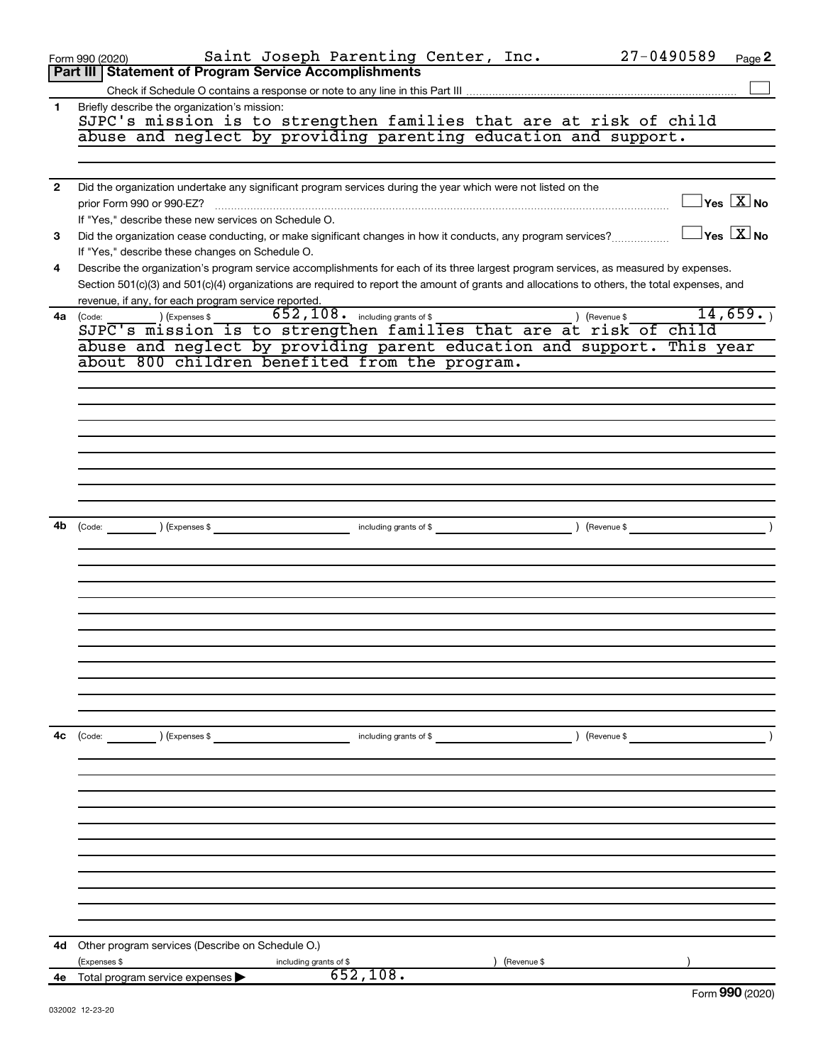|                | Saint Joseph Parenting Center, Inc.<br>Form 990 (2020)                                                                                       | $27 - 0490589$<br>Page 2                   |
|----------------|----------------------------------------------------------------------------------------------------------------------------------------------|--------------------------------------------|
|                | Part III   Statement of Program Service Accomplishments                                                                                      |                                            |
|                |                                                                                                                                              |                                            |
| 1              | Briefly describe the organization's mission:                                                                                                 |                                            |
|                | SJPC's mission is to strengthen families that are at risk of child                                                                           |                                            |
|                | abuse and neglect by providing parenting education and support.                                                                              |                                            |
|                |                                                                                                                                              |                                            |
| $\overline{2}$ | Did the organization undertake any significant program services during the year which were not listed on the                                 |                                            |
|                |                                                                                                                                              | $\exists$ Yes $\boxed{\text{X}}$ No        |
|                | If "Yes," describe these new services on Schedule O.                                                                                         |                                            |
| 3              | Did the organization cease conducting, or make significant changes in how it conducts, any program services?                                 | $\exists$ Yes $[\overline{\mathrm{X}}]$ No |
|                | If "Yes," describe these changes on Schedule O.                                                                                              |                                            |
| 4              | Describe the organization's program service accomplishments for each of its three largest program services, as measured by expenses.         |                                            |
|                | Section 501(c)(3) and 501(c)(4) organizations are required to report the amount of grants and allocations to others, the total expenses, and |                                            |
|                | revenue, if any, for each program service reported.                                                                                          |                                            |
| 4a             | $652, 108$ $\cdot$ including grants of \$<br>(Expenses \$<br>) (Revenue \$<br>(Code:                                                         | 14,659.                                    |
|                | SJPC's mission is to strengthen families that are at risk of child                                                                           |                                            |
|                | abuse and neglect by providing parent education and support. This year<br>about 800 children benefited from the program.                     |                                            |
|                |                                                                                                                                              |                                            |
|                |                                                                                                                                              |                                            |
|                |                                                                                                                                              |                                            |
|                |                                                                                                                                              |                                            |
|                |                                                                                                                                              |                                            |
|                |                                                                                                                                              |                                            |
|                |                                                                                                                                              |                                            |
|                |                                                                                                                                              |                                            |
|                |                                                                                                                                              |                                            |
| 4b             | including grants of \$<br>$\sqrt{3}$ (Revenue \$<br>(Code: ) (Expenses \$                                                                    |                                            |
|                |                                                                                                                                              |                                            |
|                |                                                                                                                                              |                                            |
|                |                                                                                                                                              |                                            |
|                |                                                                                                                                              |                                            |
|                |                                                                                                                                              |                                            |
|                |                                                                                                                                              |                                            |
|                |                                                                                                                                              |                                            |
|                |                                                                                                                                              |                                            |
|                |                                                                                                                                              |                                            |
|                |                                                                                                                                              |                                            |
|                |                                                                                                                                              |                                            |
| 4с             | (Code: ) (Expenses \$                                                                                                                        | (Revenue \$                                |
|                |                                                                                                                                              |                                            |
|                |                                                                                                                                              |                                            |
|                |                                                                                                                                              |                                            |
|                |                                                                                                                                              |                                            |
|                |                                                                                                                                              |                                            |
|                |                                                                                                                                              |                                            |
|                |                                                                                                                                              |                                            |
|                |                                                                                                                                              |                                            |
|                |                                                                                                                                              |                                            |
|                |                                                                                                                                              |                                            |
|                |                                                                                                                                              |                                            |
| 4d             | Other program services (Describe on Schedule O.)                                                                                             |                                            |
|                | (Expenses \$<br>(Revenue \$<br>including grants of \$                                                                                        |                                            |
|                | 652,108.<br>4e Total program service expenses                                                                                                |                                            |
|                |                                                                                                                                              | Eorm $990(2020)$                           |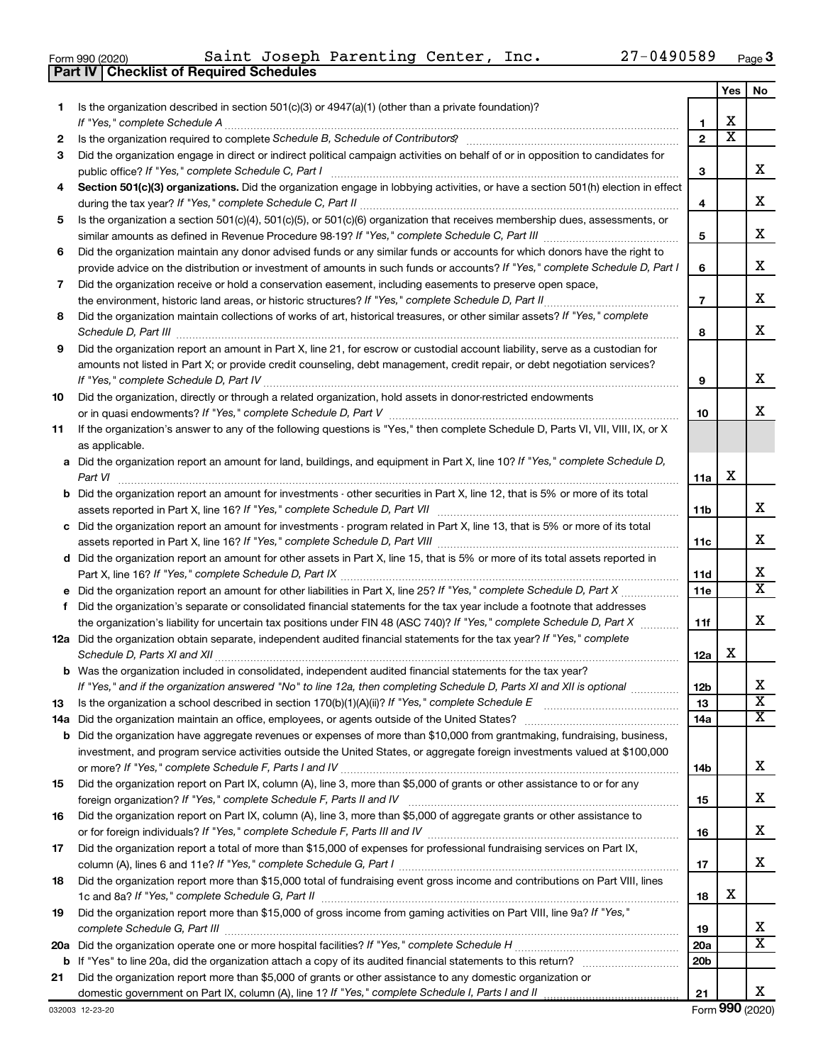| Form 990 (202) |  |  |
|----------------|--|--|
|----------------|--|--|

**Part IV Checklist of Required Schedules**

|    |                                                                                                                                                                                                                                                           |                 | Yes                   | No                      |
|----|-----------------------------------------------------------------------------------------------------------------------------------------------------------------------------------------------------------------------------------------------------------|-----------------|-----------------------|-------------------------|
| 1. | Is the organization described in section 501(c)(3) or 4947(a)(1) (other than a private foundation)?                                                                                                                                                       |                 |                       |                         |
|    |                                                                                                                                                                                                                                                           | 1               | х                     |                         |
| 2  |                                                                                                                                                                                                                                                           | $\mathbf{2}$    | $\overline{\text{x}}$ |                         |
| 3  | Did the organization engage in direct or indirect political campaign activities on behalf of or in opposition to candidates for                                                                                                                           |                 |                       |                         |
|    |                                                                                                                                                                                                                                                           | 3               |                       | х                       |
| 4  | Section 501(c)(3) organizations. Did the organization engage in lobbying activities, or have a section 501(h) election in effect                                                                                                                          |                 |                       |                         |
|    |                                                                                                                                                                                                                                                           | 4               |                       | х                       |
| 5  | Is the organization a section 501(c)(4), 501(c)(5), or 501(c)(6) organization that receives membership dues, assessments, or                                                                                                                              |                 |                       | х                       |
|    |                                                                                                                                                                                                                                                           | 5               |                       |                         |
| 6  | Did the organization maintain any donor advised funds or any similar funds or accounts for which donors have the right to<br>provide advice on the distribution or investment of amounts in such funds or accounts? If "Yes," complete Schedule D, Part I |                 |                       | х                       |
|    | Did the organization receive or hold a conservation easement, including easements to preserve open space,                                                                                                                                                 | 6               |                       |                         |
| 7  |                                                                                                                                                                                                                                                           | $\overline{7}$  |                       | х                       |
| 8  | Did the organization maintain collections of works of art, historical treasures, or other similar assets? If "Yes," complete                                                                                                                              |                 |                       |                         |
|    |                                                                                                                                                                                                                                                           | 8               |                       | х                       |
| 9  | Did the organization report an amount in Part X, line 21, for escrow or custodial account liability, serve as a custodian for                                                                                                                             |                 |                       |                         |
|    | amounts not listed in Part X; or provide credit counseling, debt management, credit repair, or debt negotiation services?                                                                                                                                 |                 |                       |                         |
|    |                                                                                                                                                                                                                                                           | 9               |                       | х                       |
| 10 | Did the organization, directly or through a related organization, hold assets in donor-restricted endowments                                                                                                                                              |                 |                       |                         |
|    |                                                                                                                                                                                                                                                           | 10              |                       | x                       |
| 11 | If the organization's answer to any of the following questions is "Yes," then complete Schedule D, Parts VI, VII, VIII, IX, or X                                                                                                                          |                 |                       |                         |
|    | as applicable.                                                                                                                                                                                                                                            |                 |                       |                         |
|    | a Did the organization report an amount for land, buildings, and equipment in Part X, line 10? If "Yes," complete Schedule D,                                                                                                                             |                 |                       |                         |
|    | Part VI                                                                                                                                                                                                                                                   | 11a             | х                     |                         |
|    | <b>b</b> Did the organization report an amount for investments - other securities in Part X, line 12, that is 5% or more of its total                                                                                                                     |                 |                       |                         |
|    |                                                                                                                                                                                                                                                           | 11b             |                       | х                       |
|    | c Did the organization report an amount for investments - program related in Part X, line 13, that is 5% or more of its total                                                                                                                             |                 |                       |                         |
|    |                                                                                                                                                                                                                                                           | 11c             |                       | х                       |
|    | d Did the organization report an amount for other assets in Part X, line 15, that is 5% or more of its total assets reported in                                                                                                                           |                 |                       |                         |
|    |                                                                                                                                                                                                                                                           | 11d             |                       | X                       |
|    |                                                                                                                                                                                                                                                           | 11e             |                       | $\overline{\texttt{x}}$ |
| f. | Did the organization's separate or consolidated financial statements for the tax year include a footnote that addresses                                                                                                                                   |                 |                       |                         |
|    | the organization's liability for uncertain tax positions under FIN 48 (ASC 740)? If "Yes," complete Schedule D, Part X                                                                                                                                    | 11f             |                       | х                       |
|    | 12a Did the organization obtain separate, independent audited financial statements for the tax year? If "Yes," complete                                                                                                                                   |                 |                       |                         |
|    |                                                                                                                                                                                                                                                           | 12a             | х                     |                         |
|    | <b>b</b> Was the organization included in consolidated, independent audited financial statements for the tax year?                                                                                                                                        |                 |                       | х                       |
|    | If "Yes," and if the organization answered "No" to line 12a, then completing Schedule D, Parts XI and XII is optional                                                                                                                                     | 12 <sub>b</sub> |                       | $\overline{\textbf{x}}$ |
| 13 | Is the organization a school described in section 170(b)(1)(A)(ii)? If "Yes," complete Schedule E [[[[[[[[[[[[                                                                                                                                            | 13              |                       | $\overline{\mathbf{X}}$ |
|    | <b>b</b> Did the organization have aggregate revenues or expenses of more than \$10,000 from grantmaking, fundraising, business,                                                                                                                          | 14a             |                       |                         |
|    | investment, and program service activities outside the United States, or aggregate foreign investments valued at \$100,000                                                                                                                                |                 |                       |                         |
|    |                                                                                                                                                                                                                                                           | 14b             |                       | х                       |
| 15 | Did the organization report on Part IX, column (A), line 3, more than \$5,000 of grants or other assistance to or for any                                                                                                                                 |                 |                       |                         |
|    |                                                                                                                                                                                                                                                           | 15              |                       | х                       |
| 16 | Did the organization report on Part IX, column (A), line 3, more than \$5,000 of aggregate grants or other assistance to                                                                                                                                  |                 |                       |                         |
|    |                                                                                                                                                                                                                                                           | 16              |                       | x                       |
| 17 | Did the organization report a total of more than \$15,000 of expenses for professional fundraising services on Part IX,                                                                                                                                   |                 |                       |                         |
|    |                                                                                                                                                                                                                                                           | 17              |                       | x                       |
| 18 | Did the organization report more than \$15,000 total of fundraising event gross income and contributions on Part VIII, lines                                                                                                                              |                 |                       |                         |
|    |                                                                                                                                                                                                                                                           | 18              | х                     |                         |
| 19 | Did the organization report more than \$15,000 of gross income from gaming activities on Part VIII, line 9a? If "Yes,"                                                                                                                                    |                 |                       |                         |
|    |                                                                                                                                                                                                                                                           | 19              |                       | x                       |
|    |                                                                                                                                                                                                                                                           | 20a             |                       | X                       |
|    |                                                                                                                                                                                                                                                           | 20 <sub>b</sub> |                       |                         |
| 21 | Did the organization report more than \$5,000 of grants or other assistance to any domestic organization or                                                                                                                                               |                 |                       |                         |
|    |                                                                                                                                                                                                                                                           | 21              |                       | х                       |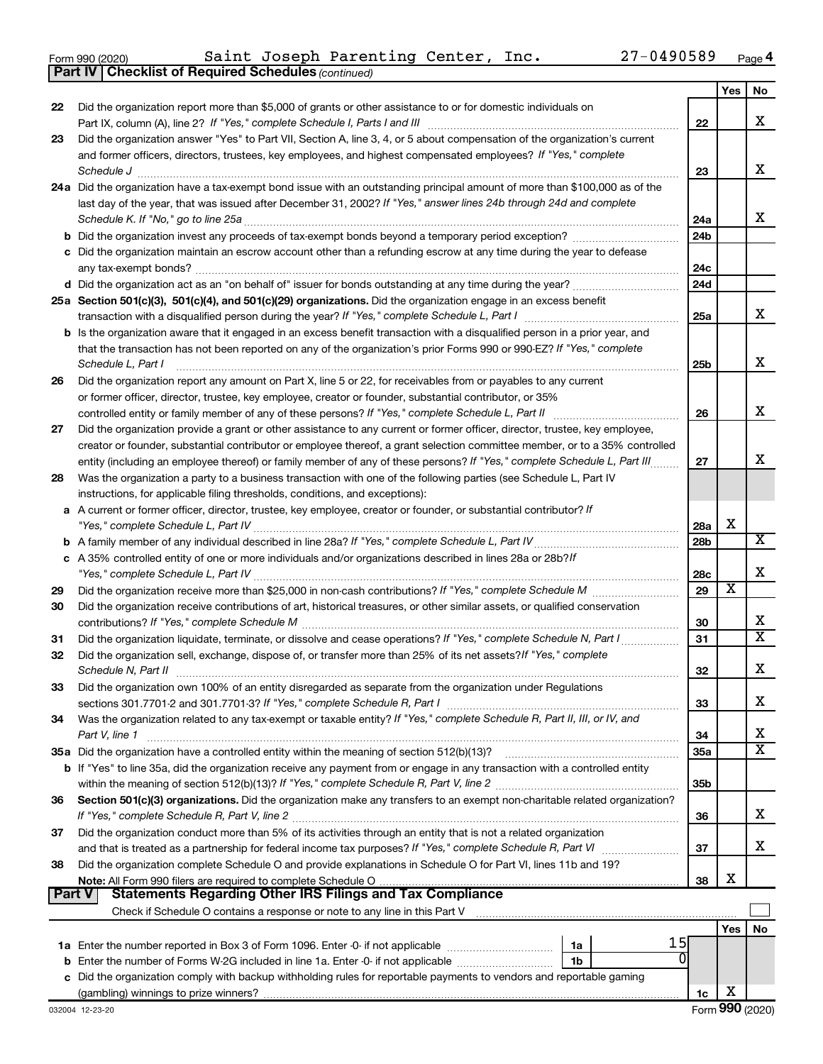|  | Form 990 (2020) |
|--|-----------------|
|  |                 |

**Part IV Checklist of Required Schedules**

*(continued)*

|               | <b>Part IV   Checklist of Required Schedules (continued)</b>                                                                                                                                                                                                                                                                                                                             |                 |     |                         |
|---------------|------------------------------------------------------------------------------------------------------------------------------------------------------------------------------------------------------------------------------------------------------------------------------------------------------------------------------------------------------------------------------------------|-----------------|-----|-------------------------|
|               |                                                                                                                                                                                                                                                                                                                                                                                          |                 | Yes | No                      |
| 22            | Did the organization report more than \$5,000 of grants or other assistance to or for domestic individuals on                                                                                                                                                                                                                                                                            |                 |     |                         |
|               |                                                                                                                                                                                                                                                                                                                                                                                          | 22              |     | х                       |
| 23            | Did the organization answer "Yes" to Part VII, Section A, line 3, 4, or 5 about compensation of the organization's current                                                                                                                                                                                                                                                               |                 |     |                         |
|               | and former officers, directors, trustees, key employees, and highest compensated employees? If "Yes," complete                                                                                                                                                                                                                                                                           |                 |     | х                       |
|               | $\textit{Schedule J} \textit{ \textbf{} \textbf{} \textbf{} \textbf{} \textbf{} \textbf{} \textbf{} \textbf{} \textbf{} \textbf{} \textbf{} \textbf{} \textbf{} \textbf{} \textbf{} \textbf{} \textbf{} \textbf{} \textbf{} \textbf{} \textbf{} \textbf{} \textbf{} \textbf{} \textbf{} \textbf{} \textbf{} \textbf{} \textbf{} \textbf{} \textbf{} \textbf{} \textbf{} \textbf{} \text$ | 23              |     |                         |
|               | 24a Did the organization have a tax-exempt bond issue with an outstanding principal amount of more than \$100,000 as of the<br>last day of the year, that was issued after December 31, 2002? If "Yes," answer lines 24b through 24d and complete                                                                                                                                        |                 |     |                         |
|               | Schedule K. If "No," go to line 25a                                                                                                                                                                                                                                                                                                                                                      | 24a             |     | х                       |
|               |                                                                                                                                                                                                                                                                                                                                                                                          | 24 <sub>b</sub> |     |                         |
|               | c Did the organization maintain an escrow account other than a refunding escrow at any time during the year to defease                                                                                                                                                                                                                                                                   |                 |     |                         |
|               |                                                                                                                                                                                                                                                                                                                                                                                          | 24c             |     |                         |
|               |                                                                                                                                                                                                                                                                                                                                                                                          | 24d             |     |                         |
|               | 25a Section 501(c)(3), 501(c)(4), and 501(c)(29) organizations. Did the organization engage in an excess benefit                                                                                                                                                                                                                                                                         |                 |     |                         |
|               |                                                                                                                                                                                                                                                                                                                                                                                          | 25a             |     | x                       |
|               | <b>b</b> Is the organization aware that it engaged in an excess benefit transaction with a disqualified person in a prior year, and                                                                                                                                                                                                                                                      |                 |     |                         |
|               | that the transaction has not been reported on any of the organization's prior Forms 990 or 990-EZ? If "Yes," complete                                                                                                                                                                                                                                                                    |                 |     |                         |
|               | Schedule L, Part I                                                                                                                                                                                                                                                                                                                                                                       | 25 <sub>b</sub> |     | х                       |
| 26            | Did the organization report any amount on Part X, line 5 or 22, for receivables from or payables to any current                                                                                                                                                                                                                                                                          |                 |     |                         |
|               | or former officer, director, trustee, key employee, creator or founder, substantial contributor, or 35%                                                                                                                                                                                                                                                                                  |                 |     |                         |
|               |                                                                                                                                                                                                                                                                                                                                                                                          | 26              |     | х                       |
| 27            | Did the organization provide a grant or other assistance to any current or former officer, director, trustee, key employee,                                                                                                                                                                                                                                                              |                 |     |                         |
|               | creator or founder, substantial contributor or employee thereof, a grant selection committee member, or to a 35% controlled                                                                                                                                                                                                                                                              |                 |     |                         |
|               | entity (including an employee thereof) or family member of any of these persons? If "Yes," complete Schedule L, Part III                                                                                                                                                                                                                                                                 | 27              |     | x                       |
| 28            | Was the organization a party to a business transaction with one of the following parties (see Schedule L, Part IV                                                                                                                                                                                                                                                                        |                 |     |                         |
|               | instructions, for applicable filing thresholds, conditions, and exceptions):                                                                                                                                                                                                                                                                                                             |                 |     |                         |
|               | a A current or former officer, director, trustee, key employee, creator or founder, or substantial contributor? If                                                                                                                                                                                                                                                                       |                 | x   |                         |
|               |                                                                                                                                                                                                                                                                                                                                                                                          | 28a             |     | X                       |
|               | c A 35% controlled entity of one or more individuals and/or organizations described in lines 28a or 28b?If                                                                                                                                                                                                                                                                               | 28 <sub>b</sub> |     |                         |
|               |                                                                                                                                                                                                                                                                                                                                                                                          | 28c             |     | х                       |
| 29            |                                                                                                                                                                                                                                                                                                                                                                                          | 29              | х   |                         |
| 30            | Did the organization receive contributions of art, historical treasures, or other similar assets, or qualified conservation                                                                                                                                                                                                                                                              |                 |     |                         |
|               |                                                                                                                                                                                                                                                                                                                                                                                          | 30              |     | х                       |
| 31            |                                                                                                                                                                                                                                                                                                                                                                                          | 31              |     | $\overline{\mathtt{x}}$ |
| 32            | Did the organization sell, exchange, dispose of, or transfer more than 25% of its net assets? If "Yes," complete                                                                                                                                                                                                                                                                         |                 |     |                         |
|               | Schedule N. Part II                                                                                                                                                                                                                                                                                                                                                                      | 32              |     | х                       |
| 33            | Did the organization own 100% of an entity disregarded as separate from the organization under Regulations                                                                                                                                                                                                                                                                               |                 |     |                         |
|               |                                                                                                                                                                                                                                                                                                                                                                                          | 33              |     | х                       |
| 34            | Was the organization related to any tax-exempt or taxable entity? If "Yes," complete Schedule R, Part II, III, or IV, and                                                                                                                                                                                                                                                                |                 |     |                         |
|               | Part V, line 1                                                                                                                                                                                                                                                                                                                                                                           | 34              |     | х                       |
|               |                                                                                                                                                                                                                                                                                                                                                                                          | 35a             |     | $\overline{\texttt{x}}$ |
|               | b If "Yes" to line 35a, did the organization receive any payment from or engage in any transaction with a controlled entity                                                                                                                                                                                                                                                              |                 |     |                         |
|               |                                                                                                                                                                                                                                                                                                                                                                                          | 35 <sub>b</sub> |     |                         |
| 36            | Section 501(c)(3) organizations. Did the organization make any transfers to an exempt non-charitable related organization?                                                                                                                                                                                                                                                               |                 |     | х                       |
| 37            | Did the organization conduct more than 5% of its activities through an entity that is not a related organization                                                                                                                                                                                                                                                                         | 36              |     |                         |
|               |                                                                                                                                                                                                                                                                                                                                                                                          | 37              |     | х                       |
| 38            | Did the organization complete Schedule O and provide explanations in Schedule O for Part VI, lines 11b and 19?                                                                                                                                                                                                                                                                           |                 |     |                         |
|               | Note: All Form 990 filers are required to complete Schedule O                                                                                                                                                                                                                                                                                                                            | 38              | х   |                         |
| <b>Part V</b> | <b>Statements Regarding Other IRS Filings and Tax Compliance</b>                                                                                                                                                                                                                                                                                                                         |                 |     |                         |
|               |                                                                                                                                                                                                                                                                                                                                                                                          |                 |     |                         |
|               |                                                                                                                                                                                                                                                                                                                                                                                          |                 | Yes | No                      |
|               | 15<br>1a                                                                                                                                                                                                                                                                                                                                                                                 |                 |     |                         |
| b             | 0<br>Enter the number of Forms W-2G included in line 1a. Enter -0- if not applicable<br>1 <sub>b</sub>                                                                                                                                                                                                                                                                                   |                 |     |                         |
| с             | Did the organization comply with backup withholding rules for reportable payments to vendors and reportable gaming                                                                                                                                                                                                                                                                       |                 |     |                         |
|               |                                                                                                                                                                                                                                                                                                                                                                                          | 1c              | х   |                         |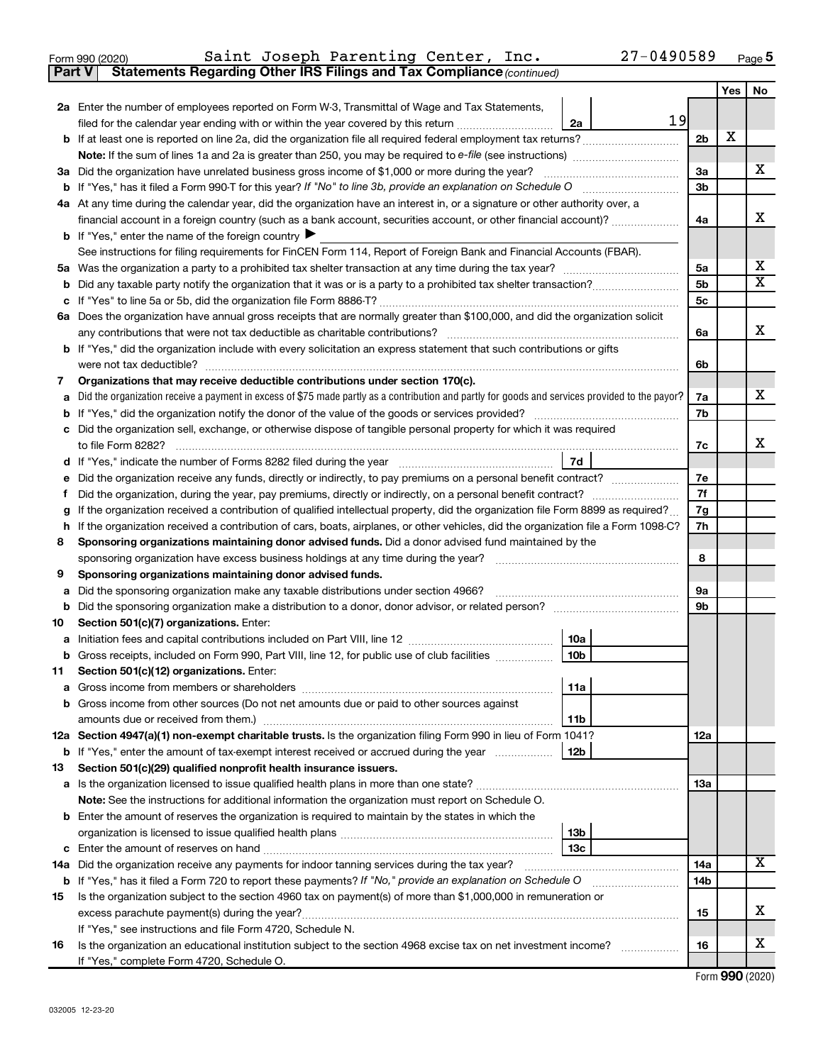| Form 990 (2020) |  | Saint Joseph Parenting Center, Inc.                                                 |  | 27-0490589 | Page |
|-----------------|--|-------------------------------------------------------------------------------------|--|------------|------|
|                 |  | <b>Part V</b> Statements Regarding Other IRS Filings and Tax Compliance (continued) |  |            |      |

|     |                                                                                                                                                 |                | Yes | No |  |  |  |  |
|-----|-------------------------------------------------------------------------------------------------------------------------------------------------|----------------|-----|----|--|--|--|--|
|     | 2a Enter the number of employees reported on Form W-3, Transmittal of Wage and Tax Statements,                                                  |                |     |    |  |  |  |  |
|     | 19<br>filed for the calendar year ending with or within the year covered by this return <i>manumumumum</i><br>2a                                |                |     |    |  |  |  |  |
|     | <b>b</b> If at least one is reported on line 2a, did the organization file all required federal employment tax returns?                         | 2 <sub>b</sub> | х   |    |  |  |  |  |
|     |                                                                                                                                                 |                |     |    |  |  |  |  |
|     | 3a Did the organization have unrelated business gross income of \$1,000 or more during the year?                                                | За             |     | х  |  |  |  |  |
|     |                                                                                                                                                 | 3b             |     |    |  |  |  |  |
|     | 4a At any time during the calendar year, did the organization have an interest in, or a signature or other authority over, a                    |                |     |    |  |  |  |  |
|     | financial account in a foreign country (such as a bank account, securities account, or other financial account)?                                | 4a             |     | х  |  |  |  |  |
|     | <b>b</b> If "Yes," enter the name of the foreign country $\blacktriangleright$                                                                  |                |     |    |  |  |  |  |
|     | See instructions for filing requirements for FinCEN Form 114, Report of Foreign Bank and Financial Accounts (FBAR).                             |                |     |    |  |  |  |  |
|     |                                                                                                                                                 | 5a             |     | x  |  |  |  |  |
| b   |                                                                                                                                                 | 5b             |     | X  |  |  |  |  |
| с   |                                                                                                                                                 |                |     |    |  |  |  |  |
|     | 6a Does the organization have annual gross receipts that are normally greater than \$100,000, and did the organization solicit                  |                |     |    |  |  |  |  |
|     |                                                                                                                                                 | 6a             |     | х  |  |  |  |  |
|     | <b>b</b> If "Yes," did the organization include with every solicitation an express statement that such contributions or gifts                   |                |     |    |  |  |  |  |
|     |                                                                                                                                                 | 6b             |     |    |  |  |  |  |
| 7   | Organizations that may receive deductible contributions under section 170(c).                                                                   |                |     |    |  |  |  |  |
| a   | Did the organization receive a payment in excess of \$75 made partly as a contribution and partly for goods and services provided to the payor? | 7a             |     | х  |  |  |  |  |
| b   |                                                                                                                                                 | 7b             |     |    |  |  |  |  |
|     | c Did the organization sell, exchange, or otherwise dispose of tangible personal property for which it was required                             |                |     |    |  |  |  |  |
|     |                                                                                                                                                 | 7c             |     | x  |  |  |  |  |
|     | 7d                                                                                                                                              |                |     |    |  |  |  |  |
| е   | Did the organization receive any funds, directly or indirectly, to pay premiums on a personal benefit contract?                                 | 7e             |     |    |  |  |  |  |
| f.  | Did the organization, during the year, pay premiums, directly or indirectly, on a personal benefit contract?                                    | 7f             |     |    |  |  |  |  |
| g   | If the organization received a contribution of qualified intellectual property, did the organization file Form 8899 as required?                | 7g             |     |    |  |  |  |  |
| h   | If the organization received a contribution of cars, boats, airplanes, or other vehicles, did the organization file a Form 1098-C?              | 7h             |     |    |  |  |  |  |
| 8   | Sponsoring organizations maintaining donor advised funds. Did a donor advised fund maintained by the                                            | 8              |     |    |  |  |  |  |
| 9   | Sponsoring organizations maintaining donor advised funds.                                                                                       |                |     |    |  |  |  |  |
| а   | Did the sponsoring organization make any taxable distributions under section 4966?                                                              | 9а             |     |    |  |  |  |  |
| b   |                                                                                                                                                 | 9b             |     |    |  |  |  |  |
| 10  | Section 501(c)(7) organizations. Enter:                                                                                                         |                |     |    |  |  |  |  |
| а   | 10a                                                                                                                                             |                |     |    |  |  |  |  |
| b   | 10 <sub>b</sub><br>Gross receipts, included on Form 990, Part VIII, line 12, for public use of club facilities                                  |                |     |    |  |  |  |  |
| 11. | Section 501(c)(12) organizations. Enter:                                                                                                        |                |     |    |  |  |  |  |
|     | 11a                                                                                                                                             |                |     |    |  |  |  |  |
|     | b Gross income from other sources (Do not net amounts due or paid to other sources against                                                      |                |     |    |  |  |  |  |
|     | 11b                                                                                                                                             |                |     |    |  |  |  |  |
|     | 12a Section 4947(a)(1) non-exempt charitable trusts. Is the organization filing Form 990 in lieu of Form 1041?                                  | 12a            |     |    |  |  |  |  |
|     | b If "Yes," enter the amount of tax-exempt interest received or accrued during the year<br>12b                                                  |                |     |    |  |  |  |  |
| 13  | Section 501(c)(29) qualified nonprofit health insurance issuers.                                                                                |                |     |    |  |  |  |  |
|     |                                                                                                                                                 | 13a            |     |    |  |  |  |  |
|     | Note: See the instructions for additional information the organization must report on Schedule O.                                               |                |     |    |  |  |  |  |
|     | <b>b</b> Enter the amount of reserves the organization is required to maintain by the states in which the                                       |                |     |    |  |  |  |  |
|     | 13b                                                                                                                                             |                |     |    |  |  |  |  |
|     | 13 <sub>c</sub>                                                                                                                                 |                |     |    |  |  |  |  |
|     | 14a Did the organization receive any payments for indoor tanning services during the tax year?                                                  | 14a            |     | x  |  |  |  |  |
|     | <b>b</b> If "Yes," has it filed a Form 720 to report these payments? If "No," provide an explanation on Schedule O                              | 14b            |     |    |  |  |  |  |
| 15  | Is the organization subject to the section 4960 tax on payment(s) of more than \$1,000,000 in remuneration or                                   |                |     |    |  |  |  |  |
|     |                                                                                                                                                 | 15             |     | х  |  |  |  |  |
|     | If "Yes," see instructions and file Form 4720, Schedule N.                                                                                      |                |     |    |  |  |  |  |
| 16  | Is the organization an educational institution subject to the section 4968 excise tax on net investment income?                                 | 16             |     | х  |  |  |  |  |
|     | If "Yes," complete Form 4720, Schedule O.                                                                                                       |                |     |    |  |  |  |  |

Form (2020) **990**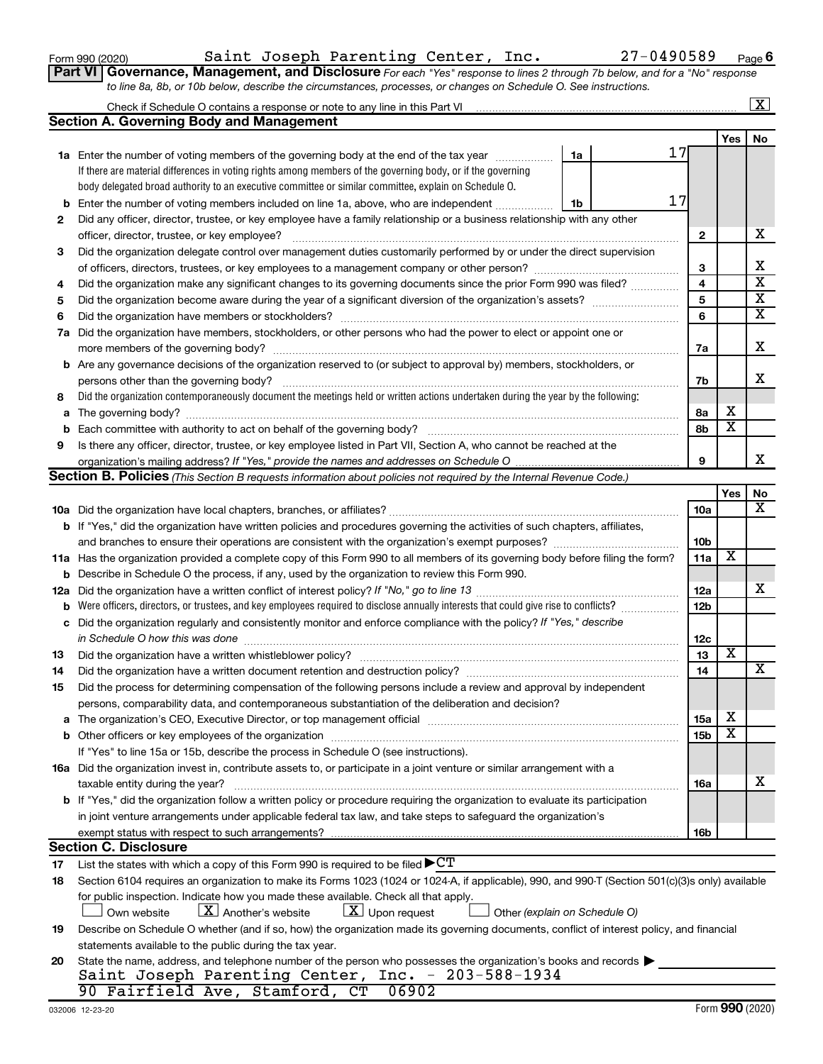Form 990 (2020) Saint Joseph Parenting Center, Inc. 27-0490589 <sub>Page</sub>

**Part VI** Governance, Management, and Disclosure For each "Yes" response to lines 2 through 7b below, and for a "No" response *to line 8a, 8b, or 10b below, describe the circumstances, processes, or changes on Schedule O. See instructions.*

|     |                                                                                                                                                                                                                                |                               |                 |                         | $\mathbf{x}$            |
|-----|--------------------------------------------------------------------------------------------------------------------------------------------------------------------------------------------------------------------------------|-------------------------------|-----------------|-------------------------|-------------------------|
|     | <b>Section A. Governing Body and Management</b>                                                                                                                                                                                |                               |                 |                         |                         |
|     |                                                                                                                                                                                                                                |                               |                 | Yes                     | No                      |
|     | <b>1a</b> Enter the number of voting members of the governing body at the end of the tax year                                                                                                                                  | 1a                            | 17              |                         |                         |
|     | If there are material differences in voting rights among members of the governing body, or if the governing                                                                                                                    |                               |                 |                         |                         |
|     | body delegated broad authority to an executive committee or similar committee, explain on Schedule O.                                                                                                                          |                               |                 |                         |                         |
| b   | Enter the number of voting members included on line 1a, above, who are independent                                                                                                                                             | 1b                            | 17              |                         |                         |
| 2   | Did any officer, director, trustee, or key employee have a family relationship or a business relationship with any other                                                                                                       |                               |                 |                         |                         |
|     | officer, director, trustee, or key employee?                                                                                                                                                                                   |                               | 2               |                         | х                       |
| 3   | Did the organization delegate control over management duties customarily performed by or under the direct supervision                                                                                                          |                               |                 |                         |                         |
|     |                                                                                                                                                                                                                                |                               | 3               |                         | х                       |
| 4   | Did the organization make any significant changes to its governing documents since the prior Form 990 was filed?                                                                                                               |                               | 4               |                         | $\overline{\mathbf{x}}$ |
| 5   |                                                                                                                                                                                                                                |                               | 5               |                         | $\overline{\textbf{X}}$ |
| 6   |                                                                                                                                                                                                                                |                               | 6               |                         | $\overline{\textbf{X}}$ |
| 7a  | Did the organization have members, stockholders, or other persons who had the power to elect or appoint one or                                                                                                                 |                               |                 |                         |                         |
|     |                                                                                                                                                                                                                                |                               | 7a              |                         | х                       |
|     | <b>b</b> Are any governance decisions of the organization reserved to (or subject to approval by) members, stockholders, or                                                                                                    |                               |                 |                         |                         |
|     |                                                                                                                                                                                                                                |                               | 7b              |                         | х                       |
| 8   | Did the organization contemporaneously document the meetings held or written actions undertaken during the year by the following:                                                                                              |                               |                 |                         |                         |
| a   |                                                                                                                                                                                                                                |                               | 8а              | х                       |                         |
| b   |                                                                                                                                                                                                                                |                               | 8b              | $\overline{\textbf{x}}$ |                         |
| 9   | Is there any officer, director, trustee, or key employee listed in Part VII, Section A, who cannot be reached at the                                                                                                           |                               |                 |                         |                         |
|     |                                                                                                                                                                                                                                |                               | 9               |                         | x                       |
|     | Section B. Policies (This Section B requests information about policies not required by the Internal Revenue Code.)                                                                                                            |                               |                 |                         |                         |
|     |                                                                                                                                                                                                                                |                               |                 | Yes                     | No                      |
|     |                                                                                                                                                                                                                                |                               | 10a             |                         | x                       |
|     | <b>b</b> If "Yes," did the organization have written policies and procedures governing the activities of such chapters, affiliates,                                                                                            |                               |                 |                         |                         |
|     | and branches to ensure their operations are consistent with the organization's exempt purposes? www.www.www.www.                                                                                                               |                               | 10b             |                         |                         |
|     | 11a Has the organization provided a complete copy of this Form 990 to all members of its governing body before filing the form?                                                                                                |                               | 11a             | X                       |                         |
|     | <b>b</b> Describe in Schedule O the process, if any, used by the organization to review this Form 990.                                                                                                                         |                               |                 |                         |                         |
| 12a |                                                                                                                                                                                                                                |                               | 12a             |                         | х                       |
| b   | Were officers, directors, or trustees, and key employees required to disclose annually interests that could give rise to conflicts?                                                                                            |                               | 12 <sub>b</sub> |                         |                         |
| с   | Did the organization regularly and consistently monitor and enforce compliance with the policy? If "Yes," describe                                                                                                             |                               |                 |                         |                         |
|     | in Schedule O how this was done                                                                                                                                                                                                |                               | 12c             |                         |                         |
| 13  | Did the organization have a written whistleblower policy?                                                                                                                                                                      |                               | 13              | х                       |                         |
| 14  |                                                                                                                                                                                                                                |                               | 14              |                         | x                       |
| 15  | Did the process for determining compensation of the following persons include a review and approval by independent                                                                                                             |                               |                 |                         |                         |
|     | persons, comparability data, and contemporaneous substantiation of the deliberation and decision?                                                                                                                              |                               |                 |                         |                         |
| а   | The organization's CEO, Executive Director, or top management official manufactured content of the organization's CEO, Executive Director, or top management official manufactured content of the organization's CEO, Executiv |                               | 15a             | х                       |                         |
|     |                                                                                                                                                                                                                                |                               | 15 <sub>b</sub> | X                       |                         |
|     | If "Yes" to line 15a or 15b, describe the process in Schedule O (see instructions).                                                                                                                                            |                               |                 |                         |                         |
|     | 16a Did the organization invest in, contribute assets to, or participate in a joint venture or similar arrangement with a                                                                                                      |                               |                 |                         |                         |
|     | taxable entity during the year?                                                                                                                                                                                                |                               | 16a             |                         | х                       |
|     | b If "Yes," did the organization follow a written policy or procedure requiring the organization to evaluate its participation                                                                                                 |                               |                 |                         |                         |
|     | in joint venture arrangements under applicable federal tax law, and take steps to safeguard the organization's                                                                                                                 |                               |                 |                         |                         |
|     | exempt status with respect to such arrangements?                                                                                                                                                                               |                               | 16b             |                         |                         |
|     | <b>Section C. Disclosure</b>                                                                                                                                                                                                   |                               |                 |                         |                         |
| 17  | List the states with which a copy of this Form 990 is required to be filed $\blacktriangleright C T$                                                                                                                           |                               |                 |                         |                         |
| 18  | Section 6104 requires an organization to make its Forms 1023 (1024 or 1024-A, if applicable), 990, and 990-T (Section 501(c)(3)s only) available                                                                               |                               |                 |                         |                         |
|     | for public inspection. Indicate how you made these available. Check all that apply.                                                                                                                                            |                               |                 |                         |                         |
|     | $\lfloor x \rfloor$ Upon request<br>$ \mathbf{X} $ Another's website<br>Own website                                                                                                                                            | Other (explain on Schedule O) |                 |                         |                         |
| 19  | Describe on Schedule O whether (and if so, how) the organization made its governing documents, conflict of interest policy, and financial                                                                                      |                               |                 |                         |                         |
|     | statements available to the public during the tax year.                                                                                                                                                                        |                               |                 |                         |                         |
| 20  | State the name, address, and telephone number of the person who possesses the organization's books and records                                                                                                                 |                               |                 |                         |                         |
|     | Saint Joseph Parenting Center, Inc. - 203-588-1934                                                                                                                                                                             |                               |                 |                         |                         |
|     | 90 Fairfield Ave, Stamford, CT<br>06902                                                                                                                                                                                        |                               |                 |                         |                         |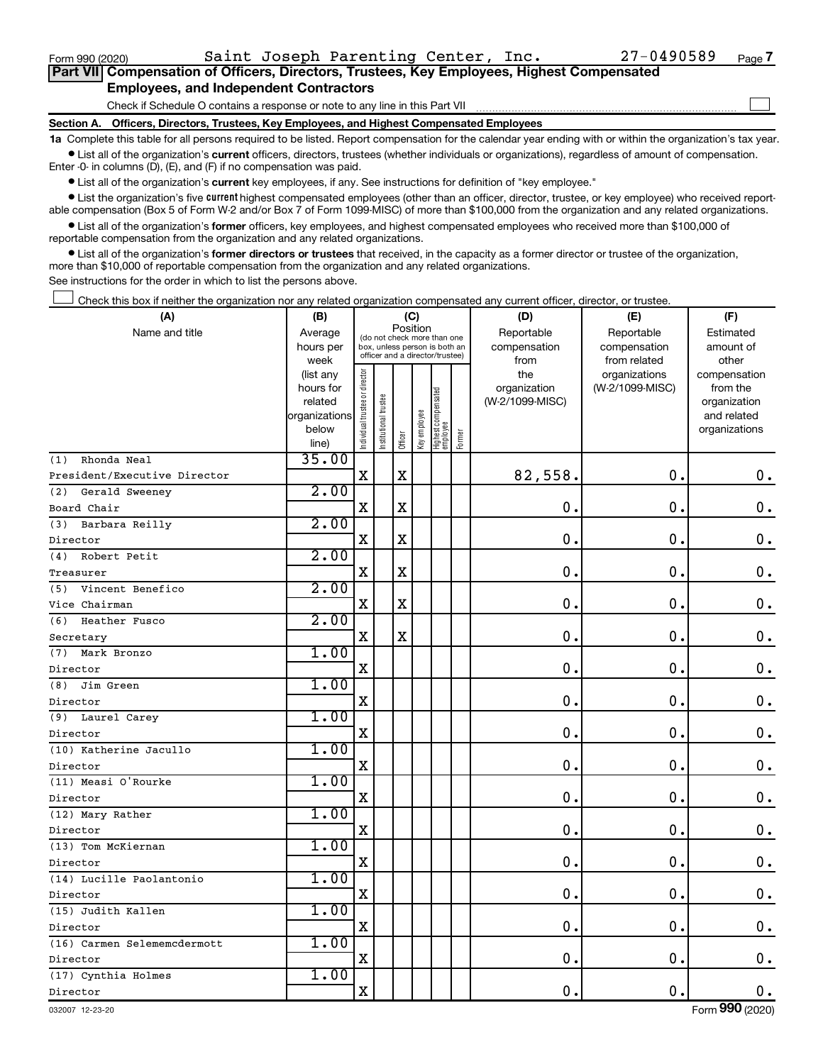$\Box$ 

|  |                                               |  |  | Part VII Compensation of Officers, Directors, Trustees, Key Employees, Highest Compensated |  |
|--|-----------------------------------------------|--|--|--------------------------------------------------------------------------------------------|--|
|  | <b>Employees, and Independent Contractors</b> |  |  |                                                                                            |  |

Check if Schedule O contains a response or note to any line in this Part VII

**Section A. Officers, Directors, Trustees, Key Employees, and Highest Compensated Employees**

**1a**  Complete this table for all persons required to be listed. Report compensation for the calendar year ending with or within the organization's tax year.  $\bullet$  List all of the organization's current officers, directors, trustees (whether individuals or organizations), regardless of amount of compensation.

Enter -0- in columns (D), (E), and (F) if no compensation was paid.

**•** List all of the organization's current key employees, if any. See instructions for definition of "key employee."

• List the organization's five *current* highest compensated employees (other than an officer, director, trustee, or key employee) who received reportable compensation (Box 5 of Form W-2 and/or Box 7 of Form 1099-MISC) of more than \$100,000 from the organization and any related organizations.

 $\bullet$  List all of the organization's former officers, key employees, and highest compensated employees who received more than \$100,000 of reportable compensation from the organization and any related organizations.

**•** List all of the organization's former directors or trustees that received, in the capacity as a former director or trustee of the organization, more than \$10,000 of reportable compensation from the organization and any related organizations.

See instructions for the order in which to list the persons above.

Check this box if neither the organization nor any related organization compensated any current officer, director, or trustee.  $\Box$ 

| (A)                          | (B)               |                                |                                                                          | (C)         |              |                                   |           | (D)                  | (E)                          | (F)                |  |
|------------------------------|-------------------|--------------------------------|--------------------------------------------------------------------------|-------------|--------------|-----------------------------------|-----------|----------------------|------------------------------|--------------------|--|
| Name and title               | Average           |                                | Position<br>(do not check more than one<br>box, unless person is both an |             | Reportable   | Reportable                        | Estimated |                      |                              |                    |  |
|                              | hours per<br>week |                                | officer and a director/trustee)                                          |             |              |                                   |           | compensation<br>from | compensation<br>from related | amount of<br>other |  |
|                              | (list any         |                                |                                                                          |             |              |                                   |           | the                  | organizations                | compensation       |  |
|                              | hours for         |                                |                                                                          |             |              |                                   |           | organization         | (W-2/1099-MISC)              | from the           |  |
|                              | related           |                                |                                                                          |             |              |                                   |           | (W-2/1099-MISC)      |                              | organization       |  |
|                              | organizations     |                                |                                                                          |             |              |                                   |           |                      |                              | and related        |  |
|                              | below             | Individual trustee or director | Institutional trustee                                                    | Officer     | Key employee | Highest compensated<br>  employee | Former    |                      |                              | organizations      |  |
| Rhonda Neal<br>(1)           | line)<br>35.00    |                                |                                                                          |             |              |                                   |           |                      |                              |                    |  |
| President/Executive Director |                   | $\mathbf X$                    |                                                                          | $\mathbf X$ |              |                                   |           | 82,558.              | $\mathbf 0$ .                | $\mathbf 0$ .      |  |
| (2)<br>Gerald Sweeney        | 2.00              |                                |                                                                          |             |              |                                   |           |                      |                              |                    |  |
| Board Chair                  |                   | $\rm X$                        |                                                                          | $\mathbf X$ |              |                                   |           | $\mathbf 0$ .        | $\mathbf 0$ .                | $\mathbf 0$ .      |  |
| Barbara Reilly<br>(3)        | 2.00              |                                |                                                                          |             |              |                                   |           |                      |                              |                    |  |
| Director                     |                   | $\mathbf X$                    |                                                                          | $\mathbf X$ |              |                                   |           | $\mathbf 0$          | $\mathbf 0$ .                | $\mathbf 0$ .      |  |
| Robert Petit<br>(4)          | 2.00              |                                |                                                                          |             |              |                                   |           |                      |                              |                    |  |
| Treasurer                    |                   | $\mathbf X$                    |                                                                          | X           |              |                                   |           | $\mathbf 0$ .        | $\mathbf 0$ .                | $\mathbf 0$ .      |  |
| (5) Vincent Benefico         | 2.00              |                                |                                                                          |             |              |                                   |           |                      |                              |                    |  |
| Vice Chairman                |                   | $\mathbf X$                    |                                                                          | $\mathbf X$ |              |                                   |           | $\mathbf 0$ .        | $\mathbf 0$ .                | $\mathbf 0$ .      |  |
| Heather Fusco<br>(6)         | 2.00              |                                |                                                                          |             |              |                                   |           |                      |                              |                    |  |
| Secretary                    |                   | $\mathbf X$                    |                                                                          | X           |              |                                   |           | $\mathbf 0$          | $\mathbf 0$ .                | $0$ .              |  |
| (7) Mark Bronzo              | 1.00              |                                |                                                                          |             |              |                                   |           |                      |                              |                    |  |
| Director                     |                   | X                              |                                                                          |             |              |                                   |           | $\mathbf 0$          | $\mathbf 0$ .                | $\mathbf 0$ .      |  |
| (8)<br>Jim Green             | 1.00              |                                |                                                                          |             |              |                                   |           |                      |                              |                    |  |
| Director                     |                   | $\mathbf X$                    |                                                                          |             |              |                                   |           | $\mathbf 0$ .        | $\mathbf 0$ .                | $\mathbf 0$ .      |  |
| (9) Laurel Carey             | 1.00              |                                |                                                                          |             |              |                                   |           |                      |                              |                    |  |
| Director                     |                   | $\mathbf X$                    |                                                                          |             |              |                                   |           | $\mathbf 0$          | $\mathbf 0$ .                | $\mathbf 0$ .      |  |
| (10) Katherine Jacullo       | 1.00              |                                |                                                                          |             |              |                                   |           |                      |                              |                    |  |
| Director                     |                   | $\mathbf X$                    |                                                                          |             |              |                                   |           | $\mathbf 0$ .        | $\mathbf 0$ .                | $\mathbf 0$ .      |  |
| (11) Measi O'Rourke          | 1.00              |                                |                                                                          |             |              |                                   |           |                      |                              |                    |  |
| Director                     |                   | $\mathbf X$                    |                                                                          |             |              |                                   |           | 0.                   | $\mathbf 0$ .                | $\mathbf 0$ .      |  |
| (12) Mary Rather             | 1.00              |                                |                                                                          |             |              |                                   |           |                      |                              |                    |  |
| Director                     |                   | $\mathbf X$                    |                                                                          |             |              |                                   |           | 0.                   | $\mathbf 0$ .                | $\mathbf 0$ .      |  |
| (13) Tom McKiernan           | 1.00              |                                |                                                                          |             |              |                                   |           |                      |                              |                    |  |
| Director                     |                   | $\mathbf X$                    |                                                                          |             |              |                                   |           | $\mathbf 0$          | $\mathbf 0$ .                | $\mathbf 0$ .      |  |
| (14) Lucille Paolantonio     | 1.00              |                                |                                                                          |             |              |                                   |           |                      |                              |                    |  |
| Director                     |                   | X                              |                                                                          |             |              |                                   |           | $\mathbf 0$ .        | $\mathbf 0$ .                | 0.                 |  |
| (15) Judith Kallen           | 1.00              |                                |                                                                          |             |              |                                   |           |                      |                              |                    |  |
| Director                     |                   | X                              |                                                                          |             |              |                                   |           | $\mathbf 0$ .        | $\mathbf 0$ .                | 0.                 |  |
| (16) Carmen Selememcdermott  | 1.00              | $\mathbf X$                    |                                                                          |             |              |                                   |           | 0.                   | $\mathbf 0$ .                | 0.                 |  |
| Director                     | 1.00              |                                |                                                                          |             |              |                                   |           |                      |                              |                    |  |
| (17) Cynthia Holmes          |                   | $\mathbf X$                    |                                                                          |             |              |                                   |           | 0.                   | $\mathbf 0$ .                | $0$ .              |  |
| Director                     |                   |                                |                                                                          |             |              |                                   |           |                      |                              |                    |  |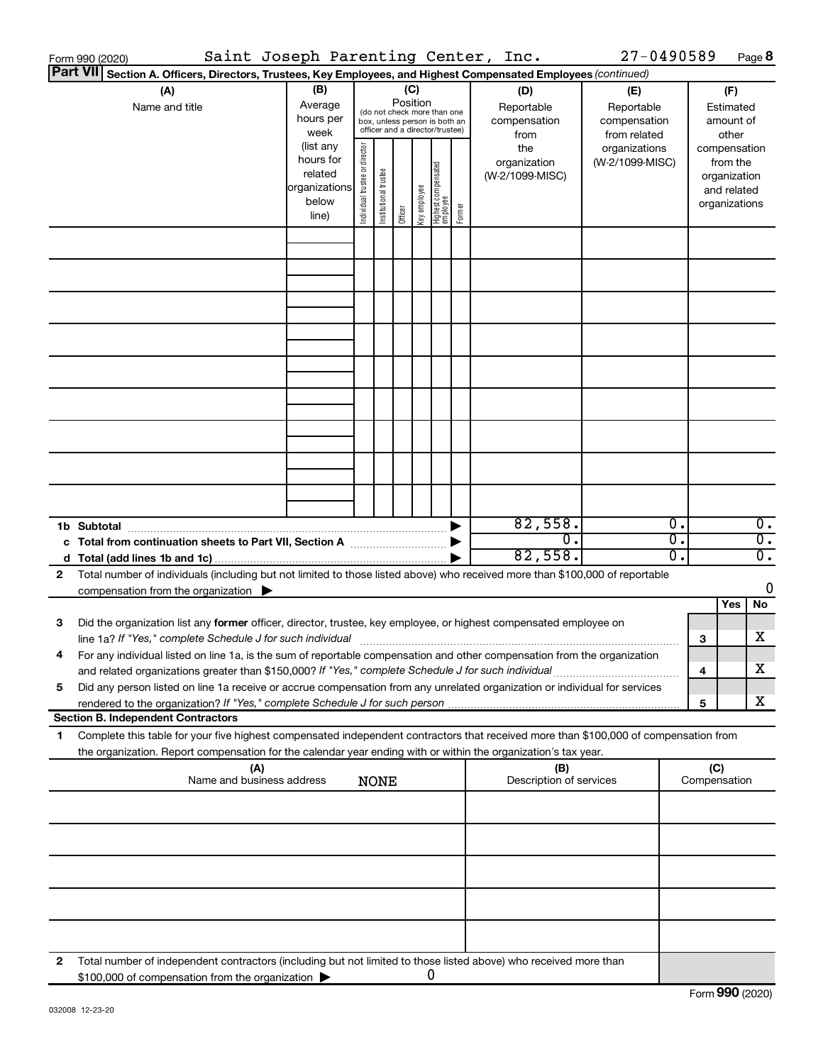|   | Saint Joseph Parenting Center, Inc.<br>Form 990 (2020)                                                                                                                                                                                                 |                                                                      |                                |                                                                                                 |         |              |                                   |        |                                           | $27 - 0490589$                                    |                                                 |                     | Page 8                                                                   |
|---|--------------------------------------------------------------------------------------------------------------------------------------------------------------------------------------------------------------------------------------------------------|----------------------------------------------------------------------|--------------------------------|-------------------------------------------------------------------------------------------------|---------|--------------|-----------------------------------|--------|-------------------------------------------|---------------------------------------------------|-------------------------------------------------|---------------------|--------------------------------------------------------------------------|
|   | <b>Part VII</b><br>Section A. Officers, Directors, Trustees, Key Employees, and Highest Compensated Employees (continued)                                                                                                                              |                                                                      |                                |                                                                                                 |         |              |                                   |        |                                           |                                                   |                                                 |                     |                                                                          |
|   | (A)<br>Name and title                                                                                                                                                                                                                                  | (B)<br>Average<br>hours per<br>week                                  |                                | (do not check more than one<br>box, unless person is both an<br>officer and a director/trustee) | (C)     | Position     |                                   |        | (D)<br>Reportable<br>compensation<br>from | (E)<br>Reportable<br>compensation<br>from related |                                                 |                     | (F)<br>Estimated<br>amount of<br>other                                   |
|   |                                                                                                                                                                                                                                                        | (list any<br>hours for<br>related<br>organizations<br>below<br>line) | Individual trustee or director | Institutional trustee                                                                           | Officer | Key employee | Highest compensated<br>  employee | Former | the<br>organization<br>(W-2/1099-MISC)    | organizations<br>(W-2/1099-MISC)                  |                                                 |                     | compensation<br>from the<br>organization<br>and related<br>organizations |
|   |                                                                                                                                                                                                                                                        |                                                                      |                                |                                                                                                 |         |              |                                   |        |                                           |                                                   |                                                 |                     |                                                                          |
|   |                                                                                                                                                                                                                                                        |                                                                      |                                |                                                                                                 |         |              |                                   |        |                                           |                                                   |                                                 |                     |                                                                          |
|   |                                                                                                                                                                                                                                                        |                                                                      |                                |                                                                                                 |         |              |                                   |        |                                           |                                                   |                                                 |                     |                                                                          |
|   |                                                                                                                                                                                                                                                        |                                                                      |                                |                                                                                                 |         |              |                                   |        |                                           |                                                   |                                                 |                     |                                                                          |
|   |                                                                                                                                                                                                                                                        |                                                                      |                                |                                                                                                 |         |              |                                   |        |                                           |                                                   |                                                 |                     |                                                                          |
|   |                                                                                                                                                                                                                                                        |                                                                      |                                |                                                                                                 |         |              |                                   |        |                                           |                                                   |                                                 |                     |                                                                          |
|   |                                                                                                                                                                                                                                                        |                                                                      |                                |                                                                                                 |         |              |                                   |        |                                           |                                                   |                                                 |                     |                                                                          |
|   |                                                                                                                                                                                                                                                        |                                                                      |                                |                                                                                                 |         |              |                                   |        |                                           |                                                   |                                                 |                     |                                                                          |
|   | 1b Subtotal                                                                                                                                                                                                                                            |                                                                      |                                |                                                                                                 |         |              |                                   |        | 82,558.                                   |                                                   | $\overline{\mathfrak{o}}$ .                     |                     | $\overline{0}$ .                                                         |
|   | c Total from continuation sheets to Part VII, Section A <b>Constitution</b>                                                                                                                                                                            |                                                                      |                                |                                                                                                 |         |              |                                   |        | σ.<br>82,558.                             |                                                   | $\overline{\mathfrak{o}}$ .<br>$\overline{0}$ . |                     | $\overline{0}$ .<br>$\overline{0}$ .                                     |
| 2 | Total number of individuals (including but not limited to those listed above) who received more than \$100,000 of reportable<br>compensation from the organization $\blacktriangleright$                                                               |                                                                      |                                |                                                                                                 |         |              |                                   |        |                                           |                                                   |                                                 |                     | 0                                                                        |
|   |                                                                                                                                                                                                                                                        |                                                                      |                                |                                                                                                 |         |              |                                   |        |                                           |                                                   |                                                 |                     | Yes<br>No                                                                |
| 3 | Did the organization list any former officer, director, trustee, key employee, or highest compensated employee on<br>line 1a? If "Yes," complete Schedule J for such individual manufactured content to the content of the complete                    |                                                                      |                                |                                                                                                 |         |              |                                   |        |                                           |                                                   |                                                 | 3                   | x                                                                        |
|   | For any individual listed on line 1a, is the sum of reportable compensation and other compensation from the organization<br>and related organizations greater than \$150,000? If "Yes," complete Schedule J for such individual                        |                                                                      |                                |                                                                                                 |         |              |                                   |        |                                           |                                                   |                                                 | 4                   | х                                                                        |
| 5 | Did any person listed on line 1a receive or accrue compensation from any unrelated organization or individual for services                                                                                                                             |                                                                      |                                |                                                                                                 |         |              |                                   |        |                                           |                                                   |                                                 | 5                   | x                                                                        |
|   | <b>Section B. Independent Contractors</b>                                                                                                                                                                                                              |                                                                      |                                |                                                                                                 |         |              |                                   |        |                                           |                                                   |                                                 |                     |                                                                          |
| 1 | Complete this table for your five highest compensated independent contractors that received more than \$100,000 of compensation from<br>the organization. Report compensation for the calendar year ending with or within the organization's tax year. |                                                                      |                                |                                                                                                 |         |              |                                   |        |                                           |                                                   |                                                 |                     |                                                                          |
|   | (A)<br>Name and business address                                                                                                                                                                                                                       |                                                                      |                                | <b>NONE</b>                                                                                     |         |              |                                   |        | (B)<br>Description of services            |                                                   |                                                 | (C)<br>Compensation |                                                                          |
|   |                                                                                                                                                                                                                                                        |                                                                      |                                |                                                                                                 |         |              |                                   |        |                                           |                                                   |                                                 |                     |                                                                          |
|   |                                                                                                                                                                                                                                                        |                                                                      |                                |                                                                                                 |         |              |                                   |        |                                           |                                                   |                                                 |                     |                                                                          |
|   |                                                                                                                                                                                                                                                        |                                                                      |                                |                                                                                                 |         |              |                                   |        |                                           |                                                   |                                                 |                     |                                                                          |
|   |                                                                                                                                                                                                                                                        |                                                                      |                                |                                                                                                 |         |              |                                   |        |                                           |                                                   |                                                 |                     |                                                                          |
| 2 | Total number of independent contractors (including but not limited to those listed above) who received more than<br>\$100,000 of compensation from the organization                                                                                    |                                                                      |                                |                                                                                                 |         |              | 0                                 |        |                                           |                                                   |                                                 |                     |                                                                          |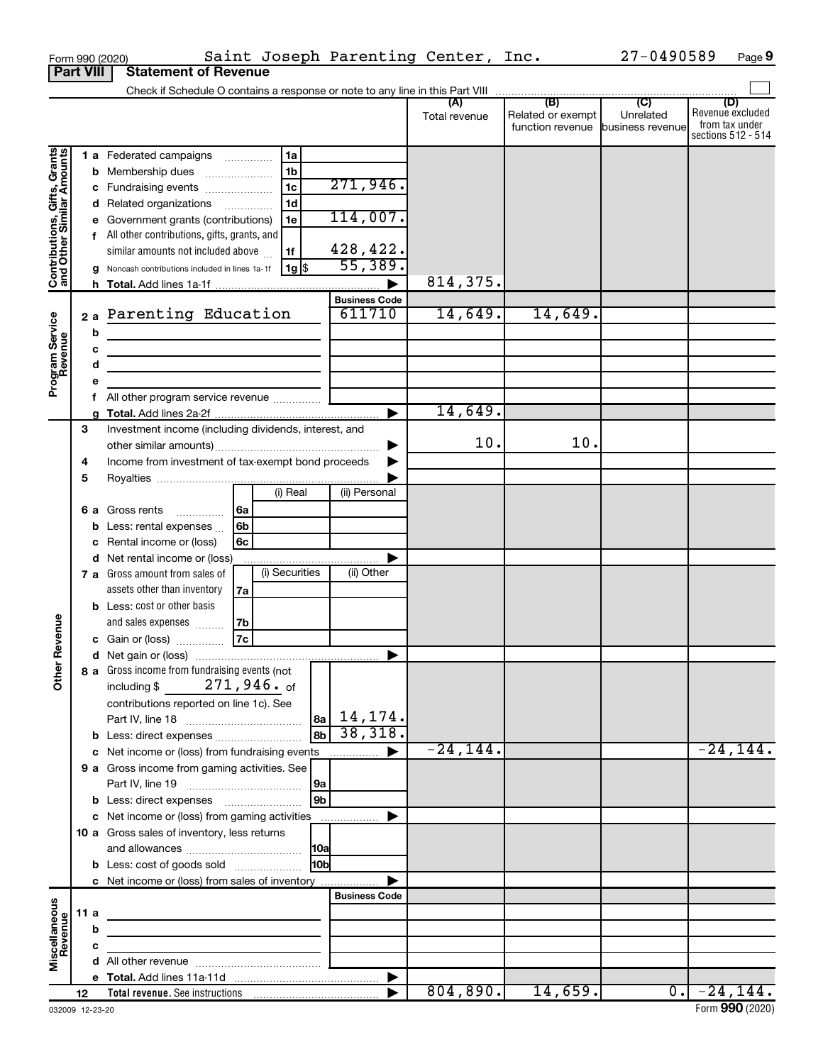|                                                           | Form 990 (2020)  | Saint Joseph Parenting Center, Inc.                                                                                   |                      |                      |                                                               | 27-0490589                | Page 9                                                          |
|-----------------------------------------------------------|------------------|-----------------------------------------------------------------------------------------------------------------------|----------------------|----------------------|---------------------------------------------------------------|---------------------------|-----------------------------------------------------------------|
|                                                           | <b>Part VIII</b> | <b>Statement of Revenue</b>                                                                                           |                      |                      |                                                               |                           |                                                                 |
|                                                           |                  |                                                                                                                       |                      |                      |                                                               |                           |                                                                 |
|                                                           |                  |                                                                                                                       |                      | (A)<br>Total revenue | (B)<br>Related or exempt<br>function revenue business revenue | (C)<br>Unrelated          | (D)<br>Revenue excluded<br>from tax under<br>sections 512 - 514 |
|                                                           |                  | 1a                                                                                                                    |                      |                      |                                                               |                           |                                                                 |
| Contributions, Gifts, Grants<br>and Other Similar Amounts |                  | <b>1 a</b> Federated campaigns<br>1 <sub>b</sub><br><b>b</b> Membership dues                                          |                      |                      |                                                               |                           |                                                                 |
|                                                           |                  | $\overline{1c}$<br>c Fundraising events                                                                               | 271,946.             |                      |                                                               |                           |                                                                 |
|                                                           |                  | 1 <sub>d</sub><br>d Related organizations                                                                             |                      |                      |                                                               |                           |                                                                 |
|                                                           |                  | e Government grants (contributions)<br>1e                                                                             | 114,007.             |                      |                                                               |                           |                                                                 |
|                                                           |                  | f All other contributions, gifts, grants, and                                                                         |                      |                      |                                                               |                           |                                                                 |
|                                                           |                  | similar amounts not included above<br>1f                                                                              | 428, 422.            |                      |                                                               |                           |                                                                 |
|                                                           |                  | $ 1g $ \$<br>g Noncash contributions included in lines 1a-1f                                                          | 55,389.              |                      |                                                               |                           |                                                                 |
|                                                           |                  |                                                                                                                       |                      | 814,375.             |                                                               |                           |                                                                 |
|                                                           |                  |                                                                                                                       | <b>Business Code</b> |                      |                                                               |                           |                                                                 |
|                                                           |                  | 2a Parenting Education                                                                                                | 611710               | 14,649.              | 14,649.                                                       |                           |                                                                 |
|                                                           | b                | <u> 1989 - Johann Barn, mars ann an t-Amhain an t-Amhain an t-Amhain an t-Amhain an t-Amhain an t-Amhain an t-Amh</u> |                      |                      |                                                               |                           |                                                                 |
|                                                           | C                | <u> 1989 - Johann John Stein, markin fan it ferstjer fan de ferstjer fan it ferstjer fan it ferstjer fan it fers</u>  |                      |                      |                                                               |                           |                                                                 |
|                                                           | d                |                                                                                                                       |                      |                      |                                                               |                           |                                                                 |
| Program Service<br>Revenue                                | е                |                                                                                                                       |                      |                      |                                                               |                           |                                                                 |
|                                                           |                  | All other program service revenue                                                                                     |                      |                      |                                                               |                           |                                                                 |
|                                                           | q                |                                                                                                                       |                      | 14,649.              |                                                               |                           |                                                                 |
|                                                           | 3                | Investment income (including dividends, interest, and                                                                 |                      | 10.                  | 10.                                                           |                           |                                                                 |
|                                                           | 4                | Income from investment of tax-exempt bond proceeds                                                                    |                      |                      |                                                               |                           |                                                                 |
|                                                           | 5                |                                                                                                                       |                      |                      |                                                               |                           |                                                                 |
|                                                           |                  | (i) Real                                                                                                              | (ii) Personal        |                      |                                                               |                           |                                                                 |
|                                                           |                  | 6a<br><b>6 a</b> Gross rents                                                                                          |                      |                      |                                                               |                           |                                                                 |
|                                                           |                  | 6 <sub>b</sub><br><b>b</b> Less: rental expenses $\ldots$                                                             |                      |                      |                                                               |                           |                                                                 |
|                                                           | с                | Rental income or (loss)<br>6c                                                                                         |                      |                      |                                                               |                           |                                                                 |
|                                                           |                  | d Net rental income or (loss)                                                                                         |                      |                      |                                                               |                           |                                                                 |
|                                                           |                  | (i) Securities<br>7 a Gross amount from sales of                                                                      | (ii) Other           |                      |                                                               |                           |                                                                 |
|                                                           |                  | assets other than inventory<br>7a                                                                                     |                      |                      |                                                               |                           |                                                                 |
|                                                           |                  | <b>b</b> Less: cost or other basis                                                                                    |                      |                      |                                                               |                           |                                                                 |
| evenue                                                    |                  | and sales expenses<br>7b                                                                                              |                      |                      |                                                               |                           |                                                                 |
|                                                           |                  | 7c<br>c Gain or (loss)                                                                                                |                      |                      |                                                               |                           |                                                                 |
|                                                           |                  |                                                                                                                       |                      |                      |                                                               |                           |                                                                 |
| Other R                                                   |                  | 8 a Gross income from fundraising events (not<br>$271,946.$ of                                                        |                      |                      |                                                               |                           |                                                                 |
|                                                           |                  | including \$<br>contributions reported on line 1c). See                                                               |                      |                      |                                                               |                           |                                                                 |
|                                                           |                  |                                                                                                                       | $ a_8 $ 14, 174.     |                      |                                                               |                           |                                                                 |
|                                                           |                  | 8 <sub>b</sub>                                                                                                        | 38,318.              |                      |                                                               |                           |                                                                 |
|                                                           |                  | c Net income or (loss) from fundraising events                                                                        |                      | $-24, 144.$          |                                                               |                           | $-24,144.$                                                      |
|                                                           |                  | 9 a Gross income from gaming activities. See                                                                          |                      |                      |                                                               |                           |                                                                 |
|                                                           |                  | 9a                                                                                                                    |                      |                      |                                                               |                           |                                                                 |
|                                                           |                  | 9b                                                                                                                    |                      |                      |                                                               |                           |                                                                 |
|                                                           |                  | c Net income or (loss) from gaming activities                                                                         |                      |                      |                                                               |                           |                                                                 |
|                                                           |                  | 10 a Gross sales of inventory, less returns                                                                           |                      |                      |                                                               |                           |                                                                 |
|                                                           |                  | 10a                                                                                                                   |                      |                      |                                                               |                           |                                                                 |
|                                                           |                  | l10bl<br><b>b</b> Less: cost of goods sold                                                                            |                      |                      |                                                               |                           |                                                                 |
|                                                           |                  | c Net income or (loss) from sales of inventory                                                                        |                      |                      |                                                               |                           |                                                                 |
|                                                           |                  |                                                                                                                       | <b>Business Code</b> |                      |                                                               |                           |                                                                 |
| Miscellaneous<br>Revenue                                  | 11a              |                                                                                                                       |                      |                      |                                                               |                           |                                                                 |
|                                                           | b                |                                                                                                                       |                      |                      |                                                               |                           |                                                                 |
|                                                           | c                |                                                                                                                       |                      |                      |                                                               |                           |                                                                 |
|                                                           |                  |                                                                                                                       | ▶                    |                      |                                                               |                           |                                                                 |
|                                                           | 12               |                                                                                                                       |                      | 804, 890.            | 14,659.                                                       | $\overline{\mathbf{0}}$ . | $-24,144.$                                                      |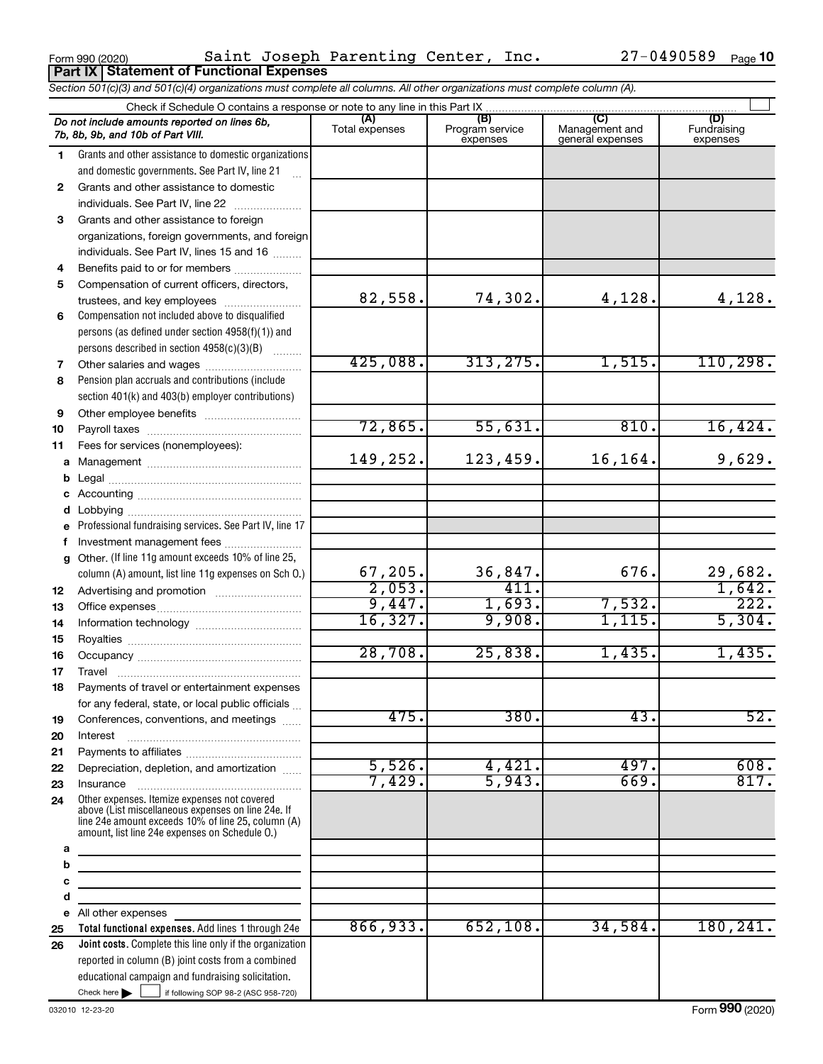$_{\rm Form}$ 990(2020) – Saint Joseph Parenting Center, Inc.  $_{Z}$ 7-0490589  $_{\rm Page}$ **Part IX Statement of Functional Expenses** Saint Joseph Parenting Center, Inc. 27-0490589

|              | Section 501(c)(3) and 501(c)(4) organizations must complete all columns. All other organizations must complete column (A).                                                                                                                                                                                                                                                                                                       |                       |                                    |                                           |                                |
|--------------|----------------------------------------------------------------------------------------------------------------------------------------------------------------------------------------------------------------------------------------------------------------------------------------------------------------------------------------------------------------------------------------------------------------------------------|-----------------------|------------------------------------|-------------------------------------------|--------------------------------|
|              | Check if Schedule O contains a response or note to any line in this Part IX                                                                                                                                                                                                                                                                                                                                                      |                       |                                    |                                           |                                |
|              | Do not include amounts reported on lines 6b,<br>7b, 8b, 9b, and 10b of Part VIII.                                                                                                                                                                                                                                                                                                                                                | (A)<br>Total expenses | (B)<br>Program service<br>expenses | (C)<br>Management and<br>general expenses | (D)<br>Fundraising<br>expenses |
| 1.           | Grants and other assistance to domestic organizations                                                                                                                                                                                                                                                                                                                                                                            |                       |                                    |                                           |                                |
|              | and domestic governments. See Part IV, line 21                                                                                                                                                                                                                                                                                                                                                                                   |                       |                                    |                                           |                                |
| $\mathbf{2}$ | Grants and other assistance to domestic                                                                                                                                                                                                                                                                                                                                                                                          |                       |                                    |                                           |                                |
|              | individuals. See Part IV, line 22                                                                                                                                                                                                                                                                                                                                                                                                |                       |                                    |                                           |                                |
| 3            | Grants and other assistance to foreign                                                                                                                                                                                                                                                                                                                                                                                           |                       |                                    |                                           |                                |
|              | organizations, foreign governments, and foreign                                                                                                                                                                                                                                                                                                                                                                                  |                       |                                    |                                           |                                |
|              | individuals. See Part IV, lines 15 and 16                                                                                                                                                                                                                                                                                                                                                                                        |                       |                                    |                                           |                                |
| 4            | Benefits paid to or for members                                                                                                                                                                                                                                                                                                                                                                                                  |                       |                                    |                                           |                                |
| 5            | Compensation of current officers, directors,                                                                                                                                                                                                                                                                                                                                                                                     |                       |                                    |                                           |                                |
|              |                                                                                                                                                                                                                                                                                                                                                                                                                                  | 82,558.               | 74,302.                            | 4,128.                                    | 4,128.                         |
| 6            | Compensation not included above to disqualified                                                                                                                                                                                                                                                                                                                                                                                  |                       |                                    |                                           |                                |
|              | persons (as defined under section 4958(f)(1)) and                                                                                                                                                                                                                                                                                                                                                                                |                       |                                    |                                           |                                |
|              | persons described in section 4958(c)(3)(B)                                                                                                                                                                                                                                                                                                                                                                                       |                       |                                    |                                           |                                |
| 7            | Other salaries and wages                                                                                                                                                                                                                                                                                                                                                                                                         | 425,088.              | 313, 275.                          | 1,515.                                    | 110, 298.                      |
| 8            | Pension plan accruals and contributions (include                                                                                                                                                                                                                                                                                                                                                                                 |                       |                                    |                                           |                                |
|              | section 401(k) and 403(b) employer contributions)                                                                                                                                                                                                                                                                                                                                                                                |                       |                                    |                                           |                                |
| 9            |                                                                                                                                                                                                                                                                                                                                                                                                                                  |                       |                                    |                                           |                                |
| 10           |                                                                                                                                                                                                                                                                                                                                                                                                                                  | 72,865.               | 55,631.                            | 810.                                      | 16,424.                        |
| 11           | Fees for services (nonemployees):                                                                                                                                                                                                                                                                                                                                                                                                |                       |                                    |                                           |                                |
| a            |                                                                                                                                                                                                                                                                                                                                                                                                                                  | 149,252.              | 123,459.                           | 16,164.                                   | 9,629.                         |
| b            |                                                                                                                                                                                                                                                                                                                                                                                                                                  |                       |                                    |                                           |                                |
| с            |                                                                                                                                                                                                                                                                                                                                                                                                                                  |                       |                                    |                                           |                                |
| d            |                                                                                                                                                                                                                                                                                                                                                                                                                                  |                       |                                    |                                           |                                |
| e            | Professional fundraising services. See Part IV, line 17                                                                                                                                                                                                                                                                                                                                                                          |                       |                                    |                                           |                                |
| f            | Investment management fees                                                                                                                                                                                                                                                                                                                                                                                                       |                       |                                    |                                           |                                |
| g            | Other. (If line 11g amount exceeds 10% of line 25,                                                                                                                                                                                                                                                                                                                                                                               |                       |                                    |                                           |                                |
|              | column (A) amount, list line 11g expenses on Sch 0.)                                                                                                                                                                                                                                                                                                                                                                             | 67,205.               | 36,847.                            | 676.                                      | $\frac{29,682}{1,642}$         |
| 12           |                                                                                                                                                                                                                                                                                                                                                                                                                                  | 2,053.                | 411.                               |                                           |                                |
| 13           |                                                                                                                                                                                                                                                                                                                                                                                                                                  | 9,447.                | 1,693.                             | 7,532.                                    | $\overline{222}$ .             |
| 14           |                                                                                                                                                                                                                                                                                                                                                                                                                                  | 16,327.               | 9,908.                             | 1,115.                                    | 5,304.                         |
| 15           |                                                                                                                                                                                                                                                                                                                                                                                                                                  |                       |                                    |                                           |                                |
| 16           |                                                                                                                                                                                                                                                                                                                                                                                                                                  | 28,708.               | 25,838.                            | 1,435.                                    | 1,435.                         |
| 17           |                                                                                                                                                                                                                                                                                                                                                                                                                                  |                       |                                    |                                           |                                |
| 18           | Payments of travel or entertainment expenses                                                                                                                                                                                                                                                                                                                                                                                     |                       |                                    |                                           |                                |
|              | for any federal, state, or local public officials                                                                                                                                                                                                                                                                                                                                                                                |                       |                                    |                                           |                                |
| 19           | Conferences, conventions, and meetings                                                                                                                                                                                                                                                                                                                                                                                           | 475.                  | 380.                               | 43.                                       | 52.                            |
| 20           | Interest                                                                                                                                                                                                                                                                                                                                                                                                                         |                       |                                    |                                           |                                |
| 21           |                                                                                                                                                                                                                                                                                                                                                                                                                                  |                       |                                    |                                           |                                |
| 22           | Depreciation, depletion, and amortization                                                                                                                                                                                                                                                                                                                                                                                        | 5,526.                | 4,421.                             | 497.                                      | 608.                           |
| 23           | $In surface  \  \, \ldots \  \, \ldots \  \, \ldots \  \, \ldots \  \, \ldots \  \, \ldots \  \, \ldots \  \, \ldots \  \, \ldots \  \, \ldots \  \, \ldots \  \, \ldots \  \, \ldots \  \, \ldots \  \, \ldots \  \, \ldots \  \, \ldots \  \, \ldots \  \, \ldots \  \, \ldots \  \, \ldots \  \, \ldots \  \, \ldots \  \, \ldots \  \, \ldots \  \, \ldots \  \, \ldots \  \, \ldots \  \, \ldots \  \, \ldots \  \, \ldots$ | 7,429.                | 5,943.                             | 669.                                      | 817.                           |
| 24           | Other expenses. Itemize expenses not covered<br>above (List miscellaneous expenses on line 24e. If<br>line 24e amount exceeds 10% of line 25, column (A)<br>amount, list line 24e expenses on Schedule O.)                                                                                                                                                                                                                       |                       |                                    |                                           |                                |
| a            | <u> 1980 - Johann Barn, mars an t-Amerikaansk politiker (</u>                                                                                                                                                                                                                                                                                                                                                                    |                       |                                    |                                           |                                |
| b            | <u> 1989 - Johann Barbara, martin amerikan basar dan basa dan basar dalam basa dalam basa dalam basa dalam basa </u>                                                                                                                                                                                                                                                                                                             |                       |                                    |                                           |                                |
| c<br>d       |                                                                                                                                                                                                                                                                                                                                                                                                                                  |                       |                                    |                                           |                                |
|              | the control of the control of the control of<br>e All other expenses                                                                                                                                                                                                                                                                                                                                                             |                       |                                    |                                           |                                |
| 25           | Total functional expenses. Add lines 1 through 24e                                                                                                                                                                                                                                                                                                                                                                               | 866,933.              | 652, 108.                          | 34,584.                                   | 180, 241.                      |
| 26           | <b>Joint costs.</b> Complete this line only if the organization                                                                                                                                                                                                                                                                                                                                                                  |                       |                                    |                                           |                                |
|              | reported in column (B) joint costs from a combined                                                                                                                                                                                                                                                                                                                                                                               |                       |                                    |                                           |                                |
|              | educational campaign and fundraising solicitation.                                                                                                                                                                                                                                                                                                                                                                               |                       |                                    |                                           |                                |
|              | Check here   if following SOP 98-2 (ASC 958-720)                                                                                                                                                                                                                                                                                                                                                                                 |                       |                                    |                                           |                                |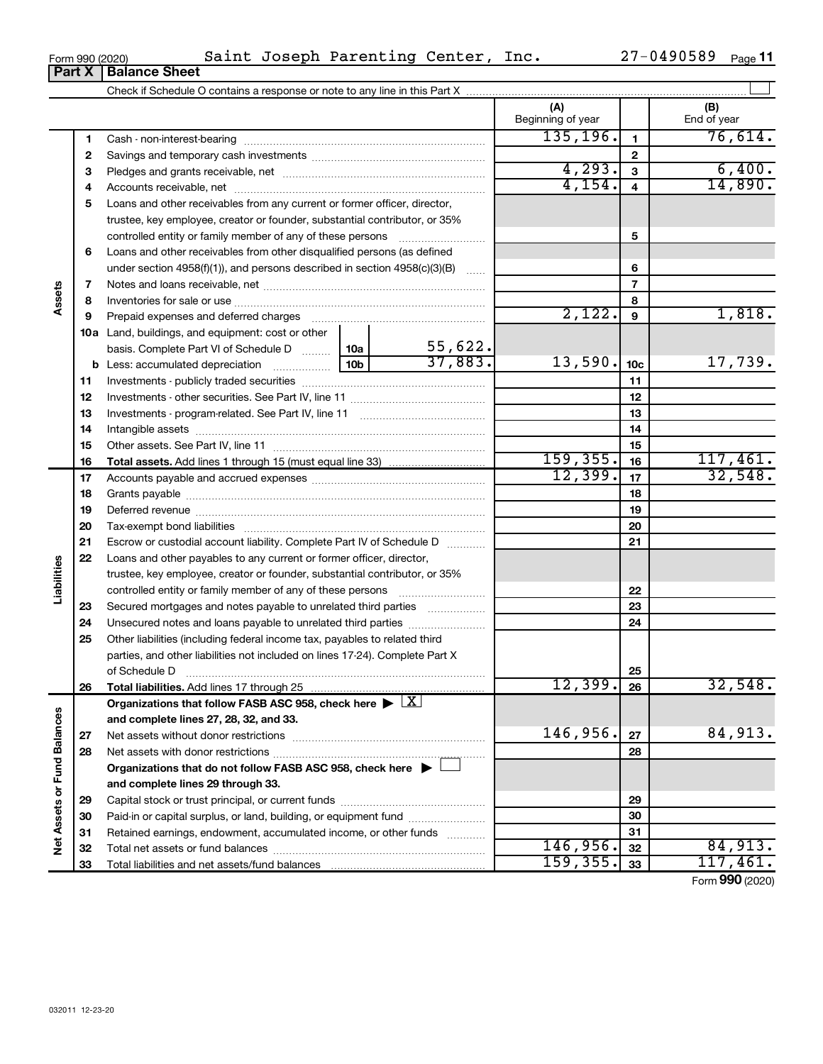| orm 990 (2020) |                               | C. |
|----------------|-------------------------------|----|
|                | <b>Part X   Balance Sheet</b> |    |

| Form 990 (2020) | Saint Joseph Parenting Center, |  | Inc. | 27-0490589 | Page |
|-----------------|--------------------------------|--|------|------------|------|
|-----------------|--------------------------------|--|------|------------|------|

|                             |    |                                                                                                        |                 |           | (A)<br>Beginning of year |                         | (B)<br>End of year |
|-----------------------------|----|--------------------------------------------------------------------------------------------------------|-----------------|-----------|--------------------------|-------------------------|--------------------|
|                             | 1  |                                                                                                        |                 |           | 135, 196.                | $\mathbf{1}$            | 76,614.            |
|                             | 2  |                                                                                                        |                 |           |                          | $\mathbf{2}$            |                    |
|                             | 3  |                                                                                                        |                 |           | 4, 293.                  | 3                       | 6,400.             |
|                             | 4  |                                                                                                        |                 |           | 4,154.                   | $\overline{\mathbf{4}}$ | 14,890.            |
|                             | 5  | Loans and other receivables from any current or former officer, director,                              |                 |           |                          |                         |                    |
|                             |    | trustee, key employee, creator or founder, substantial contributor, or 35%                             |                 |           |                          |                         |                    |
|                             |    | controlled entity or family member of any of these persons                                             |                 |           |                          | 5                       |                    |
|                             | 6  | Loans and other receivables from other disqualified persons (as defined                                |                 |           |                          |                         |                    |
|                             |    | under section $4958(f)(1)$ , and persons described in section $4958(c)(3)(B)$                          |                 |           |                          | 6                       |                    |
|                             | 7  |                                                                                                        |                 |           |                          | $\overline{7}$          |                    |
| Assets                      | 8  |                                                                                                        |                 |           |                          | 8                       |                    |
|                             | 9  |                                                                                                        |                 |           | 2,122.                   | 9                       | 1,818.             |
|                             |    | 10a Land, buildings, and equipment: cost or other                                                      |                 |           |                          |                         |                    |
|                             |    | basis. Complete Part VI of Schedule D                                                                  | 10a             | 55,622.   |                          |                         |                    |
|                             |    | <b>b</b> Less: accumulated depreciation                                                                | 10 <sub>b</sub> | 37,883.   | 13,590.                  | 10 <sub>c</sub>         | 17,739.            |
|                             | 11 |                                                                                                        |                 |           |                          | 11                      |                    |
|                             | 12 |                                                                                                        |                 |           | 12                       |                         |                    |
|                             | 13 |                                                                                                        |                 | 13        |                          |                         |                    |
|                             | 14 |                                                                                                        |                 |           | 14                       |                         |                    |
|                             | 15 |                                                                                                        |                 | 15        |                          |                         |                    |
|                             | 16 |                                                                                                        |                 |           | 159, 355.                | 16                      | 117,461.           |
|                             | 17 |                                                                                                        |                 |           | 12,399.                  | 17                      | 32,548.            |
|                             | 18 |                                                                                                        |                 | 18        |                          |                         |                    |
|                             | 19 |                                                                                                        |                 | 19        |                          |                         |                    |
|                             | 20 |                                                                                                        |                 | 20        |                          |                         |                    |
|                             | 21 | Escrow or custodial account liability. Complete Part IV of Schedule D                                  |                 |           |                          | 21                      |                    |
|                             | 22 | Loans and other payables to any current or former officer, director,                                   |                 |           |                          |                         |                    |
| Liabilities                 |    | trustee, key employee, creator or founder, substantial contributor, or 35%                             |                 |           |                          |                         |                    |
|                             |    |                                                                                                        |                 |           |                          | 22                      |                    |
|                             | 23 | Secured mortgages and notes payable to unrelated third parties                                         |                 |           |                          | 23                      |                    |
|                             | 24 |                                                                                                        |                 |           |                          | 24                      |                    |
|                             | 25 | Other liabilities (including federal income tax, payables to related third                             |                 |           |                          |                         |                    |
|                             |    | parties, and other liabilities not included on lines 17-24). Complete Part X                           |                 |           |                          |                         |                    |
|                             |    |                                                                                                        |                 |           |                          | 25                      |                    |
|                             | 26 | Total liabilities. Add lines 17 through 25                                                             |                 |           | 12,399.                  | 26                      | 32,548.            |
|                             |    | Organizations that follow FASB ASC 958, check here $\blacktriangleright \lfloor \underline{X} \rfloor$ |                 |           |                          |                         |                    |
|                             |    | and complete lines 27, 28, 32, and 33.                                                                 |                 |           |                          |                         |                    |
|                             | 27 |                                                                                                        |                 |           | 146,956.                 | 27                      | 84,913.            |
|                             | 28 |                                                                                                        |                 |           |                          | 28                      |                    |
|                             |    | Organizations that do not follow FASB ASC 958, check here $\blacktriangleright$                        |                 |           |                          |                         |                    |
|                             |    | and complete lines 29 through 33.                                                                      |                 |           |                          |                         |                    |
|                             | 29 |                                                                                                        |                 |           | 29                       |                         |                    |
|                             | 30 | Paid-in or capital surplus, or land, building, or equipment fund                                       |                 |           |                          | 30                      |                    |
| Net Assets or Fund Balances | 31 | Retained earnings, endowment, accumulated income, or other funds                                       |                 |           |                          | 31                      |                    |
|                             | 32 |                                                                                                        |                 |           | 146,956.                 | 32                      | 84,913.            |
|                             | 33 |                                                                                                        |                 | 159, 355. | 33                       | 117,461.                |                    |

Form (2020) **990**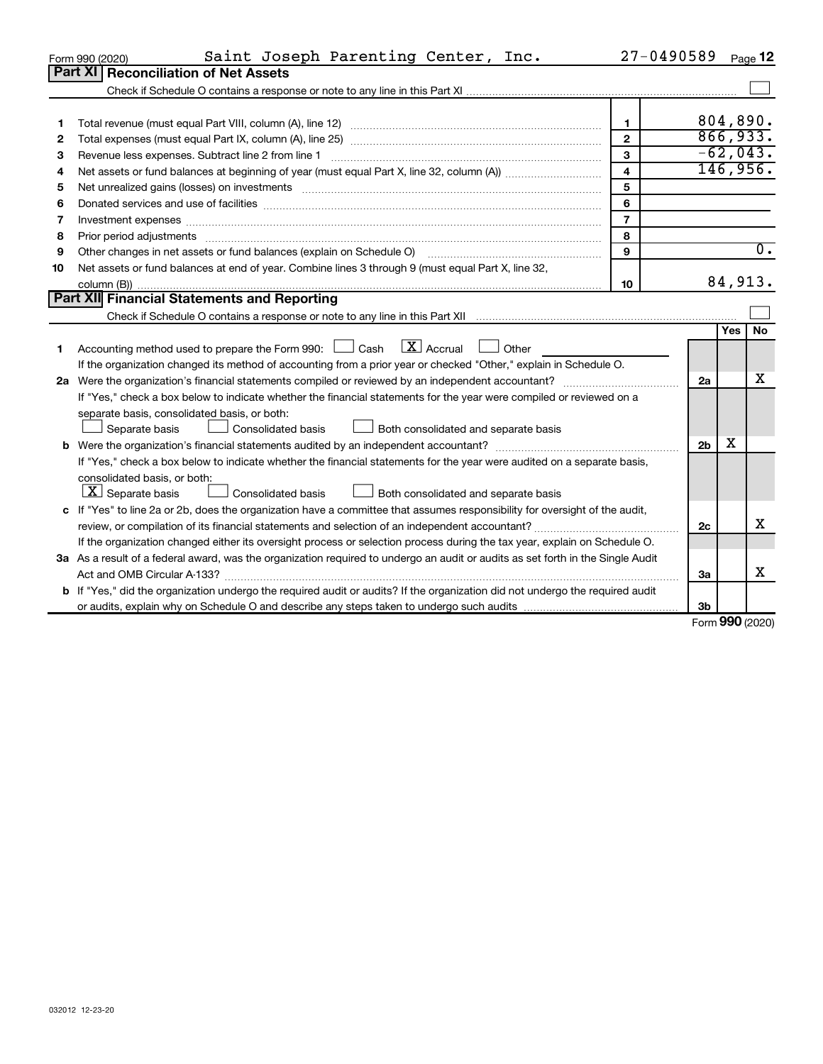|    | Saint Joseph Parenting Center, Inc.<br>Form 990 (2020)                                                                                                                                                                        | 27-0490589              |                |        | Page 12    |
|----|-------------------------------------------------------------------------------------------------------------------------------------------------------------------------------------------------------------------------------|-------------------------|----------------|--------|------------|
|    | <b>Reconciliation of Net Assets</b><br><b>Part XI</b>                                                                                                                                                                         |                         |                |        |            |
|    |                                                                                                                                                                                                                               |                         |                |        |            |
|    |                                                                                                                                                                                                                               |                         |                |        |            |
| 1  |                                                                                                                                                                                                                               | $\mathbf{1}$            | 804,890.       |        |            |
| 2  |                                                                                                                                                                                                                               | $\mathfrak{p}$          |                |        | 866,933.   |
| З  | Revenue less expenses. Subtract line 2 from line 1                                                                                                                                                                            | 3                       |                |        | $-62,043.$ |
| 4  |                                                                                                                                                                                                                               | $\overline{\mathbf{4}}$ |                |        | 146,956.   |
| 5  |                                                                                                                                                                                                                               | 5                       |                |        |            |
| 6  | Donated services and use of facilities [[111][12] manufactures in the service of facilities [[11] manufactures in the service and use of facilities [[11] manufactures in the service of facilities [[11] manufactures in the | 6                       |                |        |            |
| 7  | Investment expenses www.communication.com/www.communication.com/www.communication.com/www.com                                                                                                                                 | $\overline{7}$          |                |        |            |
| 8  | Prior period adjustments manufactured and content and content and all the manufactured adjustments manufactured                                                                                                               | 8                       |                |        |            |
| 9  | Other changes in net assets or fund balances (explain on Schedule O) manual contraction control of the changes in net assets or fund balances (explain on Schedule O)                                                         | $\mathbf{Q}$            |                |        | 0.         |
| 10 | Net assets or fund balances at end of year. Combine lines 3 through 9 (must equal Part X, line 32,                                                                                                                            |                         |                |        |            |
|    |                                                                                                                                                                                                                               | 10                      |                |        | 84,913.    |
|    | Part XII Financial Statements and Reporting                                                                                                                                                                                   |                         |                |        |            |
|    |                                                                                                                                                                                                                               |                         |                |        |            |
|    |                                                                                                                                                                                                                               |                         |                | Yes    | <b>No</b>  |
| 1  | Accounting method used to prepare the Form 990: $\Box$ Cash $\Box X$ Accrual<br>$\Box$ Other                                                                                                                                  |                         |                |        |            |
|    | If the organization changed its method of accounting from a prior year or checked "Other," explain in Schedule O.                                                                                                             |                         |                |        |            |
|    |                                                                                                                                                                                                                               |                         | 2a             |        | х          |
|    | If "Yes," check a box below to indicate whether the financial statements for the year were compiled or reviewed on a                                                                                                          |                         |                |        |            |
|    | separate basis, consolidated basis, or both:                                                                                                                                                                                  |                         |                |        |            |
|    | Separate basis<br>Consolidated basis<br>Both consolidated and separate basis                                                                                                                                                  |                         |                |        |            |
|    | <b>b</b> Were the organization's financial statements audited by an independent accountant?                                                                                                                                   |                         | 2 <sub>b</sub> | х      |            |
|    | If "Yes," check a box below to indicate whether the financial statements for the year were audited on a separate basis,                                                                                                       |                         |                |        |            |
|    | consolidated basis, or both:                                                                                                                                                                                                  |                         |                |        |            |
|    | $ \mathbf{X} $ Separate basis<br><b>Consolidated basis</b><br>Both consolidated and separate basis                                                                                                                            |                         |                |        |            |
|    | c If "Yes" to line 2a or 2b, does the organization have a committee that assumes responsibility for oversight of the audit,                                                                                                   |                         |                |        |            |
|    |                                                                                                                                                                                                                               |                         | 2c             |        | х          |
|    | If the organization changed either its oversight process or selection process during the tax year, explain on Schedule O.                                                                                                     |                         |                |        |            |
|    | 3a As a result of a federal award, was the organization required to undergo an audit or audits as set forth in the Single Audit                                                                                               |                         |                |        |            |
|    | Act and OMB Circular A-133?                                                                                                                                                                                                   |                         | За             |        | х          |
|    | b If "Yes," did the organization undergo the required audit or audits? If the organization did not undergo the required audit                                                                                                 |                         |                |        |            |
|    |                                                                                                                                                                                                                               |                         | 3b             | $\sim$ |            |

Form (2020) **990**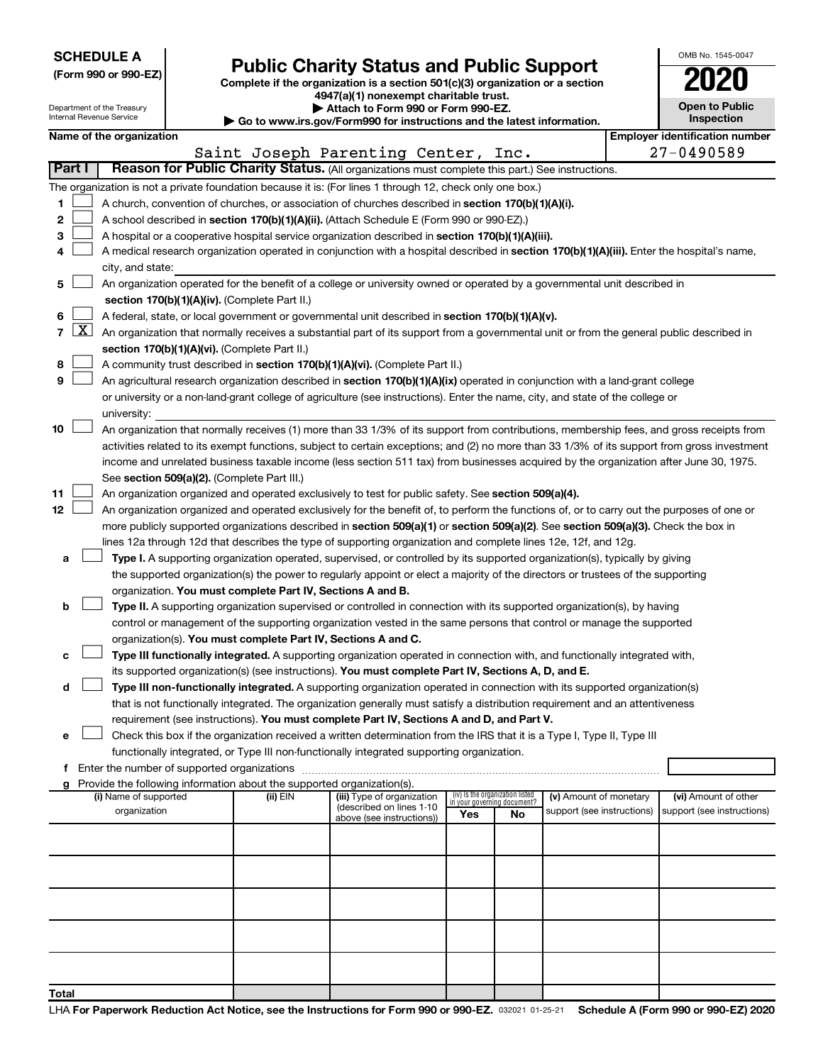|  |  | <b>SCHEDULE A</b> |  |
|--|--|-------------------|--|
|  |  |                   |  |

Department of the Treasury

|  |  | (Form 990 or 990-EZ) |  |
|--|--|----------------------|--|
|  |  |                      |  |

Form 990 or 990-EZ) **Public Charity Status and Public Support**<br>
Complete if the organization is a section 501(c)(3) organization or a section<br> **2020** 

**4947(a)(1) nonexempt charitable trust. | Attach to Form 990 or Form 990-EZ.** 

| OMB No. 1545-0047                   |
|-------------------------------------|
| $\mathbf{U}$                        |
| <b>Open to Public</b><br>Inspection |
|                                     |

 $\Box$ 

|              |                                                                                                                                                                  | nternal Revenue Service                                                                            |  |                                                                        | Go to www.irs.gov/Form990 for instructions and the latest information.                                                                       |                                    |    |                            |  |  |                                       |  |  |
|--------------|------------------------------------------------------------------------------------------------------------------------------------------------------------------|----------------------------------------------------------------------------------------------------|--|------------------------------------------------------------------------|----------------------------------------------------------------------------------------------------------------------------------------------|------------------------------------|----|----------------------------|--|--|---------------------------------------|--|--|
|              |                                                                                                                                                                  | Name of the organization                                                                           |  |                                                                        |                                                                                                                                              |                                    |    |                            |  |  | <b>Employer identification number</b> |  |  |
|              |                                                                                                                                                                  |                                                                                                    |  |                                                                        | Saint Joseph Parenting Center, Inc.                                                                                                          |                                    |    |                            |  |  | 27-0490589                            |  |  |
| Part I       |                                                                                                                                                                  |                                                                                                    |  |                                                                        | Reason for Public Charity Status. (All organizations must complete this part.) See instructions.                                             |                                    |    |                            |  |  |                                       |  |  |
|              |                                                                                                                                                                  |                                                                                                    |  |                                                                        | The organization is not a private foundation because it is: (For lines 1 through 12, check only one box.)                                    |                                    |    |                            |  |  |                                       |  |  |
| 1.           |                                                                                                                                                                  | A church, convention of churches, or association of churches described in section 170(b)(1)(A)(i). |  |                                                                        |                                                                                                                                              |                                    |    |                            |  |  |                                       |  |  |
| 2            |                                                                                                                                                                  |                                                                                                    |  |                                                                        | A school described in section 170(b)(1)(A)(ii). (Attach Schedule E (Form 990 or 990-EZ).)                                                    |                                    |    |                            |  |  |                                       |  |  |
| З            |                                                                                                                                                                  |                                                                                                    |  |                                                                        | A hospital or a cooperative hospital service organization described in section 170(b)(1)(A)(iii).                                            |                                    |    |                            |  |  |                                       |  |  |
| 4            |                                                                                                                                                                  |                                                                                                    |  |                                                                        | A medical research organization operated in conjunction with a hospital described in section 170(b)(1)(A)(iii). Enter the hospital's name,   |                                    |    |                            |  |  |                                       |  |  |
|              |                                                                                                                                                                  | city, and state:                                                                                   |  |                                                                        |                                                                                                                                              |                                    |    |                            |  |  |                                       |  |  |
| 5.           |                                                                                                                                                                  |                                                                                                    |  |                                                                        | An organization operated for the benefit of a college or university owned or operated by a governmental unit described in                    |                                    |    |                            |  |  |                                       |  |  |
|              |                                                                                                                                                                  |                                                                                                    |  | section 170(b)(1)(A)(iv). (Complete Part II.)                          |                                                                                                                                              |                                    |    |                            |  |  |                                       |  |  |
| 6            |                                                                                                                                                                  |                                                                                                    |  |                                                                        | A federal, state, or local government or governmental unit described in section 170(b)(1)(A)(v).                                             |                                    |    |                            |  |  |                                       |  |  |
| 7            | $\lfloor x \rfloor$<br>An organization that normally receives a substantial part of its support from a governmental unit or from the general public described in |                                                                                                    |  |                                                                        |                                                                                                                                              |                                    |    |                            |  |  |                                       |  |  |
|              |                                                                                                                                                                  |                                                                                                    |  | section 170(b)(1)(A)(vi). (Complete Part II.)                          |                                                                                                                                              |                                    |    |                            |  |  |                                       |  |  |
| 8            |                                                                                                                                                                  |                                                                                                    |  |                                                                        | A community trust described in section 170(b)(1)(A)(vi). (Complete Part II.)                                                                 |                                    |    |                            |  |  |                                       |  |  |
| 9            |                                                                                                                                                                  |                                                                                                    |  |                                                                        | An agricultural research organization described in section 170(b)(1)(A)(ix) operated in conjunction with a land-grant college                |                                    |    |                            |  |  |                                       |  |  |
|              |                                                                                                                                                                  |                                                                                                    |  |                                                                        | or university or a non-land-grant college of agriculture (see instructions). Enter the name, city, and state of the college or               |                                    |    |                            |  |  |                                       |  |  |
|              |                                                                                                                                                                  | university:                                                                                        |  |                                                                        |                                                                                                                                              |                                    |    |                            |  |  |                                       |  |  |
| 10           |                                                                                                                                                                  |                                                                                                    |  |                                                                        | An organization that normally receives (1) more than 33 1/3% of its support from contributions, membership fees, and gross receipts from     |                                    |    |                            |  |  |                                       |  |  |
|              |                                                                                                                                                                  |                                                                                                    |  |                                                                        | activities related to its exempt functions, subject to certain exceptions; and (2) no more than 33 1/3% of its support from gross investment |                                    |    |                            |  |  |                                       |  |  |
|              |                                                                                                                                                                  |                                                                                                    |  |                                                                        | income and unrelated business taxable income (less section 511 tax) from businesses acquired by the organization after June 30, 1975.        |                                    |    |                            |  |  |                                       |  |  |
|              |                                                                                                                                                                  |                                                                                                    |  | See section 509(a)(2). (Complete Part III.)                            |                                                                                                                                              |                                    |    |                            |  |  |                                       |  |  |
| 11           |                                                                                                                                                                  |                                                                                                    |  |                                                                        | An organization organized and operated exclusively to test for public safety. See section 509(a)(4).                                         |                                    |    |                            |  |  |                                       |  |  |
| 12           |                                                                                                                                                                  |                                                                                                    |  |                                                                        | An organization organized and operated exclusively for the benefit of, to perform the functions of, or to carry out the purposes of one or   |                                    |    |                            |  |  |                                       |  |  |
|              |                                                                                                                                                                  |                                                                                                    |  |                                                                        | more publicly supported organizations described in section 509(a)(1) or section 509(a)(2). See section 509(a)(3). Check the box in           |                                    |    |                            |  |  |                                       |  |  |
|              |                                                                                                                                                                  |                                                                                                    |  |                                                                        | lines 12a through 12d that describes the type of supporting organization and complete lines 12e, 12f, and 12g.                               |                                    |    |                            |  |  |                                       |  |  |
| а            |                                                                                                                                                                  |                                                                                                    |  |                                                                        | Type I. A supporting organization operated, supervised, or controlled by its supported organization(s), typically by giving                  |                                    |    |                            |  |  |                                       |  |  |
|              |                                                                                                                                                                  |                                                                                                    |  |                                                                        | the supported organization(s) the power to regularly appoint or elect a majority of the directors or trustees of the supporting              |                                    |    |                            |  |  |                                       |  |  |
|              |                                                                                                                                                                  |                                                                                                    |  | organization. You must complete Part IV, Sections A and B.             |                                                                                                                                              |                                    |    |                            |  |  |                                       |  |  |
| b            |                                                                                                                                                                  |                                                                                                    |  |                                                                        | Type II. A supporting organization supervised or controlled in connection with its supported organization(s), by having                      |                                    |    |                            |  |  |                                       |  |  |
|              |                                                                                                                                                                  |                                                                                                    |  |                                                                        | control or management of the supporting organization vested in the same persons that control or manage the supported                         |                                    |    |                            |  |  |                                       |  |  |
|              |                                                                                                                                                                  |                                                                                                    |  | organization(s). You must complete Part IV, Sections A and C.          |                                                                                                                                              |                                    |    |                            |  |  |                                       |  |  |
|              |                                                                                                                                                                  |                                                                                                    |  |                                                                        | Type III functionally integrated. A supporting organization operated in connection with, and functionally integrated with,                   |                                    |    |                            |  |  |                                       |  |  |
|              |                                                                                                                                                                  |                                                                                                    |  |                                                                        | its supported organization(s) (see instructions). You must complete Part IV, Sections A, D, and E.                                           |                                    |    |                            |  |  |                                       |  |  |
| d            |                                                                                                                                                                  |                                                                                                    |  |                                                                        | Type III non-functionally integrated. A supporting organization operated in connection with its supported organization(s)                    |                                    |    |                            |  |  |                                       |  |  |
|              |                                                                                                                                                                  |                                                                                                    |  |                                                                        | that is not functionally integrated. The organization generally must satisfy a distribution requirement and an attentiveness                 |                                    |    |                            |  |  |                                       |  |  |
|              |                                                                                                                                                                  |                                                                                                    |  |                                                                        | requirement (see instructions). You must complete Part IV, Sections A and D, and Part V.                                                     |                                    |    |                            |  |  |                                       |  |  |
| е            |                                                                                                                                                                  |                                                                                                    |  |                                                                        | Check this box if the organization received a written determination from the IRS that it is a Type I, Type II, Type III                      |                                    |    |                            |  |  |                                       |  |  |
|              |                                                                                                                                                                  |                                                                                                    |  |                                                                        | functionally integrated, or Type III non-functionally integrated supporting organization.                                                    |                                    |    |                            |  |  |                                       |  |  |
| f.           |                                                                                                                                                                  |                                                                                                    |  | Provide the following information about the supported organization(s). |                                                                                                                                              |                                    |    |                            |  |  |                                       |  |  |
|              |                                                                                                                                                                  | (i) Name of supported                                                                              |  | (ii) EIN                                                               | (iii) Type of organization                                                                                                                   | (iv) Is the organization listed    |    | (v) Amount of monetary     |  |  | (vi) Amount of other                  |  |  |
|              |                                                                                                                                                                  | organization                                                                                       |  |                                                                        | (described on lines 1-10                                                                                                                     | in your governing document?<br>Yes | No | support (see instructions) |  |  | support (see instructions)            |  |  |
|              |                                                                                                                                                                  |                                                                                                    |  |                                                                        | above (see instructions))                                                                                                                    |                                    |    |                            |  |  |                                       |  |  |
|              |                                                                                                                                                                  |                                                                                                    |  |                                                                        |                                                                                                                                              |                                    |    |                            |  |  |                                       |  |  |
|              |                                                                                                                                                                  |                                                                                                    |  |                                                                        |                                                                                                                                              |                                    |    |                            |  |  |                                       |  |  |
|              |                                                                                                                                                                  |                                                                                                    |  |                                                                        |                                                                                                                                              |                                    |    |                            |  |  |                                       |  |  |
|              |                                                                                                                                                                  |                                                                                                    |  |                                                                        |                                                                                                                                              |                                    |    |                            |  |  |                                       |  |  |
|              |                                                                                                                                                                  |                                                                                                    |  |                                                                        |                                                                                                                                              |                                    |    |                            |  |  |                                       |  |  |
|              |                                                                                                                                                                  |                                                                                                    |  |                                                                        |                                                                                                                                              |                                    |    |                            |  |  |                                       |  |  |
|              |                                                                                                                                                                  |                                                                                                    |  |                                                                        |                                                                                                                                              |                                    |    |                            |  |  |                                       |  |  |
|              |                                                                                                                                                                  |                                                                                                    |  |                                                                        |                                                                                                                                              |                                    |    |                            |  |  |                                       |  |  |
|              |                                                                                                                                                                  |                                                                                                    |  |                                                                        |                                                                                                                                              |                                    |    |                            |  |  |                                       |  |  |
| <b>Total</b> |                                                                                                                                                                  |                                                                                                    |  |                                                                        |                                                                                                                                              |                                    |    |                            |  |  |                                       |  |  |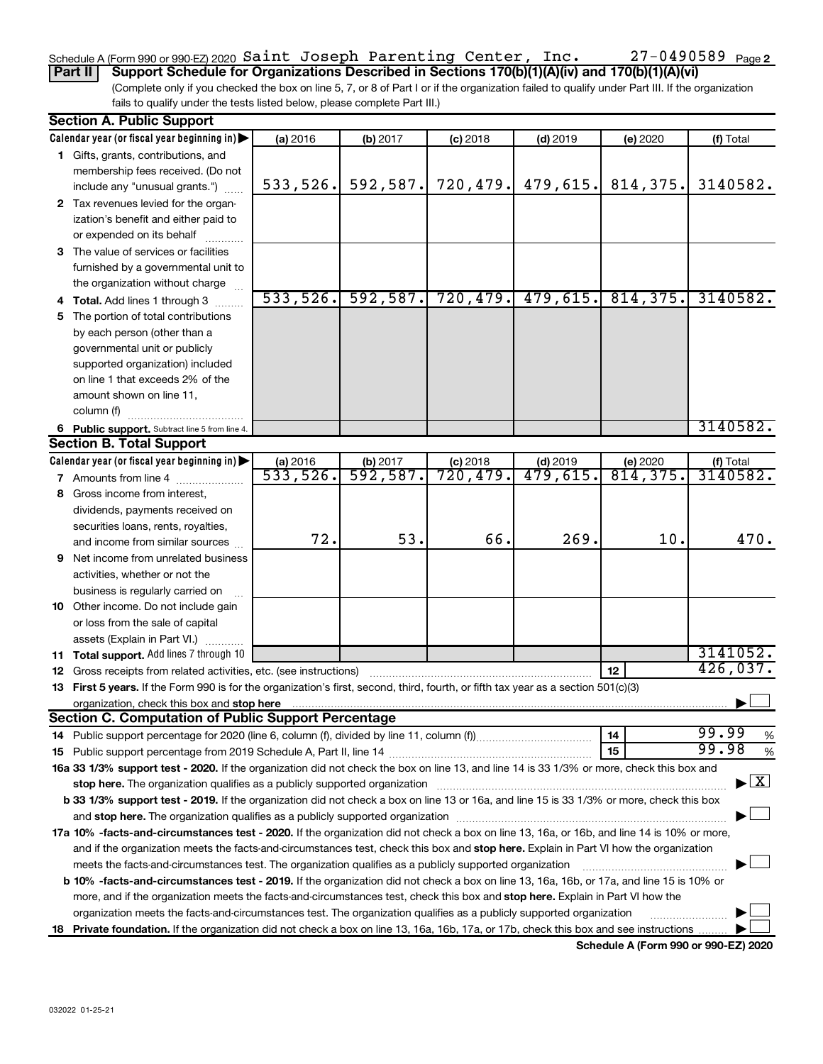### 27-0490589 Page 2 Schedule A (Form 990 or 990-EZ) 2020  $\verb|Saint Joseph Parenting Center, Inc. 27-0490589$   $\verb|Page|$

(Complete only if you checked the box on line 5, 7, or 8 of Part I or if the organization failed to qualify under Part III. If the organization fails to qualify under the tests listed below, please complete Part III.) **Part II Support Schedule for Organizations Described in Sections 170(b)(1)(A)(iv) and 170(b)(1)(A)(vi)**

|    | <b>Section A. Public Support</b>                                                                                                           |          |            |            |                      |           |                                |
|----|--------------------------------------------------------------------------------------------------------------------------------------------|----------|------------|------------|----------------------|-----------|--------------------------------|
|    | Calendar year (or fiscal year beginning in)                                                                                                | (a) 2016 | $(b)$ 2017 | $(c)$ 2018 | $(d)$ 2019           | (e) 2020  | (f) Total                      |
|    | 1 Gifts, grants, contributions, and                                                                                                        |          |            |            |                      |           |                                |
|    | membership fees received. (Do not                                                                                                          |          |            |            |                      |           |                                |
|    | include any "unusual grants.")                                                                                                             | 533,526. | 592,587.   | 720, 479.  | 479,615.             | 814,375.  | 3140582.                       |
|    | 2 Tax revenues levied for the organ-                                                                                                       |          |            |            |                      |           |                                |
|    | ization's benefit and either paid to                                                                                                       |          |            |            |                      |           |                                |
|    | or expended on its behalf                                                                                                                  |          |            |            |                      |           |                                |
|    | 3 The value of services or facilities                                                                                                      |          |            |            |                      |           |                                |
|    | furnished by a governmental unit to                                                                                                        |          |            |            |                      |           |                                |
|    | the organization without charge                                                                                                            |          |            |            |                      |           |                                |
|    | Total. Add lines 1 through 3                                                                                                               | 533,526. | 592,587.   | 720,479.   | 479,615.             | 814, 375. | 3140582.                       |
| 5  | The portion of total contributions                                                                                                         |          |            |            |                      |           |                                |
|    | by each person (other than a                                                                                                               |          |            |            |                      |           |                                |
|    | governmental unit or publicly                                                                                                              |          |            |            |                      |           |                                |
|    | supported organization) included                                                                                                           |          |            |            |                      |           |                                |
|    | on line 1 that exceeds 2% of the                                                                                                           |          |            |            |                      |           |                                |
|    | amount shown on line 11,                                                                                                                   |          |            |            |                      |           |                                |
|    | column (f)                                                                                                                                 |          |            |            |                      |           |                                |
|    | 6 Public support. Subtract line 5 from line 4.                                                                                             |          |            |            |                      |           | 3140582.                       |
|    | <b>Section B. Total Support</b>                                                                                                            |          |            |            |                      |           |                                |
|    | Calendar year (or fiscal year beginning in)                                                                                                | (a) 2016 | (b) 2017   | $(c)$ 2018 | $(d)$ 2019           | (e) 2020  | (f) Total                      |
|    | <b>7</b> Amounts from line 4                                                                                                               | 533,526. | 592,587.   | 720,479.   | $\overline{479,615}$ | 814,375.  | 3140582.                       |
| 8  | Gross income from interest,                                                                                                                |          |            |            |                      |           |                                |
|    | dividends, payments received on                                                                                                            |          |            |            |                      |           |                                |
|    | securities loans, rents, royalties,                                                                                                        |          |            |            |                      |           |                                |
|    | and income from similar sources                                                                                                            | 72.      | 53.        | 66.        | 269.                 | 10.       | 470.                           |
| 9  | Net income from unrelated business                                                                                                         |          |            |            |                      |           |                                |
|    | activities, whether or not the                                                                                                             |          |            |            |                      |           |                                |
|    | business is regularly carried on                                                                                                           |          |            |            |                      |           |                                |
|    | 10 Other income. Do not include gain                                                                                                       |          |            |            |                      |           |                                |
|    | or loss from the sale of capital                                                                                                           |          |            |            |                      |           |                                |
|    | assets (Explain in Part VI.)                                                                                                               |          |            |            |                      |           |                                |
|    | 11 Total support. Add lines 7 through 10                                                                                                   |          |            |            |                      |           | 3141052.                       |
|    | 12 Gross receipts from related activities, etc. (see instructions)                                                                         |          |            |            |                      | 12        | 426,037.                       |
|    | 13 First 5 years. If the Form 990 is for the organization's first, second, third, fourth, or fifth tax year as a section 501(c)(3)         |          |            |            |                      |           |                                |
|    | organization, check this box and stop here                                                                                                 |          |            |            |                      |           |                                |
|    | <b>Section C. Computation of Public Support Percentage</b>                                                                                 |          |            |            |                      |           |                                |
|    | 14 Public support percentage for 2020 (line 6, column (f), divided by line 11, column (f)                                                  |          |            |            |                      | 14        | 99.99<br>%                     |
|    |                                                                                                                                            |          |            |            |                      | 15        | 99.98<br>$\%$                  |
|    | 16a 33 1/3% support test - 2020. If the organization did not check the box on line 13, and line 14 is 33 1/3% or more, check this box and  |          |            |            |                      |           |                                |
|    | stop here. The organization qualifies as a publicly supported organization manufaction manufacture or the organization                     |          |            |            |                      |           | $\blacktriangleright$ $\mid$ X |
|    | b 33 1/3% support test - 2019. If the organization did not check a box on line 13 or 16a, and line 15 is 33 1/3% or more, check this box   |          |            |            |                      |           |                                |
|    |                                                                                                                                            |          |            |            |                      |           |                                |
|    | 17a 10% -facts-and-circumstances test - 2020. If the organization did not check a box on line 13, 16a, or 16b, and line 14 is 10% or more, |          |            |            |                      |           |                                |
|    | and if the organization meets the facts-and-circumstances test, check this box and stop here. Explain in Part VI how the organization      |          |            |            |                      |           |                                |
|    | meets the facts-and-circumstances test. The organization qualifies as a publicly supported organization                                    |          |            |            |                      |           |                                |
|    | b 10% -facts-and-circumstances test - 2019. If the organization did not check a box on line 13, 16a, 16b, or 17a, and line 15 is 10% or    |          |            |            |                      |           |                                |
|    | more, and if the organization meets the facts-and-circumstances test, check this box and stop here. Explain in Part VI how the             |          |            |            |                      |           |                                |
|    | organization meets the facts-and-circumstances test. The organization qualifies as a publicly supported organization                       |          |            |            |                      |           |                                |
| 18 | Private foundation. If the organization did not check a box on line 13, 16a, 16b, 17a, or 17b, check this box and see instructions         |          |            |            |                      |           |                                |
|    |                                                                                                                                            |          |            |            |                      |           |                                |

**Schedule A (Form 990 or 990-EZ) 2020**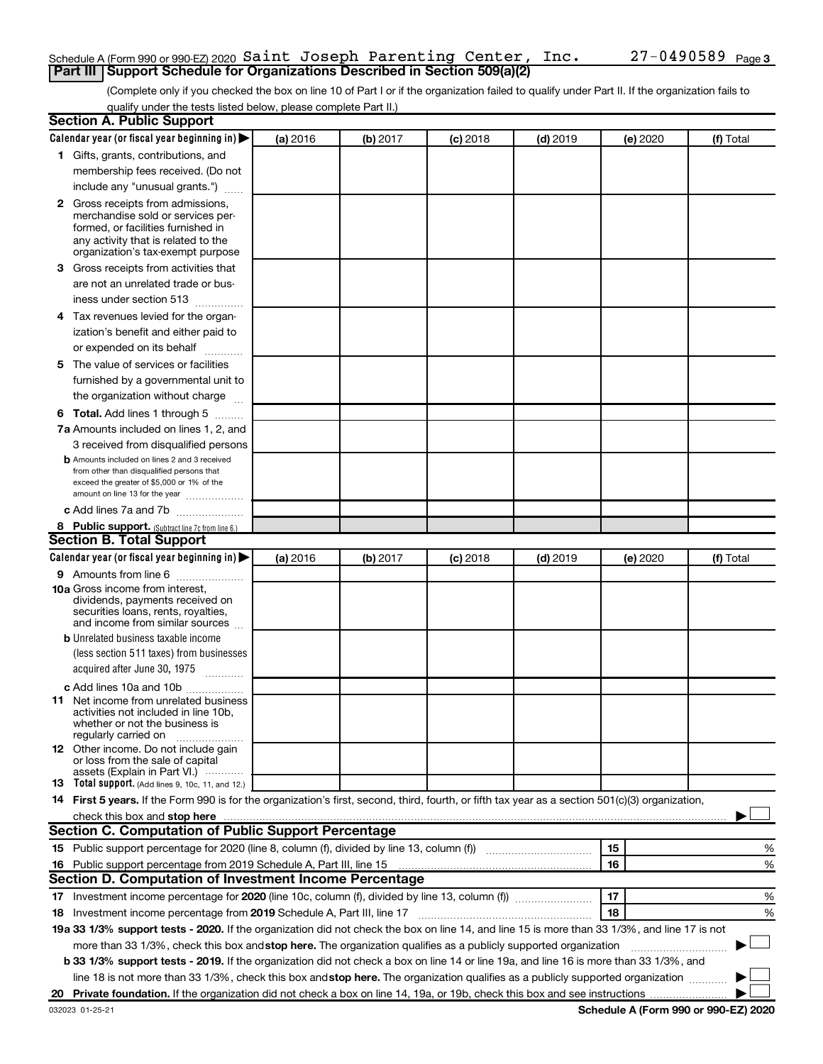### Schedule A (Form 990 or 990-EZ) 2020  $\verb|Saint Joseph Parenting Center, Inc. 27-0490589$   $\verb|Page|$ **Part III Support Schedule for Organizations Described in Section 509(a)(2)**

(Complete only if you checked the box on line 10 of Part I or if the organization failed to qualify under Part II. If the organization fails to qualify under the tests listed below, please complete Part II.)

| <b>Section A. Public Support</b>                                                                                                                 |          |          |            |            |          |           |
|--------------------------------------------------------------------------------------------------------------------------------------------------|----------|----------|------------|------------|----------|-----------|
| Calendar year (or fiscal year beginning in)                                                                                                      | (a) 2016 | (b) 2017 | $(c)$ 2018 | $(d)$ 2019 | (e) 2020 | (f) Total |
| 1 Gifts, grants, contributions, and                                                                                                              |          |          |            |            |          |           |
| membership fees received. (Do not                                                                                                                |          |          |            |            |          |           |
| include any "unusual grants.")                                                                                                                   |          |          |            |            |          |           |
| 2 Gross receipts from admissions,                                                                                                                |          |          |            |            |          |           |
| merchandise sold or services per-                                                                                                                |          |          |            |            |          |           |
| formed, or facilities furnished in                                                                                                               |          |          |            |            |          |           |
| any activity that is related to the<br>organization's tax-exempt purpose                                                                         |          |          |            |            |          |           |
| 3 Gross receipts from activities that                                                                                                            |          |          |            |            |          |           |
| are not an unrelated trade or bus-                                                                                                               |          |          |            |            |          |           |
| iness under section 513                                                                                                                          |          |          |            |            |          |           |
| 4 Tax revenues levied for the organ-                                                                                                             |          |          |            |            |          |           |
| ization's benefit and either paid to                                                                                                             |          |          |            |            |          |           |
| or expended on its behalf                                                                                                                        |          |          |            |            |          |           |
| 5 The value of services or facilities                                                                                                            |          |          |            |            |          |           |
| furnished by a governmental unit to                                                                                                              |          |          |            |            |          |           |
| the organization without charge                                                                                                                  |          |          |            |            |          |           |
|                                                                                                                                                  |          |          |            |            |          |           |
| <b>6 Total.</b> Add lines 1 through 5<br>7a Amounts included on lines 1, 2, and                                                                  |          |          |            |            |          |           |
|                                                                                                                                                  |          |          |            |            |          |           |
| 3 received from disqualified persons<br><b>b</b> Amounts included on lines 2 and 3 received                                                      |          |          |            |            |          |           |
| from other than disqualified persons that                                                                                                        |          |          |            |            |          |           |
| exceed the greater of \$5,000 or 1% of the                                                                                                       |          |          |            |            |          |           |
| amount on line 13 for the year                                                                                                                   |          |          |            |            |          |           |
| c Add lines 7a and 7b                                                                                                                            |          |          |            |            |          |           |
| 8 Public support. (Subtract line 7c from line 6.)<br><b>Section B. Total Support</b>                                                             |          |          |            |            |          |           |
|                                                                                                                                                  |          |          |            |            |          |           |
| Calendar year (or fiscal year beginning in)                                                                                                      | (a) 2016 | (b) 2017 | (c) 2018   | $(d)$ 2019 | (e) 2020 | (f) Total |
| 9 Amounts from line 6                                                                                                                            |          |          |            |            |          |           |
| <b>10a</b> Gross income from interest,<br>dividends, payments received on                                                                        |          |          |            |            |          |           |
| securities loans, rents, royalties,                                                                                                              |          |          |            |            |          |           |
| and income from similar sources                                                                                                                  |          |          |            |            |          |           |
| <b>b</b> Unrelated business taxable income                                                                                                       |          |          |            |            |          |           |
| (less section 511 taxes) from businesses                                                                                                         |          |          |            |            |          |           |
| acquired after June 30, 1975<br>$\frac{1}{2}$                                                                                                    |          |          |            |            |          |           |
| c Add lines 10a and 10b                                                                                                                          |          |          |            |            |          |           |
| 11 Net income from unrelated business                                                                                                            |          |          |            |            |          |           |
| activities not included in line 10b.<br>whether or not the business is                                                                           |          |          |            |            |          |           |
| regularly carried on                                                                                                                             |          |          |            |            |          |           |
| <b>12</b> Other income. Do not include gain                                                                                                      |          |          |            |            |          |           |
| or loss from the sale of capital<br>assets (Explain in Part VI.)                                                                                 |          |          |            |            |          |           |
| <b>13</b> Total support. (Add lines 9, 10c, 11, and 12.)                                                                                         |          |          |            |            |          |           |
| 14 First 5 years. If the Form 990 is for the organization's first, second, third, fourth, or fifth tax year as a section 501(c)(3) organization, |          |          |            |            |          |           |
|                                                                                                                                                  |          |          |            |            |          |           |
| Section C. Computation of Public Support Percentage                                                                                              |          |          |            |            |          |           |
|                                                                                                                                                  |          |          |            |            | 15       | %         |
| 16 Public support percentage from 2019 Schedule A, Part III, line 15                                                                             |          |          |            |            | 16       | %         |
| Section D. Computation of Investment Income Percentage                                                                                           |          |          |            |            |          |           |
|                                                                                                                                                  |          |          |            |            | 17       | %         |
| 18 Investment income percentage from 2019 Schedule A, Part III, line 17                                                                          |          |          |            |            | 18       | %         |
| 19a 33 1/3% support tests - 2020. If the organization did not check the box on line 14, and line 15 is more than 33 1/3%, and line 17 is not     |          |          |            |            |          |           |
| more than 33 1/3%, check this box and stop here. The organization qualifies as a publicly supported organization                                 |          |          |            |            |          |           |
| b 33 1/3% support tests - 2019. If the organization did not check a box on line 14 or line 19a, and line 16 is more than 33 1/3%, and            |          |          |            |            |          |           |
| line 18 is not more than 33 1/3%, check this box and stop here. The organization qualifies as a publicly supported organization                  |          |          |            |            |          |           |
|                                                                                                                                                  |          |          |            |            |          |           |
|                                                                                                                                                  |          |          |            |            |          |           |

**Schedule A (Form 990 or 990-EZ) 2020**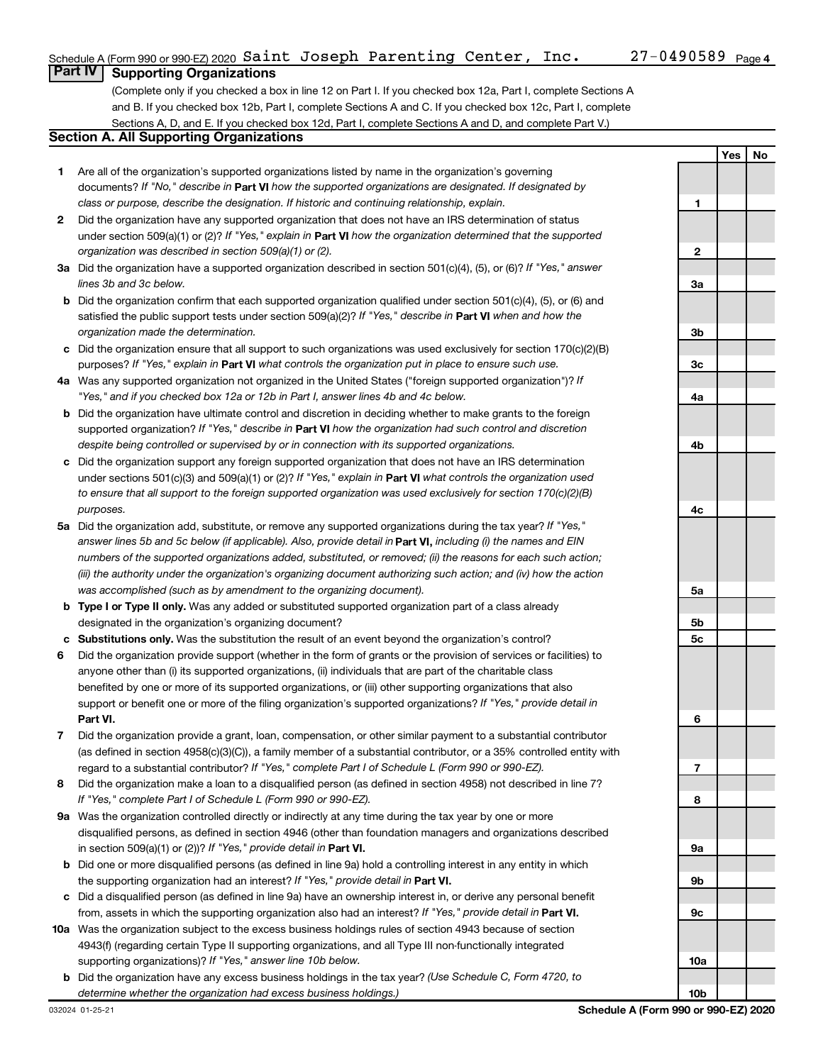**1**

**2**

**Yes No**

# **Part IV Supporting Organizations**

(Complete only if you checked a box in line 12 on Part I. If you checked box 12a, Part I, complete Sections A and B. If you checked box 12b, Part I, complete Sections A and C. If you checked box 12c, Part I, complete Sections A, D, and E. If you checked box 12d, Part I, complete Sections A and D, and complete Part V.)

# **Section A. All Supporting Organizations**

- **1** Are all of the organization's supported organizations listed by name in the organization's governing documents? If "No," describe in Part VI how the supported organizations are designated. If designated by *class or purpose, describe the designation. If historic and continuing relationship, explain.*
- **2** Did the organization have any supported organization that does not have an IRS determination of status under section 509(a)(1) or (2)? If "Yes," explain in Part **VI** how the organization determined that the supported *organization was described in section 509(a)(1) or (2).*
- **3a** Did the organization have a supported organization described in section 501(c)(4), (5), or (6)? If "Yes," answer *lines 3b and 3c below.*
- **b** Did the organization confirm that each supported organization qualified under section 501(c)(4), (5), or (6) and satisfied the public support tests under section 509(a)(2)? If "Yes," describe in Part VI when and how the *organization made the determination.*
- **c** Did the organization ensure that all support to such organizations was used exclusively for section 170(c)(2)(B) purposes? If "Yes," explain in Part VI what controls the organization put in place to ensure such use.
- **4 a** *If* Was any supported organization not organized in the United States ("foreign supported organization")? *"Yes," and if you checked box 12a or 12b in Part I, answer lines 4b and 4c below.*
- **b** Did the organization have ultimate control and discretion in deciding whether to make grants to the foreign supported organization? If "Yes," describe in Part VI how the organization had such control and discretion *despite being controlled or supervised by or in connection with its supported organizations.*
- **c** Did the organization support any foreign supported organization that does not have an IRS determination under sections 501(c)(3) and 509(a)(1) or (2)? If "Yes," explain in Part VI what controls the organization used *to ensure that all support to the foreign supported organization was used exclusively for section 170(c)(2)(B) purposes.*
- **5a** Did the organization add, substitute, or remove any supported organizations during the tax year? If "Yes," answer lines 5b and 5c below (if applicable). Also, provide detail in **Part VI,** including (i) the names and EIN *numbers of the supported organizations added, substituted, or removed; (ii) the reasons for each such action; (iii) the authority under the organization's organizing document authorizing such action; and (iv) how the action was accomplished (such as by amendment to the organizing document).*
- **b Type I or Type II only.** Was any added or substituted supported organization part of a class already designated in the organization's organizing document?
- **c Substitutions only.**  Was the substitution the result of an event beyond the organization's control?
- **6** Did the organization provide support (whether in the form of grants or the provision of services or facilities) to **Part VI.** support or benefit one or more of the filing organization's supported organizations? If "Yes," provide detail in anyone other than (i) its supported organizations, (ii) individuals that are part of the charitable class benefited by one or more of its supported organizations, or (iii) other supporting organizations that also
- **7** Did the organization provide a grant, loan, compensation, or other similar payment to a substantial contributor regard to a substantial contributor? If "Yes," complete Part I of Schedule L (Form 990 or 990-EZ). (as defined in section 4958(c)(3)(C)), a family member of a substantial contributor, or a 35% controlled entity with
- **8** Did the organization make a loan to a disqualified person (as defined in section 4958) not described in line 7? *If "Yes," complete Part I of Schedule L (Form 990 or 990-EZ).*
- **9 a** Was the organization controlled directly or indirectly at any time during the tax year by one or more in section 509(a)(1) or (2))? If "Yes," provide detail in **Part VI.** disqualified persons, as defined in section 4946 (other than foundation managers and organizations described
- **b** Did one or more disqualified persons (as defined in line 9a) hold a controlling interest in any entity in which the supporting organization had an interest? If "Yes," provide detail in Part VI.
- **c** Did a disqualified person (as defined in line 9a) have an ownership interest in, or derive any personal benefit from, assets in which the supporting organization also had an interest? If "Yes," provide detail in Part VI.
- **10 a** Was the organization subject to the excess business holdings rules of section 4943 because of section supporting organizations)? If "Yes," answer line 10b below. 4943(f) (regarding certain Type II supporting organizations, and all Type III non-functionally integrated
	- **b** Did the organization have any excess business holdings in the tax year? (Use Schedule C, Form 4720, to *determine whether the organization had excess business holdings.)*

**10b**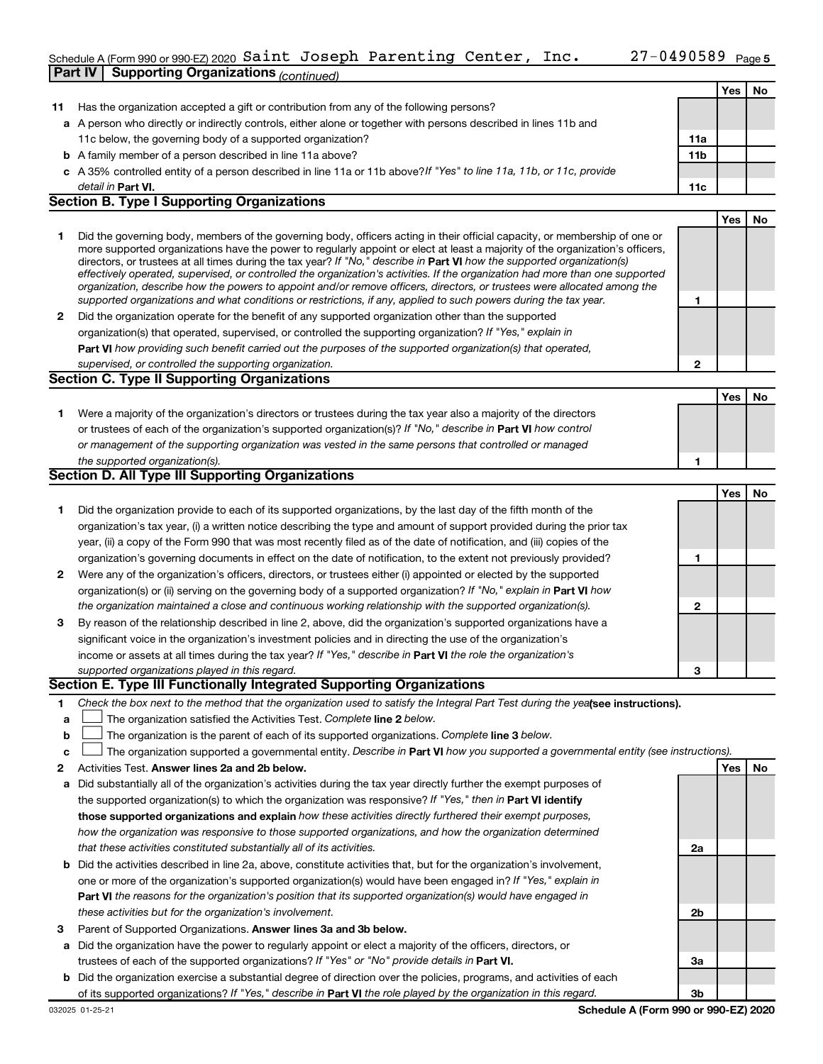### Schedule A (Form 990 or 990-EZ) 2020 SAINT JOSEPH PARENTING CENTER, INC.  $ZI-0490589$  Page **Part IV Supporting Organizations** *(continued)* Saint Joseph Parenting Center, Inc. 27-0490589

|    |                                                                                                                                                                                                                                                             |                 | Yes        | No |
|----|-------------------------------------------------------------------------------------------------------------------------------------------------------------------------------------------------------------------------------------------------------------|-----------------|------------|----|
| 11 | Has the organization accepted a gift or contribution from any of the following persons?                                                                                                                                                                     |                 |            |    |
|    | a A person who directly or indirectly controls, either alone or together with persons described in lines 11b and                                                                                                                                            |                 |            |    |
|    | 11c below, the governing body of a supported organization?                                                                                                                                                                                                  | 11a             |            |    |
|    | <b>b</b> A family member of a person described in line 11a above?                                                                                                                                                                                           | 11 <sub>b</sub> |            |    |
|    | c A 35% controlled entity of a person described in line 11a or 11b above? If "Yes" to line 11a, 11b, or 11c, provide                                                                                                                                        |                 |            |    |
|    | detail in Part VI.<br><b>Section B. Type I Supporting Organizations</b>                                                                                                                                                                                     | 11c             |            |    |
|    |                                                                                                                                                                                                                                                             |                 | <b>Yes</b> | No |
|    |                                                                                                                                                                                                                                                             |                 |            |    |
| 1  | Did the governing body, members of the governing body, officers acting in their official capacity, or membership of one or<br>more supported organizations have the power to regularly appoint or elect at least a majority of the organization's officers, |                 |            |    |
|    | directors, or trustees at all times during the tax year? If "No," describe in Part VI how the supported organization(s)                                                                                                                                     |                 |            |    |
|    | effectively operated, supervised, or controlled the organization's activities. If the organization had more than one supported                                                                                                                              |                 |            |    |
|    | organization, describe how the powers to appoint and/or remove officers, directors, or trustees were allocated among the<br>supported organizations and what conditions or restrictions, if any, applied to such powers during the tax year.                | 1               |            |    |
| 2  | Did the organization operate for the benefit of any supported organization other than the supported                                                                                                                                                         |                 |            |    |
|    | organization(s) that operated, supervised, or controlled the supporting organization? If "Yes," explain in                                                                                                                                                  |                 |            |    |
|    | Part VI how providing such benefit carried out the purposes of the supported organization(s) that operated,                                                                                                                                                 |                 |            |    |
|    | supervised, or controlled the supporting organization.                                                                                                                                                                                                      | $\mathbf{2}$    |            |    |
|    | <b>Section C. Type II Supporting Organizations</b>                                                                                                                                                                                                          |                 |            |    |
|    |                                                                                                                                                                                                                                                             |                 | Yes        | No |
| 1. | Were a majority of the organization's directors or trustees during the tax year also a majority of the directors                                                                                                                                            |                 |            |    |
|    | or trustees of each of the organization's supported organization(s)? If "No," describe in Part VI how control                                                                                                                                               |                 |            |    |
|    | or management of the supporting organization was vested in the same persons that controlled or managed                                                                                                                                                      |                 |            |    |
|    | the supported organization(s).                                                                                                                                                                                                                              | 1               |            |    |
|    | Section D. All Type III Supporting Organizations                                                                                                                                                                                                            |                 |            |    |
|    |                                                                                                                                                                                                                                                             |                 | Yes        | No |
| 1. | Did the organization provide to each of its supported organizations, by the last day of the fifth month of the                                                                                                                                              |                 |            |    |
|    | organization's tax year, (i) a written notice describing the type and amount of support provided during the prior tax                                                                                                                                       |                 |            |    |
|    | year, (ii) a copy of the Form 990 that was most recently filed as of the date of notification, and (iii) copies of the                                                                                                                                      |                 |            |    |
|    | organization's governing documents in effect on the date of notification, to the extent not previously provided?                                                                                                                                            | 1               |            |    |
| 2  | Were any of the organization's officers, directors, or trustees either (i) appointed or elected by the supported                                                                                                                                            |                 |            |    |
|    | organization(s) or (ii) serving on the governing body of a supported organization? If "No," explain in <b>Part VI</b> how                                                                                                                                   |                 |            |    |
|    | the organization maintained a close and continuous working relationship with the supported organization(s).                                                                                                                                                 | $\mathbf{2}$    |            |    |
| 3  | By reason of the relationship described in line 2, above, did the organization's supported organizations have a                                                                                                                                             |                 |            |    |
|    | significant voice in the organization's investment policies and in directing the use of the organization's                                                                                                                                                  |                 |            |    |
|    | income or assets at all times during the tax year? If "Yes," describe in Part VI the role the organization's                                                                                                                                                |                 |            |    |
|    | supported organizations played in this regard.                                                                                                                                                                                                              | 3               |            |    |
|    | Section E. Type III Functionally Integrated Supporting Organizations                                                                                                                                                                                        |                 |            |    |
| 1  | Check the box next to the method that the organization used to satisfy the Integral Part Test during the yealsee instructions).                                                                                                                             |                 |            |    |
| а  | The organization satisfied the Activities Test. Complete line 2 below.                                                                                                                                                                                      |                 |            |    |
| b  | The organization is the parent of each of its supported organizations. Complete line 3 below.                                                                                                                                                               |                 |            |    |
| с  | The organization supported a governmental entity. Describe in Part VI how you supported a governmental entity (see instructions).                                                                                                                           |                 |            |    |
| 2  | Activities Test. Answer lines 2a and 2b below.                                                                                                                                                                                                              |                 | Yes        | No |
| а  | Did substantially all of the organization's activities during the tax year directly further the exempt purposes of                                                                                                                                          |                 |            |    |
|    | the supported organization(s) to which the organization was responsive? If "Yes," then in Part VI identify                                                                                                                                                  |                 |            |    |
|    | those supported organizations and explain how these activities directly furthered their exempt purposes,                                                                                                                                                    |                 |            |    |
|    | how the organization was responsive to those supported organizations, and how the organization determined                                                                                                                                                   |                 |            |    |
|    | that these activities constituted substantially all of its activities.                                                                                                                                                                                      | 2a              |            |    |
|    | <b>b</b> Did the activities described in line 2a, above, constitute activities that, but for the organization's involvement,                                                                                                                                |                 |            |    |
|    | one or more of the organization's supported organization(s) would have been engaged in? If "Yes," explain in                                                                                                                                                |                 |            |    |
|    | <b>Part VI</b> the reasons for the organization's position that its supported organization(s) would have engaged in                                                                                                                                         |                 |            |    |
|    | these activities but for the organization's involvement.                                                                                                                                                                                                    | 2b              |            |    |
| з  | Parent of Supported Organizations. Answer lines 3a and 3b below.                                                                                                                                                                                            |                 |            |    |
| a  | Did the organization have the power to regularly appoint or elect a majority of the officers, directors, or                                                                                                                                                 |                 |            |    |
|    | trustees of each of the supported organizations? If "Yes" or "No" provide details in Part VI.                                                                                                                                                               | За              |            |    |
|    | <b>b</b> Did the organization exercise a substantial degree of direction over the policies, programs, and activities of each                                                                                                                                |                 |            |    |
|    | of its supported organizations? If "Yes," describe in Part VI the role played by the organization in this regard.                                                                                                                                           | 3b              |            |    |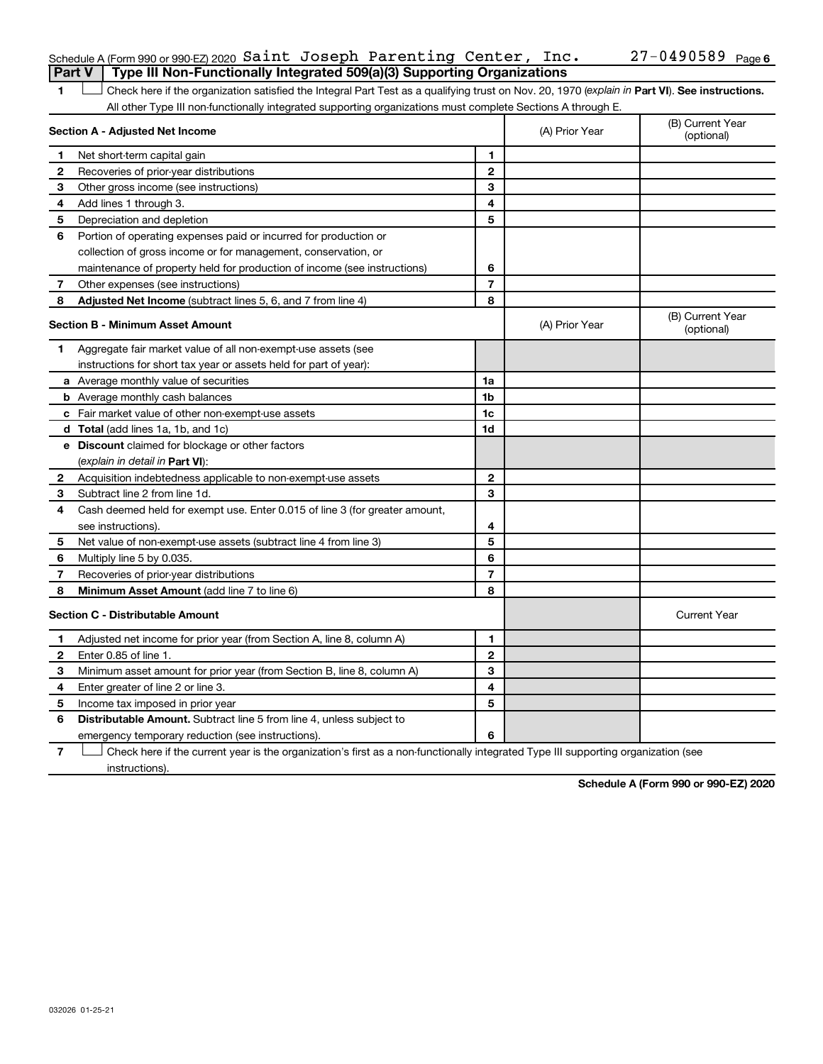| Schedule A (Form 990 or 990-EZ) 2020 Saint Joseph Parenting Center, $Inc.$            |  |  | $27 - 0490589$ Page 6 |  |
|---------------------------------------------------------------------------------------|--|--|-----------------------|--|
| <b>Part V</b> Type III Non-Functionally Integrated 509(a)(3) Supporting Organizations |  |  |                       |  |

1 **Letter See instructions.** Check here if the organization satisfied the Integral Part Test as a qualifying trust on Nov. 20, 1970 (*explain in* Part **VI**). See instructions. All other Type III non-functionally integrated supporting organizations must complete Sections A through E.

|    | Section A - Adjusted Net Income                                             |                | (A) Prior Year | (B) Current Year<br>(optional) |
|----|-----------------------------------------------------------------------------|----------------|----------------|--------------------------------|
| 1  | Net short-term capital gain                                                 | 1              |                |                                |
| 2  | Recoveries of prior-year distributions                                      | $\mathbf{2}$   |                |                                |
| 3  | Other gross income (see instructions)                                       | 3              |                |                                |
| 4  | Add lines 1 through 3.                                                      | 4              |                |                                |
| 5  | Depreciation and depletion                                                  | 5              |                |                                |
| 6  | Portion of operating expenses paid or incurred for production or            |                |                |                                |
|    | collection of gross income or for management, conservation, or              |                |                |                                |
|    | maintenance of property held for production of income (see instructions)    | 6              |                |                                |
| 7  | Other expenses (see instructions)                                           | $\overline{7}$ |                |                                |
| 8  | Adjusted Net Income (subtract lines 5, 6, and 7 from line 4)                | 8              |                |                                |
|    | <b>Section B - Minimum Asset Amount</b>                                     |                | (A) Prior Year | (B) Current Year<br>(optional) |
| 1. | Aggregate fair market value of all non-exempt-use assets (see               |                |                |                                |
|    | instructions for short tax year or assets held for part of year):           |                |                |                                |
|    | a Average monthly value of securities                                       | 1a             |                |                                |
|    | <b>b</b> Average monthly cash balances                                      | 1 <sub>b</sub> |                |                                |
|    | c Fair market value of other non-exempt-use assets                          | 1c             |                |                                |
|    | d Total (add lines 1a, 1b, and 1c)                                          | 1d             |                |                                |
|    | e Discount claimed for blockage or other factors                            |                |                |                                |
|    | (explain in detail in Part VI):                                             |                |                |                                |
| 2  | Acquisition indebtedness applicable to non-exempt-use assets                | $\mathbf{2}$   |                |                                |
| 3  | Subtract line 2 from line 1d.                                               | 3              |                |                                |
| 4  | Cash deemed held for exempt use. Enter 0.015 of line 3 (for greater amount, |                |                |                                |
|    | see instructions).                                                          | 4              |                |                                |
| 5  | Net value of non-exempt-use assets (subtract line 4 from line 3)            | 5              |                |                                |
| 6  | Multiply line 5 by 0.035.                                                   | 6              |                |                                |
| 7  | Recoveries of prior-year distributions                                      | $\overline{7}$ |                |                                |
| 8  | Minimum Asset Amount (add line 7 to line 6)                                 | 8              |                |                                |
|    | <b>Section C - Distributable Amount</b>                                     |                |                | <b>Current Year</b>            |
| 1  | Adjusted net income for prior year (from Section A, line 8, column A)       | 1              |                |                                |
| 2  | Enter 0.85 of line 1.                                                       | $\mathbf{2}$   |                |                                |
| З  | Minimum asset amount for prior year (from Section B, line 8, column A)      | 3              |                |                                |
| 4  | Enter greater of line 2 or line 3.                                          | 4              |                |                                |
| 5  | Income tax imposed in prior year                                            | 5              |                |                                |
| 6  | <b>Distributable Amount.</b> Subtract line 5 from line 4, unless subject to |                |                |                                |
|    | emergency temporary reduction (see instructions).                           | 6              |                |                                |

**7** Let Check here if the current year is the organization's first as a non-functionally integrated Type III supporting organization (see instructions).

**Schedule A (Form 990 or 990-EZ) 2020**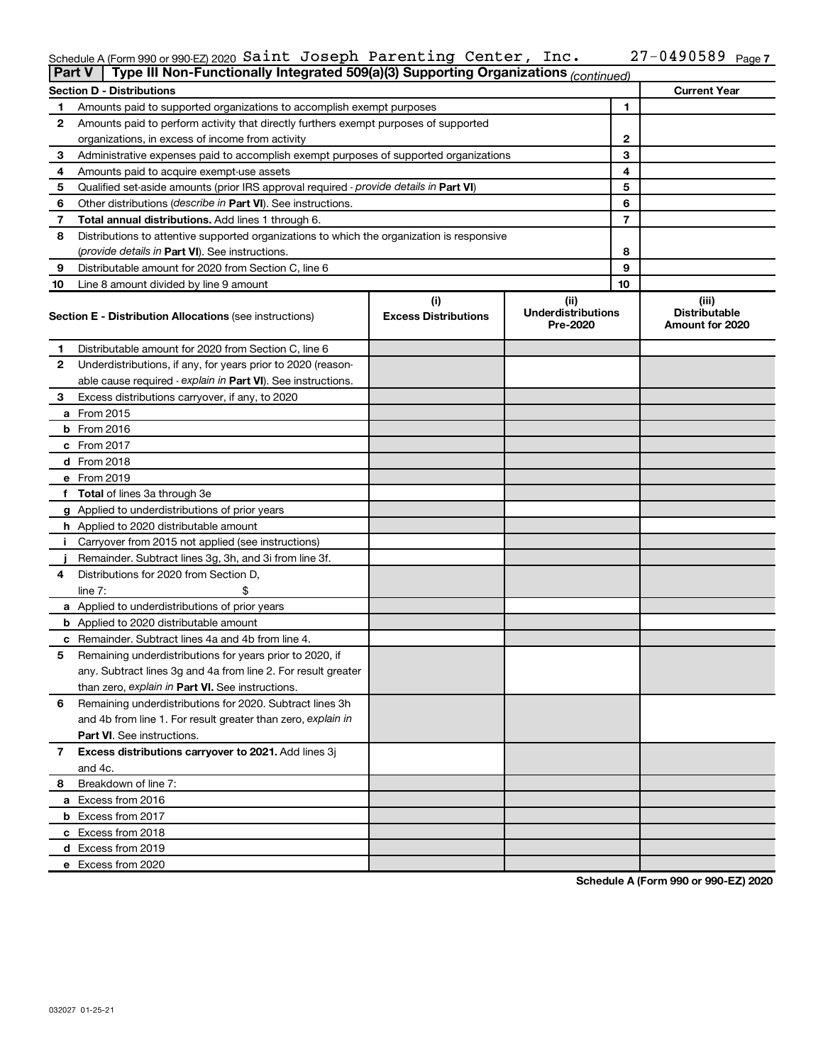### Schedule A (Form 990 or 990-EZ) 2020 SAINT JOSEPH PARENTING CENTER, INC.  $ZI-0490589$  Page Saint Joseph Parenting Center, Inc. 27-0490589

|    | Type III Non-Functionally Integrated 509(a)(3) Supporting Organizations (continued)<br><b>Part V</b> |                             |                                       |    |                                         |  |
|----|------------------------------------------------------------------------------------------------------|-----------------------------|---------------------------------------|----|-----------------------------------------|--|
|    | <b>Section D - Distributions</b>                                                                     |                             |                                       |    | <b>Current Year</b>                     |  |
| 1  | Amounts paid to supported organizations to accomplish exempt purposes                                |                             |                                       | 1  |                                         |  |
| 2  | Amounts paid to perform activity that directly furthers exempt purposes of supported                 |                             |                                       |    |                                         |  |
|    | organizations, in excess of income from activity                                                     |                             |                                       | 2  |                                         |  |
| 3  | Administrative expenses paid to accomplish exempt purposes of supported organizations                |                             |                                       | 3  |                                         |  |
| 4  | Amounts paid to acquire exempt-use assets                                                            |                             |                                       | 4  |                                         |  |
| 5  | Qualified set-aside amounts (prior IRS approval required - provide details in Part VI)               |                             |                                       | 5  |                                         |  |
| 6  | Other distributions ( <i>describe in Part VI</i> ). See instructions.                                |                             |                                       | 6  |                                         |  |
| 7  | Total annual distributions. Add lines 1 through 6.                                                   |                             |                                       | 7  |                                         |  |
| 8  | Distributions to attentive supported organizations to which the organization is responsive           |                             |                                       |    |                                         |  |
|    | (provide details in Part VI). See instructions.                                                      |                             |                                       | 8  |                                         |  |
| 9  | Distributable amount for 2020 from Section C, line 6                                                 |                             |                                       | 9  |                                         |  |
| 10 | Line 8 amount divided by line 9 amount                                                               |                             |                                       | 10 |                                         |  |
|    |                                                                                                      | (i)                         | (ii)                                  |    | (iii)                                   |  |
|    | <b>Section E - Distribution Allocations (see instructions)</b>                                       | <b>Excess Distributions</b> | <b>Underdistributions</b><br>Pre-2020 |    | <b>Distributable</b><br>Amount for 2020 |  |
| 1  | Distributable amount for 2020 from Section C, line 6                                                 |                             |                                       |    |                                         |  |
| 2  | Underdistributions, if any, for years prior to 2020 (reason-                                         |                             |                                       |    |                                         |  |
|    | able cause required - explain in Part VI). See instructions.                                         |                             |                                       |    |                                         |  |
| 3  | Excess distributions carryover, if any, to 2020                                                      |                             |                                       |    |                                         |  |
|    | a From 2015                                                                                          |                             |                                       |    |                                         |  |
|    | <b>b</b> From 2016                                                                                   |                             |                                       |    |                                         |  |
|    | c From 2017                                                                                          |                             |                                       |    |                                         |  |
|    | d From 2018                                                                                          |                             |                                       |    |                                         |  |
|    | e From 2019                                                                                          |                             |                                       |    |                                         |  |
|    | f Total of lines 3a through 3e                                                                       |                             |                                       |    |                                         |  |
|    | g Applied to underdistributions of prior years                                                       |                             |                                       |    |                                         |  |
|    | <b>h</b> Applied to 2020 distributable amount                                                        |                             |                                       |    |                                         |  |
| Ť. | Carryover from 2015 not applied (see instructions)                                                   |                             |                                       |    |                                         |  |
|    | Remainder. Subtract lines 3g, 3h, and 3i from line 3f.                                               |                             |                                       |    |                                         |  |
| 4  | Distributions for 2020 from Section D,                                                               |                             |                                       |    |                                         |  |
|    | line $7:$                                                                                            |                             |                                       |    |                                         |  |
|    | a Applied to underdistributions of prior years                                                       |                             |                                       |    |                                         |  |
|    | <b>b</b> Applied to 2020 distributable amount                                                        |                             |                                       |    |                                         |  |
|    | c Remainder. Subtract lines 4a and 4b from line 4.                                                   |                             |                                       |    |                                         |  |
| 5  | Remaining underdistributions for years prior to 2020, if                                             |                             |                                       |    |                                         |  |
|    | any. Subtract lines 3g and 4a from line 2. For result greater                                        |                             |                                       |    |                                         |  |
|    | than zero, explain in Part VI. See instructions.                                                     |                             |                                       |    |                                         |  |
| 6  | Remaining underdistributions for 2020. Subtract lines 3h                                             |                             |                                       |    |                                         |  |
|    | and 4b from line 1. For result greater than zero, explain in                                         |                             |                                       |    |                                         |  |
|    | <b>Part VI.</b> See instructions.                                                                    |                             |                                       |    |                                         |  |
| 7  | Excess distributions carryover to 2021. Add lines 3j                                                 |                             |                                       |    |                                         |  |
|    | and 4c.                                                                                              |                             |                                       |    |                                         |  |
| 8  | Breakdown of line 7:                                                                                 |                             |                                       |    |                                         |  |
|    | a Excess from 2016                                                                                   |                             |                                       |    |                                         |  |
|    | <b>b</b> Excess from 2017                                                                            |                             |                                       |    |                                         |  |
|    | c Excess from 2018                                                                                   |                             |                                       |    |                                         |  |
|    | d Excess from 2019                                                                                   |                             |                                       |    |                                         |  |
|    | e Excess from 2020                                                                                   |                             |                                       |    |                                         |  |

**Schedule A (Form 990 or 990-EZ) 2020**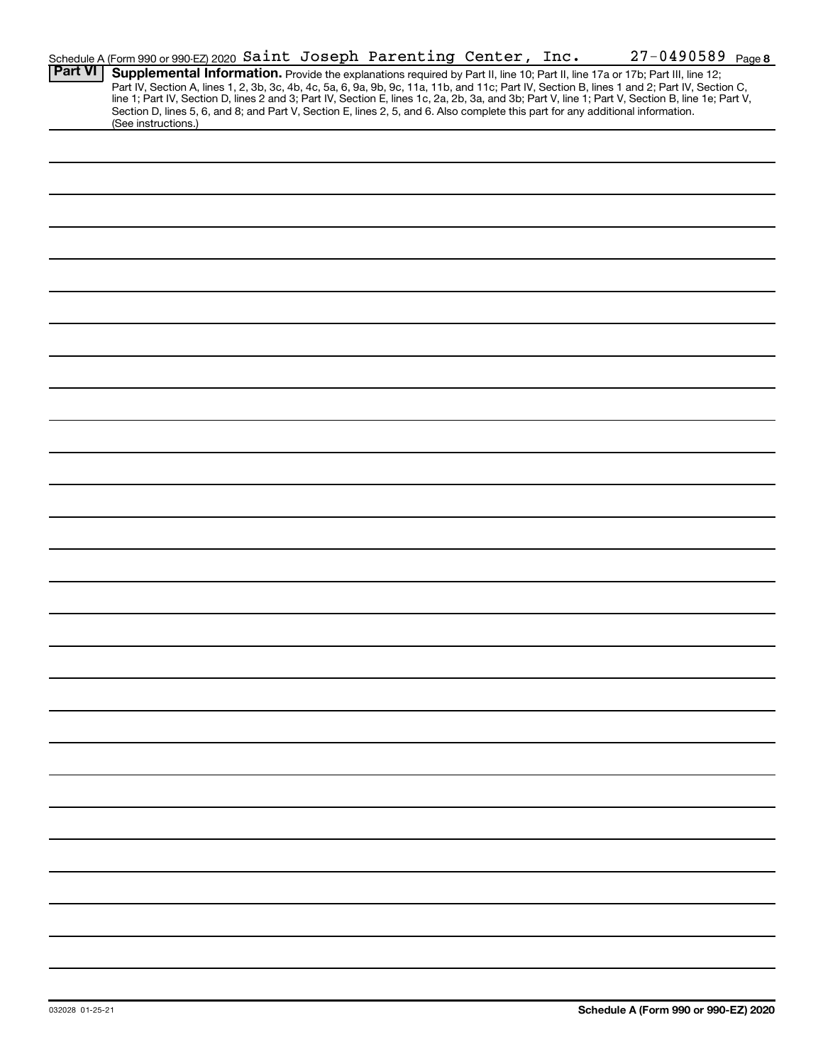|                | Schedule A (Form 990 or 990-EZ) 2020 Saint Joseph Parenting Center, Inc.                                                                                                                                                                                                                                                                                                                                                          |  |  | 27-0490589 Page 8 |  |
|----------------|-----------------------------------------------------------------------------------------------------------------------------------------------------------------------------------------------------------------------------------------------------------------------------------------------------------------------------------------------------------------------------------------------------------------------------------|--|--|-------------------|--|
| <b>Part VI</b> | Supplemental Information. Provide the explanations required by Part II, line 10; Part II, line 17a or 17b; Part III, line 12;<br>Part IV, Section A, lines 1, 2, 3b, 3c, 4b, 4c, 5a, 6, 9a, 9b, 9c, 11a, 11b, and 11c; Part IV, Section B, lines 1 and 2; Part IV, Section C,<br>line 1; Part IV, Section D, lines 2 and 3; Part IV, Section E, lines 1c, 2a, 2b, 3a, and 3b; Part V, line 1; Part V, Section B, line 1e; Part V, |  |  |                   |  |
|                | Section D, lines 5, 6, and 8; and Part V, Section E, lines 2, 5, and 6. Also complete this part for any additional information.<br>(See instructions.)                                                                                                                                                                                                                                                                            |  |  |                   |  |
|                |                                                                                                                                                                                                                                                                                                                                                                                                                                   |  |  |                   |  |
|                |                                                                                                                                                                                                                                                                                                                                                                                                                                   |  |  |                   |  |
|                |                                                                                                                                                                                                                                                                                                                                                                                                                                   |  |  |                   |  |
|                |                                                                                                                                                                                                                                                                                                                                                                                                                                   |  |  |                   |  |
|                |                                                                                                                                                                                                                                                                                                                                                                                                                                   |  |  |                   |  |
|                |                                                                                                                                                                                                                                                                                                                                                                                                                                   |  |  |                   |  |
|                |                                                                                                                                                                                                                                                                                                                                                                                                                                   |  |  |                   |  |
|                |                                                                                                                                                                                                                                                                                                                                                                                                                                   |  |  |                   |  |
|                |                                                                                                                                                                                                                                                                                                                                                                                                                                   |  |  |                   |  |
|                |                                                                                                                                                                                                                                                                                                                                                                                                                                   |  |  |                   |  |
|                |                                                                                                                                                                                                                                                                                                                                                                                                                                   |  |  |                   |  |
|                |                                                                                                                                                                                                                                                                                                                                                                                                                                   |  |  |                   |  |
|                |                                                                                                                                                                                                                                                                                                                                                                                                                                   |  |  |                   |  |
|                |                                                                                                                                                                                                                                                                                                                                                                                                                                   |  |  |                   |  |
|                |                                                                                                                                                                                                                                                                                                                                                                                                                                   |  |  |                   |  |
|                |                                                                                                                                                                                                                                                                                                                                                                                                                                   |  |  |                   |  |
|                |                                                                                                                                                                                                                                                                                                                                                                                                                                   |  |  |                   |  |
|                |                                                                                                                                                                                                                                                                                                                                                                                                                                   |  |  |                   |  |
|                |                                                                                                                                                                                                                                                                                                                                                                                                                                   |  |  |                   |  |
|                |                                                                                                                                                                                                                                                                                                                                                                                                                                   |  |  |                   |  |
|                |                                                                                                                                                                                                                                                                                                                                                                                                                                   |  |  |                   |  |
|                |                                                                                                                                                                                                                                                                                                                                                                                                                                   |  |  |                   |  |
|                |                                                                                                                                                                                                                                                                                                                                                                                                                                   |  |  |                   |  |
|                |                                                                                                                                                                                                                                                                                                                                                                                                                                   |  |  |                   |  |
|                |                                                                                                                                                                                                                                                                                                                                                                                                                                   |  |  |                   |  |
|                |                                                                                                                                                                                                                                                                                                                                                                                                                                   |  |  |                   |  |
|                |                                                                                                                                                                                                                                                                                                                                                                                                                                   |  |  |                   |  |
|                |                                                                                                                                                                                                                                                                                                                                                                                                                                   |  |  |                   |  |
|                |                                                                                                                                                                                                                                                                                                                                                                                                                                   |  |  |                   |  |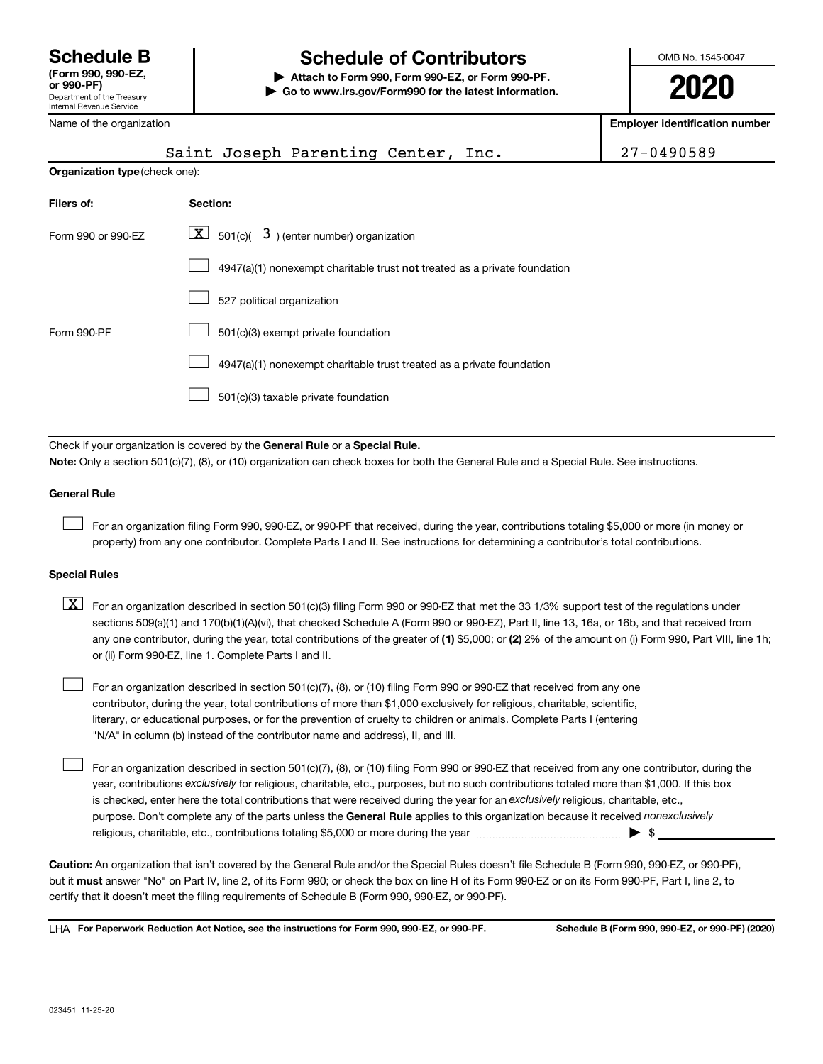# **Schedule B Schedule of Contributors**

**or 990-PF) | Attach to Form 990, Form 990-EZ, or Form 990-PF. | Go to www.irs.gov/Form990 for the latest information.** OMB No. 1545-0047

**2020**

| Name of the organization       |                                                                                                                                                                                                                           | <b>Employer identification number</b> |
|--------------------------------|---------------------------------------------------------------------------------------------------------------------------------------------------------------------------------------------------------------------------|---------------------------------------|
|                                | Saint Joseph Parenting Center, Inc.                                                                                                                                                                                       | 27-0490589                            |
| Organization type (check one): |                                                                                                                                                                                                                           |                                       |
| Filers of:                     | Section:                                                                                                                                                                                                                  |                                       |
| Form 990 or 990-EZ             | $\boxed{\textbf{X}}$ 501(c)( 3) (enter number) organization                                                                                                                                                               |                                       |
|                                | 4947(a)(1) nonexempt charitable trust not treated as a private foundation                                                                                                                                                 |                                       |
|                                | 527 political organization                                                                                                                                                                                                |                                       |
| Form 990-PF                    | 501(c)(3) exempt private foundation                                                                                                                                                                                       |                                       |
|                                | 4947(a)(1) nonexempt charitable trust treated as a private foundation                                                                                                                                                     |                                       |
|                                | 501(c)(3) taxable private foundation                                                                                                                                                                                      |                                       |
|                                |                                                                                                                                                                                                                           |                                       |
|                                | Check if your organization is covered by the General Rule or a Special Rule.<br>Note: Only a section 501(c)(7), (8), or (10) organization can check boxes for both the General Rule and a Special Rule. See instructions. |                                       |
| <b>General Rule</b>            |                                                                                                                                                                                                                           |                                       |

For an organization filing Form 990, 990-EZ, or 990-PF that received, during the year, contributions totaling \$5,000 or more (in money or property) from any one contributor. Complete Parts I and II. See instructions for determining a contributor's total contributions.

### **Special Rules**

 $\Box$ 

 $\Box$ 

any one contributor, during the year, total contributions of the greater of (1) \$5,000; or (2) 2% of the amount on (i) Form 990, Part VIII, line 1h;  $\boxed{\text{X}}$  For an organization described in section 501(c)(3) filing Form 990 or 990-EZ that met the 33 1/3% support test of the regulations under sections 509(a)(1) and 170(b)(1)(A)(vi), that checked Schedule A (Form 990 or 990-EZ), Part II, line 13, 16a, or 16b, and that received from or (ii) Form 990-EZ, line 1. Complete Parts I and II.

For an organization described in section 501(c)(7), (8), or (10) filing Form 990 or 990-EZ that received from any one contributor, during the year, total contributions of more than \$1,000 exclusively for religious, charitable, scientific, literary, or educational purposes, or for the prevention of cruelty to children or animals. Complete Parts I (entering "N/A" in column (b) instead of the contributor name and address), II, and III.  $\Box$ 

purpose. Don't complete any of the parts unless the General Rule applies to this organization because it received nonexclusively year, contributions exclusively for religious, charitable, etc., purposes, but no such contributions totaled more than \$1,000. If this box is checked, enter here the total contributions that were received during the year for an exclusively religious, charitable, etc., For an organization described in section 501(c)(7), (8), or (10) filing Form 990 or 990-EZ that received from any one contributor, during the religious, charitable, etc., contributions totaling \$5,000 or more during the year  $~\ldots\ldots\ldots\ldots\ldots\ldots\ldots\ldots\ldots\blacktriangleright~$ \$

**Caution:**  An organization that isn't covered by the General Rule and/or the Special Rules doesn't file Schedule B (Form 990, 990-EZ, or 990-PF),  **must** but it answer "No" on Part IV, line 2, of its Form 990; or check the box on line H of its Form 990-EZ or on its Form 990-PF, Part I, line 2, to certify that it doesn't meet the filing requirements of Schedule B (Form 990, 990-EZ, or 990-PF).

**For Paperwork Reduction Act Notice, see the instructions for Form 990, 990-EZ, or 990-PF. Schedule B (Form 990, 990-EZ, or 990-PF) (2020)** LHA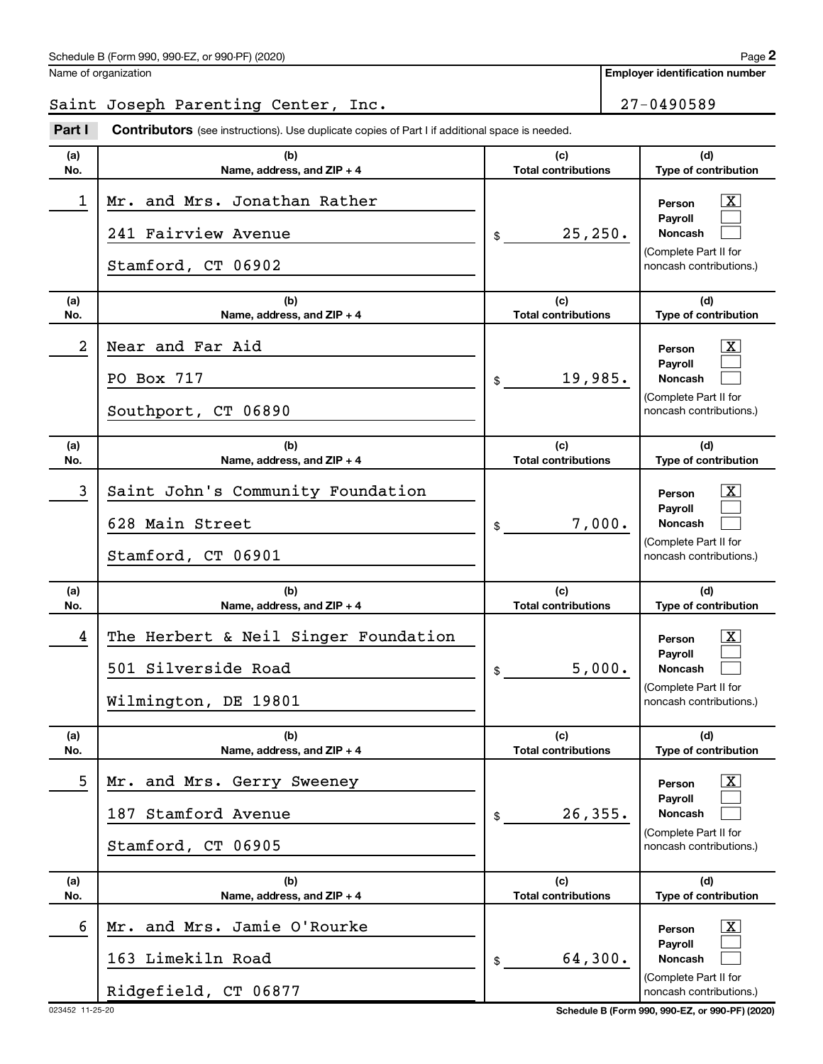**Employer identification number**

# Saint Joseph Parenting Center, Inc. 27-0490589

**Part I** Contributors (see instructions). Use duplicate copies of Part I if additional space is needed.

| (a)<br>No. | (b)<br>Name, address, and ZIP + 4                                                   | (c)<br><b>Total contributions</b> | (d)<br>Type of contribution                                                                            |
|------------|-------------------------------------------------------------------------------------|-----------------------------------|--------------------------------------------------------------------------------------------------------|
| 1          | Mr. and Mrs. Jonathan Rather<br>241 Fairview Avenue<br>Stamford, CT 06902           | 25, 250.<br>\$                    | <u>x</u><br>Person<br>Payroll<br><b>Noncash</b><br>(Complete Part II for<br>noncash contributions.)    |
| (a)<br>No. | (b)<br>Name, address, and ZIP + 4                                                   | (c)<br><b>Total contributions</b> | (d)<br>Type of contribution                                                                            |
| 2          | Near and Far Aid<br>PO Box 717                                                      | 19,985.<br>\$                     | <u>x</u><br>Person<br>Payroll<br><b>Noncash</b>                                                        |
|            | Southport, CT 06890                                                                 |                                   | (Complete Part II for<br>noncash contributions.)                                                       |
| (a)<br>No. | (b)<br>Name, address, and ZIP + 4                                                   | (c)<br><b>Total contributions</b> | (d)<br>Type of contribution                                                                            |
| 3          | Saint John's Community Foundation<br>628 Main Street<br>Stamford, CT 06901          | 7,000.<br>\$                      | <u>x</u><br>Person<br>Payroll<br><b>Noncash</b><br>(Complete Part II for<br>noncash contributions.)    |
| (a)<br>No. | (b)<br>Name, address, and ZIP + 4                                                   | (c)<br><b>Total contributions</b> | (d)<br>Type of contribution                                                                            |
| 4          | The Herbert & Neil Singer Foundation<br>501 Silverside Road<br>Wilmington, DE 19801 | 5,000.<br>\$                      | <u>x</u><br>Person<br>Payroll<br><b>Noncash</b><br>(Complete Part II for<br>noncash contributions.)    |
| (a)<br>No. | (b)<br>Name, address, and ZIP + 4                                                   | (c)<br><b>Total contributions</b> | (d)<br><b>Type of contribution</b>                                                                     |
| 5          | Mr. and Mrs. Gerry Sweeney<br>187 Stamford Avenue<br>Stamford, CT 06905             | 26, 355.<br>\$                    | $\boxed{\text{X}}$<br>Person<br>Pavroll<br>Noncash<br>(Complete Part II for<br>noncash contributions.) |
| (a)<br>No. | (b)<br>Name, address, and ZIP + 4                                                   | (c)<br><b>Total contributions</b> | (d)<br>Type of contribution                                                                            |
| 6          | Mr. and Mrs. Jamie O'Rourke<br>163 Limekiln Road<br>Ridgefield, CT 06877            | 64,300.<br>\$                     | $\boxed{\text{X}}$<br>Person<br>Payroll<br>Noncash<br>(Complete Part II for<br>noncash contributions.) |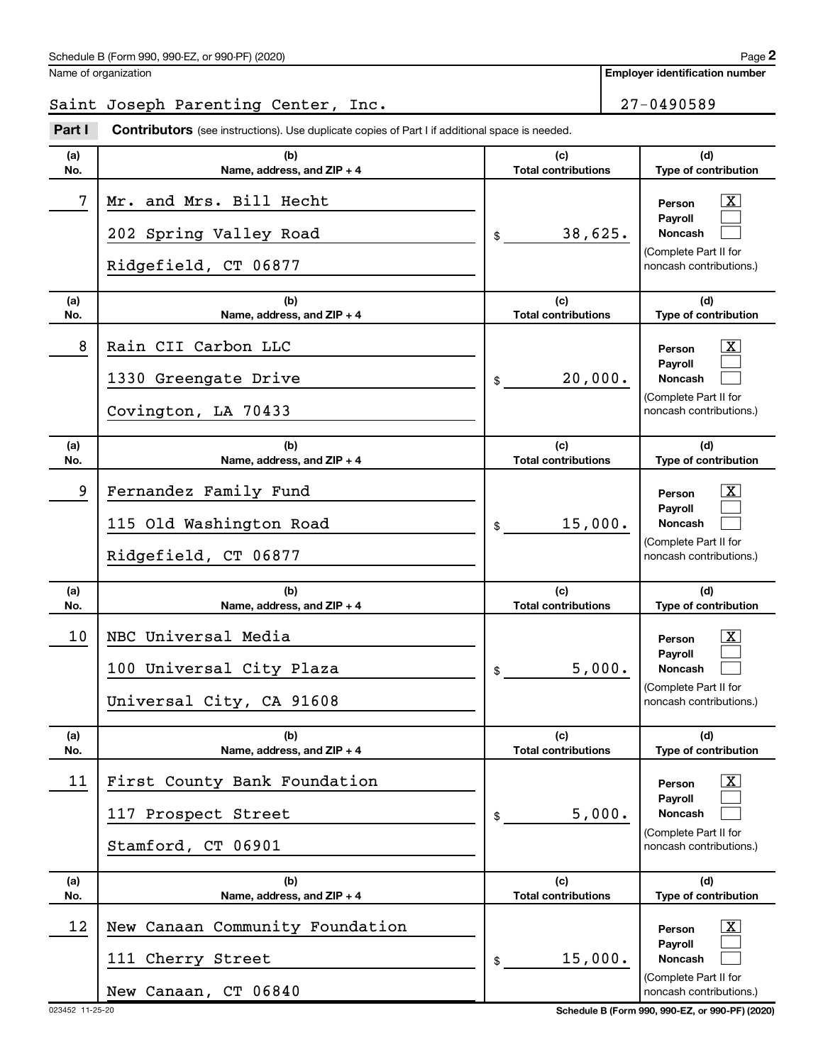**Employer identification number**

# Saint Joseph Parenting Center, Inc. 27-0490589

**Part I** Contributors (see instructions). Use duplicate copies of Part I if additional space is needed.

| (a)<br>No. | (b)<br>Name, address, and ZIP + 4                                            | (c)<br><b>Total contributions</b> | (d)<br>Type of contribution                                                                                    |
|------------|------------------------------------------------------------------------------|-----------------------------------|----------------------------------------------------------------------------------------------------------------|
| 7          | Mr. and Mrs. Bill Hecht<br>202 Spring Valley Road<br>Ridgefield, CT 06877    | 38,625.<br>\$                     | $\mathbf{X}$<br>Person<br><b>Payroll</b><br><b>Noncash</b><br>(Complete Part II for<br>noncash contributions.) |
| (a)<br>No. | (b)<br>Name, address, and ZIP + 4                                            | (c)<br><b>Total contributions</b> | (d)<br>Type of contribution                                                                                    |
| 8          | Rain CII Carbon LLC<br>1330 Greengate Drive<br>Covington, LA 70433           | 20,000.<br>\$                     | $\mathbf{X}$<br>Person<br><b>Payroll</b><br><b>Noncash</b><br>(Complete Part II for<br>noncash contributions.) |
| (a)<br>No. | (b)<br>Name, address, and ZIP + 4                                            | (c)<br><b>Total contributions</b> | (d)<br>Type of contribution                                                                                    |
| 9          | Fernandez Family Fund<br>115 Old Washington Road<br>Ridgefield, CT 06877     | 15,000.<br>\$                     | $\mathbf{X}$<br>Person<br><b>Payroll</b><br><b>Noncash</b><br>(Complete Part II for<br>noncash contributions.) |
| (a)<br>No. | (b)<br>Name, address, and ZIP + 4                                            | (c)<br><b>Total contributions</b> | (d)<br>Type of contribution                                                                                    |
| 10         | NBC Universal Media<br>100 Universal City Plaza<br>Universal City, CA 91608  | 5,000.<br>\$                      | $\mathbf{X}$<br>Person<br><b>Payroll</b><br><b>Noncash</b><br>(Complete Part II for<br>noncash contributions.) |
| (a)<br>No. | (b)<br>Name, address, and ZIP + 4                                            | (c)<br><b>Total contributions</b> | (d)<br>Type of contribution                                                                                    |
| 11         | First County Bank Foundation<br>117 Prospect Street<br>Stamford, CT 06901    | 5,000.<br>\$                      | $\overline{\mathbf{X}}$<br>Person<br>Payroll<br>Noncash<br>(Complete Part II for<br>noncash contributions.)    |
| (a)<br>No. | (b)<br>Name, address, and ZIP + 4                                            | (c)<br><b>Total contributions</b> | (d)<br>Type of contribution                                                                                    |
| 12         | New Canaan Community Foundation<br>111 Cherry Street<br>New Canaan, CT 06840 | 15,000.<br>\$                     | $\mathbf{X}$<br>Person<br><b>Payroll</b><br>Noncash<br>(Complete Part II for<br>noncash contributions.)        |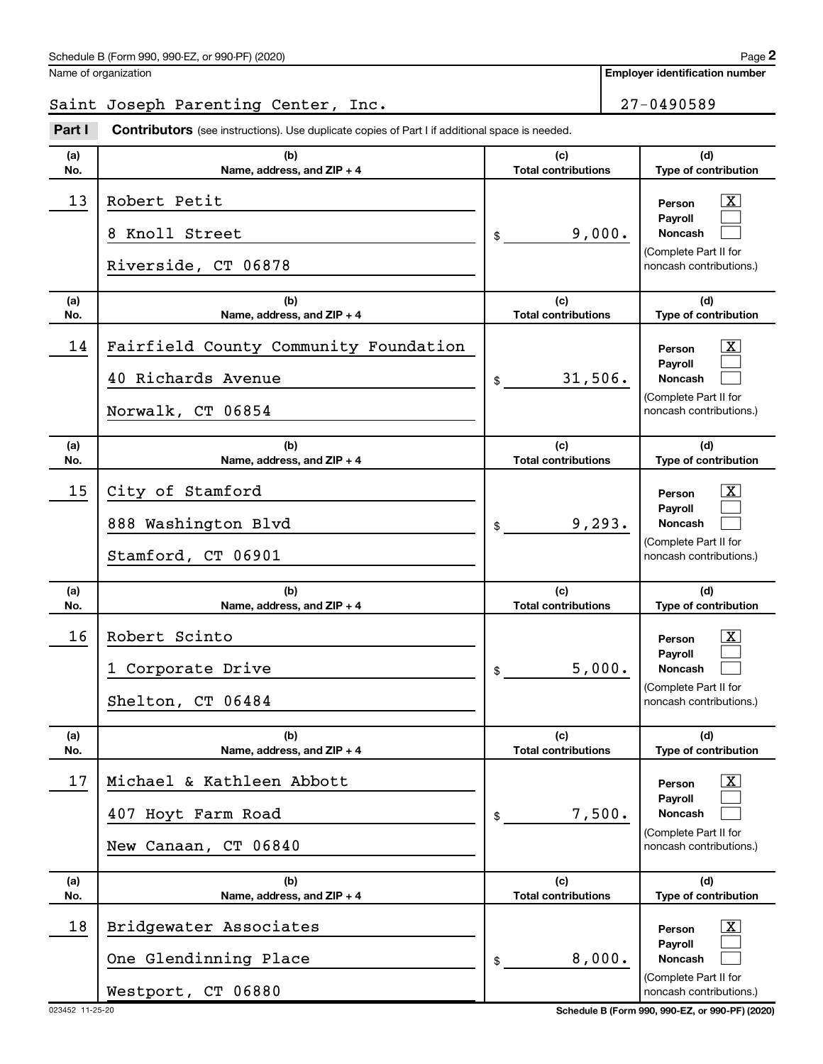**Employer identification number**

# Saint Joseph Parenting Center, Inc. 27-0490589

**Part I** Contributors (see instructions). Use duplicate copies of Part I if additional space is needed.

| (a)<br>No. | (b)<br>Name, address, and ZIP + 4                                                | (c)<br><b>Total contributions</b> | (d)<br>Type of contribution                                                                                     |
|------------|----------------------------------------------------------------------------------|-----------------------------------|-----------------------------------------------------------------------------------------------------------------|
| 13         | Robert Petit<br>Knoll Street<br>8<br>Riverside, CT 06878                         | 9,000.<br>\$                      | $\mathbf{X}$<br>Person<br>Pavroll<br><b>Noncash</b><br>(Complete Part II for<br>noncash contributions.)         |
| (a)<br>No. | (b)<br>Name, address, and ZIP + 4                                                | (c)<br><b>Total contributions</b> | (d)<br>Type of contribution                                                                                     |
| 14         | Fairfield County Community Foundation<br>40 Richards Avenue<br>Norwalk, CT 06854 | 31,506.<br>\$                     | $\mathbf{X}$<br>Person<br>Payroll<br><b>Noncash</b><br>(Complete Part II for<br>noncash contributions.)         |
| (a)<br>No. | (b)<br>Name, address, and ZIP + 4                                                | (c)<br><b>Total contributions</b> | (d)<br>Type of contribution                                                                                     |
| 15         | City of Stamford<br>888 Washington Blvd<br>Stamford, CT 06901                    | 9, 293.<br>\$                     | $\mathbf{X}$<br>Person<br>Payroll<br><b>Noncash</b><br>(Complete Part II for<br>noncash contributions.)         |
| (a)<br>No. | (b)<br>Name, address, and ZIP + 4                                                | (c)<br><b>Total contributions</b> | (d)<br>Type of contribution                                                                                     |
| 16         | Robert Scinto<br>Corporate Drive<br>$\mathbf{1}$<br>Shelton, CT 06484            | 5,000.<br>\$                      | $\mathbf{X}$<br>Person<br>Payroll<br><b>Noncash</b><br>(Complete Part II for<br>noncash contributions.)         |
| (a)<br>No. | (b)<br>Name, address, and ZIP + 4                                                | (c)<br><b>Total contributions</b> | (d)<br>Type of contribution                                                                                     |
| 17         | Michael & Kathleen Abbott<br>407 Hoyt Farm Road<br>New Canaan, CT 06840          | 7,500.<br>\$                      | $\boxed{\textbf{X}}$<br>Person<br>Payroll<br><b>Noncash</b><br>(Complete Part II for<br>noncash contributions.) |
| (a)<br>No. | (b)<br>Name, address, and ZIP + 4                                                | (c)<br><b>Total contributions</b> | (d)<br>Type of contribution                                                                                     |
| 18         | Bridgewater Associates<br>One Glendinning Place<br>Westport, CT 06880            | 8,000.<br>\$                      | $\boxed{\textbf{X}}$<br>Person<br>Payroll<br><b>Noncash</b><br>(Complete Part II for<br>noncash contributions.) |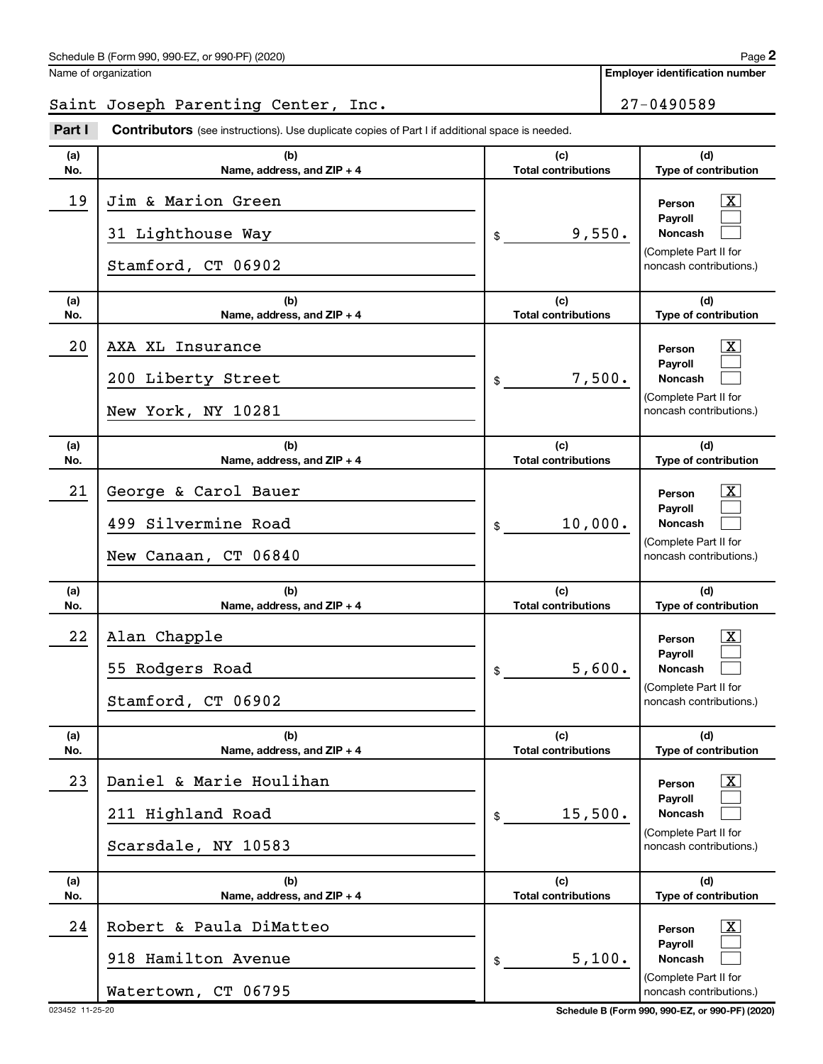**Employer identification number**

# Saint Joseph Parenting Center, Inc. 27-0490589

**Part I** Contributors (see instructions). Use duplicate copies of Part I if additional space is needed.

| (a)<br>No. | (b)<br>Name, address, and $ZIP + 4$                                   | (c)<br><b>Total contributions</b> | (d)<br>Type of contribution                                                                                               |
|------------|-----------------------------------------------------------------------|-----------------------------------|---------------------------------------------------------------------------------------------------------------------------|
| 19         | Jim & Marion Green<br>31 Lighthouse Way<br>Stamford, CT 06902         | 9,550.<br>\$                      | $\overline{\mathbf{X}}$<br>Person<br><b>Payroll</b><br><b>Noncash</b><br>(Complete Part II for<br>noncash contributions.) |
| (a)<br>No. | (b)<br>Name, address, and $ZIP + 4$                                   | (c)<br><b>Total contributions</b> | (d)<br>Type of contribution                                                                                               |
| 20         | AXA XL Insurance<br>200 Liberty Street<br>New York, NY 10281          | 7,500.<br>\$                      | $\overline{\mathbf{X}}$<br>Person<br><b>Payroll</b><br><b>Noncash</b><br>(Complete Part II for<br>noncash contributions.) |
| (a)<br>No. | (b)<br>Name, address, and ZIP + 4                                     | (c)<br><b>Total contributions</b> | (d)<br>Type of contribution                                                                                               |
| 21         | George & Carol Bauer<br>499 Silvermine Road<br>New Canaan, CT 06840   | 10,000.<br>\$                     | $\overline{\mathbf{X}}$<br>Person<br><b>Payroll</b><br><b>Noncash</b><br>(Complete Part II for<br>noncash contributions.) |
| (a)<br>No. | (b)<br>Name, address, and ZIP + 4                                     | (c)<br><b>Total contributions</b> | (d)<br>Type of contribution                                                                                               |
| 22         | Alan Chapple<br>55 Rodgers Road<br>Stamford, CT 06902                 | 5,600.<br>\$                      | $\overline{\mathbf{X}}$<br>Person<br><b>Payroll</b><br><b>Noncash</b><br>(Complete Part II for<br>noncash contributions.) |
| (a)<br>No. | (b)<br>Name, address, and ZIP + 4                                     | (c)<br><b>Total contributions</b> | (d)<br>Type of contribution                                                                                               |
| 23         | Daniel & Marie Houlihan<br>211 Highland Road<br>Scarsdale, NY 10583   | 15,500.<br>\$                     | $\overline{\mathbf{X}}$<br>Person<br>Payroll<br><b>Noncash</b><br>(Complete Part II for<br>noncash contributions.)        |
| (a)<br>No. | (b)<br>Name, address, and ZIP + 4                                     | (c)<br><b>Total contributions</b> | (d)<br>Type of contribution                                                                                               |
| 24         | Robert & Paula DiMatteo<br>918 Hamilton Avenue<br>Watertown, CT 06795 | 5,100.<br>\$                      | $\overline{\mathbf{X}}$<br>Person<br>Payroll<br><b>Noncash</b><br>(Complete Part II for<br>noncash contributions.)        |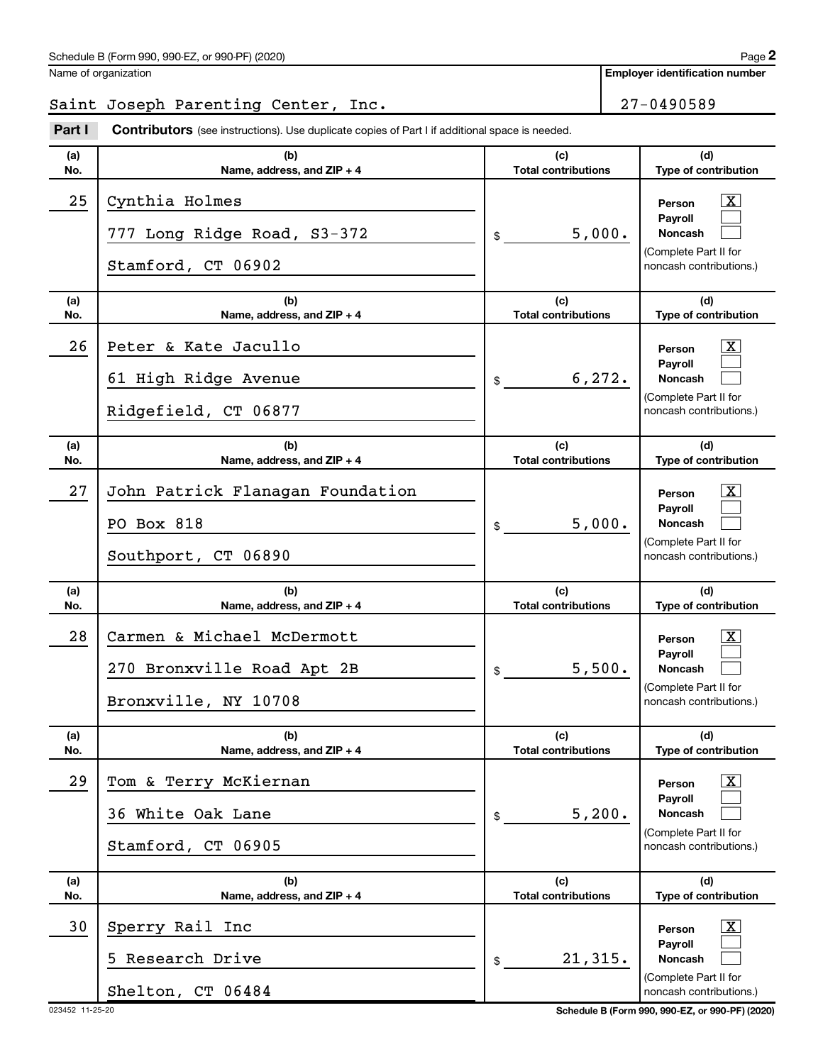**Employer identification number**

# Saint Joseph Parenting Center, Inc. 27-0490589

**Part I** Contributors (see instructions). Use duplicate copies of Part I if additional space is needed.

| (a)<br>No. | (b)<br>Name, address, and ZIP + 4                                                | (c)<br><b>Total contributions</b> | (d)<br>Type of contribution                                                                                        |
|------------|----------------------------------------------------------------------------------|-----------------------------------|--------------------------------------------------------------------------------------------------------------------|
| 25         | Cynthia Holmes<br>777 Long Ridge Road, S3-372<br>Stamford, CT 06902              | 5,000.<br>\$                      | $\overline{\mathbf{X}}$<br>Person<br>Pavroll<br><b>Noncash</b><br>(Complete Part II for<br>noncash contributions.) |
| (a)<br>No. | (b)<br>Name, address, and ZIP + 4                                                | (c)<br><b>Total contributions</b> | (d)<br>Type of contribution                                                                                        |
| 26         | Peter & Kate Jacullo<br>61 High Ridge Avenue<br>Ridgefield, CT 06877             | 6, 272.<br>\$                     | $\overline{\mathbf{X}}$<br>Person<br>Payroll<br><b>Noncash</b><br>(Complete Part II for<br>noncash contributions.) |
| (a)<br>No. | (b)<br>Name, address, and ZIP + 4                                                | (c)<br><b>Total contributions</b> | (d)<br>Type of contribution                                                                                        |
| 27         | John Patrick Flanagan Foundation<br>PO Box 818<br>Southport, CT 06890            | 5,000.<br>\$                      | $\overline{\mathbf{X}}$<br>Person<br>Pavroll<br><b>Noncash</b><br>(Complete Part II for<br>noncash contributions.) |
| (a)<br>No. | (b)<br>Name, address, and ZIP + 4                                                | (c)<br><b>Total contributions</b> | (d)<br>Type of contribution                                                                                        |
| 28         | Carmen & Michael McDermott<br>270 Bronxville Road Apt 2B<br>Bronxville, NY 10708 | 5,500.<br>\$                      | $\overline{\mathbf{X}}$<br>Person<br>Payroll<br><b>Noncash</b><br>(Complete Part II for<br>noncash contributions.) |
| (a)<br>No. | (b)<br>Name, address, and ZIP + 4                                                | (c)<br><b>Total contributions</b> | (d)<br>Type of contribution                                                                                        |
| 29         | Tom & Terry McKiernan<br>36 White Oak Lane<br>Stamford, CT 06905                 | 5,200.<br>\$                      | $\overline{\text{X}}$<br>Person<br>Payroll<br><b>Noncash</b><br>(Complete Part II for<br>noncash contributions.)   |
| (a)<br>No. | (b)<br>Name, address, and ZIP + 4                                                | (c)<br><b>Total contributions</b> | (d)<br>Type of contribution                                                                                        |
| 30         | Sperry Rail Inc<br>Research Drive<br>Shelton, CT 06484                           | 21,315.<br>\$                     | $\overline{\text{X}}$<br>Person<br>Payroll<br><b>Noncash</b><br>(Complete Part II for<br>noncash contributions.)   |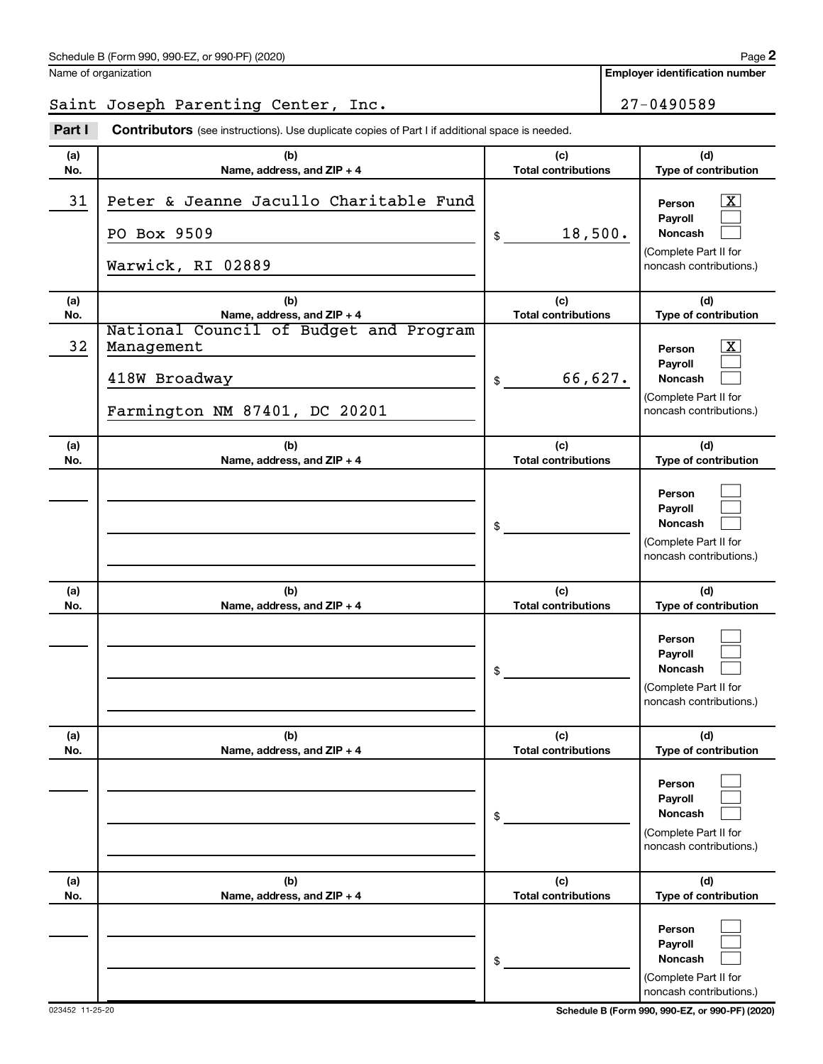Saint Joseph Parenting Center, Inc. 27-0490589

**Part I** Contributors (see instructions). Use duplicate copies of Part I if additional space is needed.

| (a) | (b)                                                                                                    | (c)                        | (d)                                                                                                     |
|-----|--------------------------------------------------------------------------------------------------------|----------------------------|---------------------------------------------------------------------------------------------------------|
| No. | Name, address, and ZIP + 4                                                                             | <b>Total contributions</b> | Type of contribution                                                                                    |
| 31  | Peter & Jeanne Jacullo Charitable Fund<br>PO Box 9509<br>Warwick, RI 02889                             | 18,500.<br>\$              | X <br>Person<br>Payroll<br><b>Noncash</b><br>(Complete Part II for<br>noncash contributions.)           |
| (a) | (b)                                                                                                    | (c)                        | (d)                                                                                                     |
| No. | Name, address, and ZIP + 4                                                                             | <b>Total contributions</b> | Type of contribution                                                                                    |
| 32  | National Council of Budget and Program<br>Management<br>418W Broadway<br>Farmington NM 87401, DC 20201 | 66,627.<br>\$              | $\mathbf{x}$<br>Person<br>Payroll<br><b>Noncash</b><br>(Complete Part II for<br>noncash contributions.) |
| (a) | (b)                                                                                                    | (c)                        | (d)                                                                                                     |
| No. | Name, address, and ZIP + 4                                                                             | <b>Total contributions</b> | Type of contribution                                                                                    |
|     |                                                                                                        | \$                         | Person<br>Payroll<br><b>Noncash</b><br>(Complete Part II for<br>noncash contributions.)                 |
| (a) | (b)                                                                                                    | (c)                        | (d)                                                                                                     |
| No. | Name, address, and ZIP + 4                                                                             | <b>Total contributions</b> | Type of contribution                                                                                    |
|     |                                                                                                        | \$                         | Person<br>Payroll<br><b>Noncash</b><br>(Complete Part II for<br>noncash contributions.)                 |
| (a) | (b)                                                                                                    | (c)                        | (d)                                                                                                     |
| No. | Name, address, and ZIP + 4                                                                             | <b>Total contributions</b> | Type of contribution                                                                                    |
|     |                                                                                                        | \$                         | Person<br>Payroll<br><b>Noncash</b><br>(Complete Part II for<br>noncash contributions.)                 |
| (a) | (b)                                                                                                    | (c)                        | (d)                                                                                                     |
| No. | Name, address, and ZIP + 4                                                                             | <b>Total contributions</b> | Type of contribution                                                                                    |
|     |                                                                                                        | \$                         | Person<br>Payroll<br><b>Noncash</b><br>(Complete Part II for<br>noncash contributions.)                 |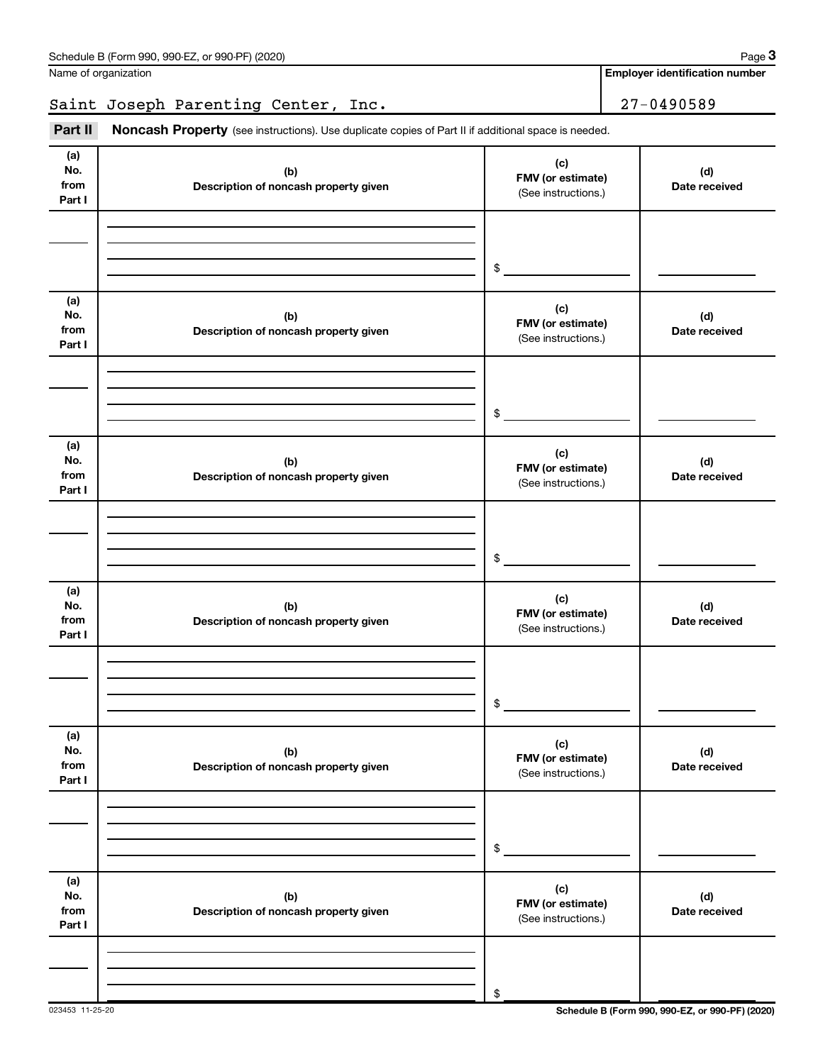**Employer identification number**

Saint Joseph Parenting Center, Inc. 27-0490589

Part II Noncash Property (see instructions). Use duplicate copies of Part II if additional space is needed.

| (a)<br>No.<br>from<br>Part I | (b)<br>Description of noncash property given | (c)<br>FMV (or estimate)<br>(See instructions.) | (d)<br>Date received |
|------------------------------|----------------------------------------------|-------------------------------------------------|----------------------|
|                              |                                              | $\frac{1}{2}$                                   |                      |
| (a)<br>No.<br>from<br>Part I | (b)<br>Description of noncash property given | (c)<br>FMV (or estimate)<br>(See instructions.) | (d)<br>Date received |
|                              |                                              | $\frac{1}{2}$                                   |                      |
| (a)<br>No.<br>from<br>Part I | (b)<br>Description of noncash property given | (c)<br>FMV (or estimate)<br>(See instructions.) | (d)<br>Date received |
|                              |                                              | $\frac{1}{2}$                                   |                      |
| (a)<br>No.<br>from<br>Part I | (b)<br>Description of noncash property given | (c)<br>FMV (or estimate)<br>(See instructions.) | (d)<br>Date received |
|                              |                                              | $\frac{1}{2}$                                   |                      |
| (a)<br>No.<br>from<br>Part I | (b)<br>Description of noncash property given | (c)<br>FMV (or estimate)<br>(See instructions.) | (d)<br>Date received |
|                              |                                              | $\,$                                            |                      |
| (a)<br>No.<br>from<br>Part I | (b)<br>Description of noncash property given | (c)<br>FMV (or estimate)<br>(See instructions.) | (d)<br>Date received |
|                              |                                              | \$                                              |                      |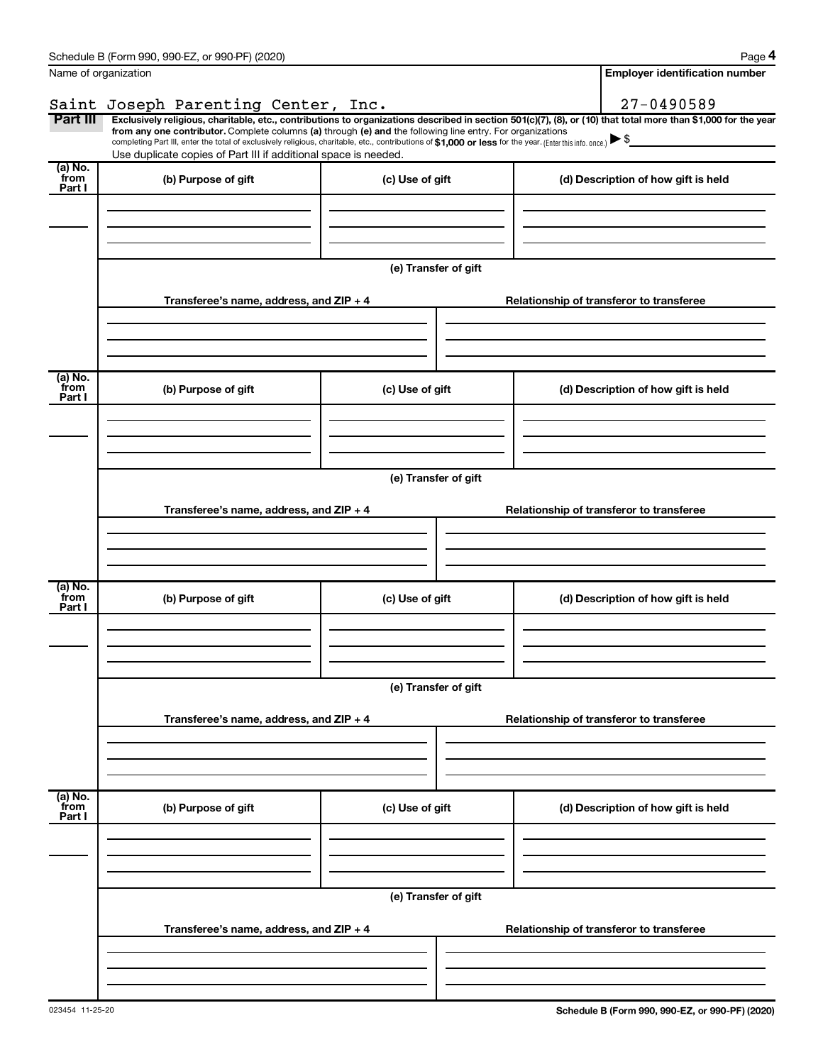|                             | Schedule B (Form 990, 990-EZ, or 990-PF) (2020)                                                                                                                                                                                                                                                                                                                                                                                                                                                                                      |                      |                                          |                                          | Page 4                                   |  |  |  |
|-----------------------------|--------------------------------------------------------------------------------------------------------------------------------------------------------------------------------------------------------------------------------------------------------------------------------------------------------------------------------------------------------------------------------------------------------------------------------------------------------------------------------------------------------------------------------------|----------------------|------------------------------------------|------------------------------------------|------------------------------------------|--|--|--|
|                             | Name of organization                                                                                                                                                                                                                                                                                                                                                                                                                                                                                                                 |                      |                                          |                                          | <b>Employer identification number</b>    |  |  |  |
|                             | Saint Joseph Parenting Center, Inc.                                                                                                                                                                                                                                                                                                                                                                                                                                                                                                  |                      |                                          |                                          | 27-0490589                               |  |  |  |
| Part III                    | Exclusively religious, charitable, etc., contributions to organizations described in section 501(c)(7), (8), or (10) that total more than \$1,000 for the year<br>from any one contributor. Complete columns (a) through (e) and the following line entry. For organizations<br>completing Part III, enter the total of exclusively religious, charitable, etc., contributions of \$1,000 or less for the year. (Enter this info. once.) $\blacktriangleright$ \$<br>Use duplicate copies of Part III if additional space is needed. |                      |                                          |                                          |                                          |  |  |  |
| (a) No.<br>from<br>Part I   | (b) Purpose of gift                                                                                                                                                                                                                                                                                                                                                                                                                                                                                                                  | (c) Use of gift      |                                          |                                          | (d) Description of how gift is held      |  |  |  |
|                             |                                                                                                                                                                                                                                                                                                                                                                                                                                                                                                                                      |                      |                                          |                                          |                                          |  |  |  |
|                             |                                                                                                                                                                                                                                                                                                                                                                                                                                                                                                                                      | (e) Transfer of gift |                                          |                                          |                                          |  |  |  |
|                             | Transferee's name, address, and ZIP + 4                                                                                                                                                                                                                                                                                                                                                                                                                                                                                              |                      |                                          |                                          | Relationship of transferor to transferee |  |  |  |
|                             |                                                                                                                                                                                                                                                                                                                                                                                                                                                                                                                                      |                      |                                          |                                          |                                          |  |  |  |
| $(a)$ No.<br>from<br>Part I | (b) Purpose of gift                                                                                                                                                                                                                                                                                                                                                                                                                                                                                                                  | (c) Use of gift      |                                          |                                          | (d) Description of how gift is held      |  |  |  |
|                             |                                                                                                                                                                                                                                                                                                                                                                                                                                                                                                                                      |                      |                                          |                                          |                                          |  |  |  |
|                             |                                                                                                                                                                                                                                                                                                                                                                                                                                                                                                                                      | (e) Transfer of gift |                                          |                                          |                                          |  |  |  |
|                             | Transferee's name, address, and ZIP + 4                                                                                                                                                                                                                                                                                                                                                                                                                                                                                              |                      | Relationship of transferor to transferee |                                          |                                          |  |  |  |
|                             |                                                                                                                                                                                                                                                                                                                                                                                                                                                                                                                                      |                      |                                          |                                          |                                          |  |  |  |
| (a) No.<br>from<br>Part I   | (b) Purpose of gift                                                                                                                                                                                                                                                                                                                                                                                                                                                                                                                  | (c) Use of gift      |                                          |                                          | (d) Description of how gift is held      |  |  |  |
|                             |                                                                                                                                                                                                                                                                                                                                                                                                                                                                                                                                      |                      |                                          |                                          |                                          |  |  |  |
|                             |                                                                                                                                                                                                                                                                                                                                                                                                                                                                                                                                      | (e) Transfer of gift |                                          |                                          |                                          |  |  |  |
|                             | Transferee's name, address, and ZIP + 4                                                                                                                                                                                                                                                                                                                                                                                                                                                                                              |                      |                                          |                                          | Relationship of transferor to transferee |  |  |  |
|                             |                                                                                                                                                                                                                                                                                                                                                                                                                                                                                                                                      |                      |                                          |                                          |                                          |  |  |  |
| (a) No.<br>from<br>Part I   | (b) Purpose of gift                                                                                                                                                                                                                                                                                                                                                                                                                                                                                                                  | (c) Use of gift      |                                          |                                          | (d) Description of how gift is held      |  |  |  |
|                             |                                                                                                                                                                                                                                                                                                                                                                                                                                                                                                                                      |                      |                                          |                                          |                                          |  |  |  |
|                             | (e) Transfer of gift                                                                                                                                                                                                                                                                                                                                                                                                                                                                                                                 |                      |                                          |                                          |                                          |  |  |  |
|                             | Transferee's name, address, and ZIP + 4                                                                                                                                                                                                                                                                                                                                                                                                                                                                                              |                      |                                          | Relationship of transferor to transferee |                                          |  |  |  |
|                             |                                                                                                                                                                                                                                                                                                                                                                                                                                                                                                                                      |                      |                                          |                                          |                                          |  |  |  |
|                             |                                                                                                                                                                                                                                                                                                                                                                                                                                                                                                                                      |                      |                                          |                                          |                                          |  |  |  |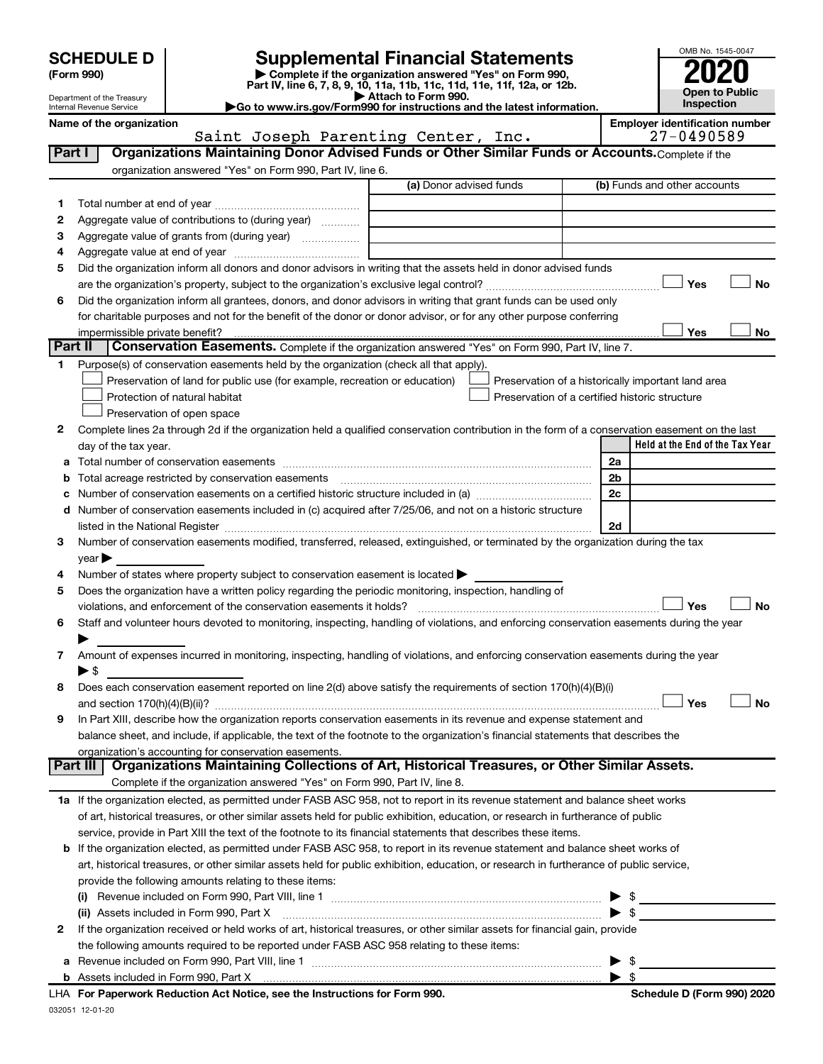| (Form 990) |  |
|------------|--|
|------------|--|

# **SCHEDULE D Supplemental Financial Statements**<br> **Form 990 2020**<br> **Part IV** line 6.7.8.9.10, 11a, 11b, 11d, 11d, 11d, 11d, 11d, 12a, 0r, 12b

**(Form 990) | Complete if the organization answered "Yes" on Form 990, Part IV, line 6, 7, 8, 9, 10, 11a, 11b, 11c, 11d, 11e, 11f, 12a, or 12b.**

**| Attach to Form 990. |Go to www.irs.gov/Form990 for instructions and the latest information.**



Department of the Treasury Internal Revenue Service

Name of the organization<br>**Employer identification number**<br>27-0490589 <sup>27</sup>-0490589 **Part I** | Organizations Maintaining Donor Advised Funds or Other Similar Funds or Accounts. Complete if the Saint Joseph Parenting Center, Inc.

|             | organization answered "Yes" on Form 990, Part IV, line 6.                                                                                                                                                                     |                                                |    |                                                    |
|-------------|-------------------------------------------------------------------------------------------------------------------------------------------------------------------------------------------------------------------------------|------------------------------------------------|----|----------------------------------------------------|
|             |                                                                                                                                                                                                                               | (a) Donor advised funds                        |    | (b) Funds and other accounts                       |
| 1.          |                                                                                                                                                                                                                               |                                                |    |                                                    |
| 2           | Aggregate value of contributions to (during year)                                                                                                                                                                             |                                                |    |                                                    |
| 3           | Aggregate value of grants from (during year)                                                                                                                                                                                  |                                                |    |                                                    |
| 4           |                                                                                                                                                                                                                               |                                                |    |                                                    |
| 5           | Did the organization inform all donors and donor advisors in writing that the assets held in donor advised funds                                                                                                              |                                                |    |                                                    |
|             |                                                                                                                                                                                                                               |                                                |    | Yes<br>No                                          |
| 6           | Did the organization inform all grantees, donors, and donor advisors in writing that grant funds can be used only                                                                                                             |                                                |    |                                                    |
|             | for charitable purposes and not for the benefit of the donor or donor advisor, or for any other purpose conferring                                                                                                            |                                                |    |                                                    |
|             | impermissible private benefit?                                                                                                                                                                                                |                                                |    | Yes<br>No                                          |
|             | Part II<br>Conservation Easements. Complete if the organization answered "Yes" on Form 990, Part IV, line 7.                                                                                                                  |                                                |    |                                                    |
| $\mathbf 1$ | Purpose(s) of conservation easements held by the organization (check all that apply).                                                                                                                                         |                                                |    |                                                    |
|             | Preservation of land for public use (for example, recreation or education)                                                                                                                                                    |                                                |    | Preservation of a historically important land area |
|             | Protection of natural habitat                                                                                                                                                                                                 | Preservation of a certified historic structure |    |                                                    |
|             | Preservation of open space                                                                                                                                                                                                    |                                                |    |                                                    |
| 2           | Complete lines 2a through 2d if the organization held a qualified conservation contribution in the form of a conservation easement on the last                                                                                |                                                |    |                                                    |
|             | day of the tax year.                                                                                                                                                                                                          |                                                |    | Held at the End of the Tax Year                    |
|             |                                                                                                                                                                                                                               |                                                | 2a |                                                    |
| b           | Total acreage restricted by conservation easements                                                                                                                                                                            |                                                | 2b |                                                    |
| с           |                                                                                                                                                                                                                               |                                                | 2c |                                                    |
| d           | Number of conservation easements included in (c) acquired after 7/25/06, and not on a historic structure                                                                                                                      |                                                |    |                                                    |
|             | listed in the National Register [111] Marshall Register [11] Marshall Register [11] Marshall Register [11] Marshall Register [11] Marshall Register [11] Marshall Register [11] Marshall Register [11] Marshall Register [11] |                                                | 2d |                                                    |
| 3           | Number of conservation easements modified, transferred, released, extinguished, or terminated by the organization during the tax                                                                                              |                                                |    |                                                    |
|             | $year \triangleright$                                                                                                                                                                                                         |                                                |    |                                                    |
| 4           | Number of states where property subject to conservation easement is located >                                                                                                                                                 |                                                |    |                                                    |
| 5           | Does the organization have a written policy regarding the periodic monitoring, inspection, handling of                                                                                                                        |                                                |    |                                                    |
|             | violations, and enforcement of the conservation easements it holds?                                                                                                                                                           |                                                |    | <b>No</b><br>Yes                                   |
| 6           | Staff and volunteer hours devoted to monitoring, inspecting, handling of violations, and enforcing conservation easements during the year                                                                                     |                                                |    |                                                    |
|             |                                                                                                                                                                                                                               |                                                |    |                                                    |
| 7           | Amount of expenses incurred in monitoring, inspecting, handling of violations, and enforcing conservation easements during the year                                                                                           |                                                |    |                                                    |
|             | $\blacktriangleright$ \$                                                                                                                                                                                                      |                                                |    |                                                    |
| 8           | Does each conservation easement reported on line 2(d) above satisfy the requirements of section 170(h)(4)(B)(i)                                                                                                               |                                                |    |                                                    |
|             |                                                                                                                                                                                                                               |                                                |    | <b>No</b><br>Yes                                   |
| 9           | In Part XIII, describe how the organization reports conservation easements in its revenue and expense statement and                                                                                                           |                                                |    |                                                    |
|             | balance sheet, and include, if applicable, the text of the footnote to the organization's financial statements that describes the                                                                                             |                                                |    |                                                    |
|             | organization's accounting for conservation easements.<br>Organizations Maintaining Collections of Art, Historical Treasures, or Other Similar Assets.<br>Part III                                                             |                                                |    |                                                    |
|             | Complete if the organization answered "Yes" on Form 990, Part IV, line 8.                                                                                                                                                     |                                                |    |                                                    |
|             | 1a If the organization elected, as permitted under FASB ASC 958, not to report in its revenue statement and balance sheet works                                                                                               |                                                |    |                                                    |
|             | of art, historical treasures, or other similar assets held for public exhibition, education, or research in furtherance of public                                                                                             |                                                |    |                                                    |
|             | service, provide in Part XIII the text of the footnote to its financial statements that describes these items.                                                                                                                |                                                |    |                                                    |
|             | <b>b</b> If the organization elected, as permitted under FASB ASC 958, to report in its revenue statement and balance sheet works of                                                                                          |                                                |    |                                                    |
|             | art, historical treasures, or other similar assets held for public exhibition, education, or research in furtherance of public service,                                                                                       |                                                |    |                                                    |
|             | provide the following amounts relating to these items:                                                                                                                                                                        |                                                |    |                                                    |
|             |                                                                                                                                                                                                                               |                                                |    | $\mathfrak s$                                      |
|             | (ii) Assets included in Form 990, Part X <b>manual construction control and all construction</b> construction construction                                                                                                    |                                                |    | $\blacktriangleright$ s                            |
| 2           | If the organization received or held works of art, historical treasures, or other similar assets for financial gain, provide                                                                                                  |                                                |    |                                                    |
|             | the following amounts required to be reported under FASB ASC 958 relating to these items:                                                                                                                                     |                                                |    |                                                    |
| а           |                                                                                                                                                                                                                               |                                                |    | \$                                                 |
|             |                                                                                                                                                                                                                               |                                                |    | \$                                                 |
|             | LHA For Paperwork Reduction Act Notice, see the Instructions for Form 990.                                                                                                                                                    |                                                |    | Schedule D (Form 990) 2020                         |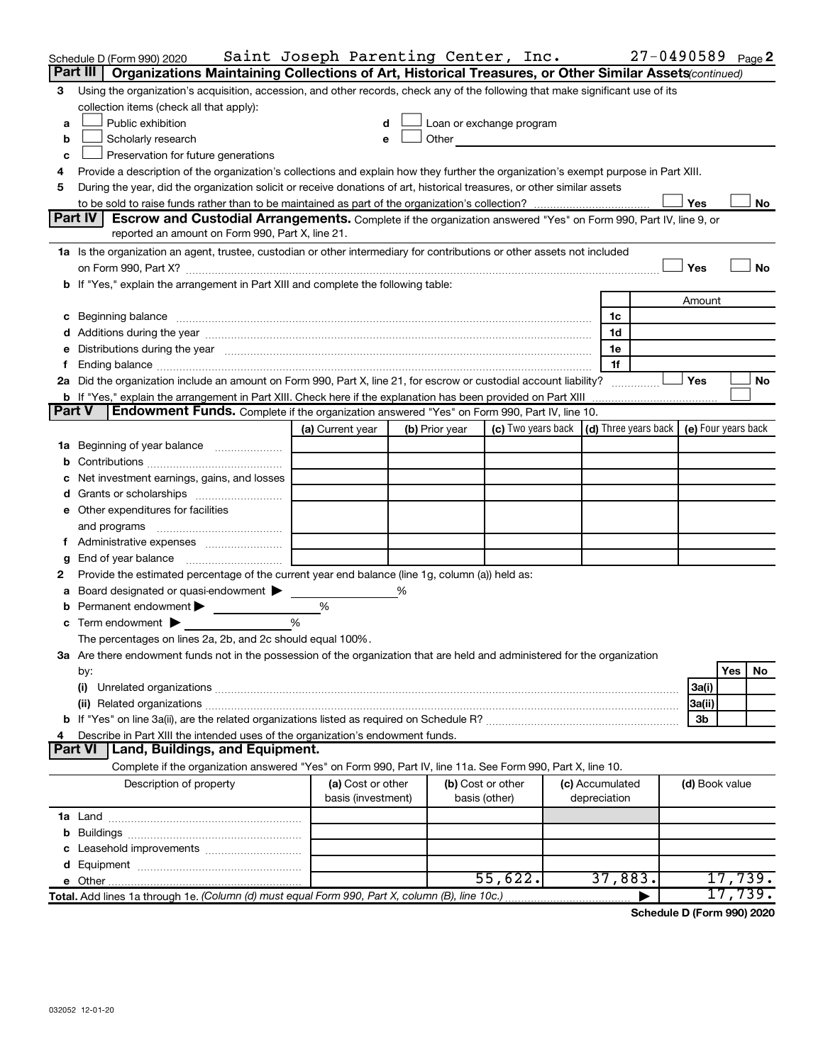|               | Schedule D (Form 990) 2020                                                                                                                                                                                                     | Saint Joseph Parenting Center, Inc.     |   |                |                                                                                                                                                                                                                               |                                 | $27 - 0490589$ Page 2 |                |         |    |
|---------------|--------------------------------------------------------------------------------------------------------------------------------------------------------------------------------------------------------------------------------|-----------------------------------------|---|----------------|-------------------------------------------------------------------------------------------------------------------------------------------------------------------------------------------------------------------------------|---------------------------------|-----------------------|----------------|---------|----|
|               | Part III   Organizations Maintaining Collections of Art, Historical Treasures, or Other Similar Assets (continued)                                                                                                             |                                         |   |                |                                                                                                                                                                                                                               |                                 |                       |                |         |    |
| 3             | Using the organization's acquisition, accession, and other records, check any of the following that make significant use of its                                                                                                |                                         |   |                |                                                                                                                                                                                                                               |                                 |                       |                |         |    |
|               | collection items (check all that apply):                                                                                                                                                                                       |                                         |   |                |                                                                                                                                                                                                                               |                                 |                       |                |         |    |
| a             | Public exhibition                                                                                                                                                                                                              |                                         |   |                | Loan or exchange program                                                                                                                                                                                                      |                                 |                       |                |         |    |
| b             | Scholarly research                                                                                                                                                                                                             | e                                       |   |                | Other and the contract of the contract of the contract of the contract of the contract of the contract of the contract of the contract of the contract of the contract of the contract of the contract of the contract of the |                                 |                       |                |         |    |
| с             | Preservation for future generations                                                                                                                                                                                            |                                         |   |                |                                                                                                                                                                                                                               |                                 |                       |                |         |    |
|               | Provide a description of the organization's collections and explain how they further the organization's exempt purpose in Part XIII.                                                                                           |                                         |   |                |                                                                                                                                                                                                                               |                                 |                       |                |         |    |
| 5             | During the year, did the organization solicit or receive donations of art, historical treasures, or other similar assets                                                                                                       |                                         |   |                |                                                                                                                                                                                                                               |                                 |                       |                |         |    |
|               |                                                                                                                                                                                                                                |                                         |   |                |                                                                                                                                                                                                                               |                                 |                       | Yes            |         | No |
|               | Part IV<br><b>Escrow and Custodial Arrangements.</b> Complete if the organization answered "Yes" on Form 990, Part IV, line 9, or                                                                                              |                                         |   |                |                                                                                                                                                                                                                               |                                 |                       |                |         |    |
|               | reported an amount on Form 990, Part X, line 21.                                                                                                                                                                               |                                         |   |                |                                                                                                                                                                                                                               |                                 |                       |                |         |    |
|               | 1a Is the organization an agent, trustee, custodian or other intermediary for contributions or other assets not included                                                                                                       |                                         |   |                |                                                                                                                                                                                                                               |                                 |                       |                |         |    |
|               | on Form 990, Part X? [11] matter and the contract of the contract of the contract of the contract of the contract of the contract of the contract of the contract of the contract of the contract of the contract of the contr |                                         |   |                |                                                                                                                                                                                                                               |                                 |                       | Yes            |         | No |
|               | b If "Yes," explain the arrangement in Part XIII and complete the following table:                                                                                                                                             |                                         |   |                |                                                                                                                                                                                                                               |                                 |                       |                |         |    |
|               |                                                                                                                                                                                                                                |                                         |   |                |                                                                                                                                                                                                                               |                                 |                       | Amount         |         |    |
|               | c Beginning balance measurements and the contract of Beginning balance measurements are all the contract of the contract of the contract of the contract of the contract of the contract of the contract of the contract of th |                                         |   |                |                                                                                                                                                                                                                               | 1c                              |                       |                |         |    |
|               |                                                                                                                                                                                                                                |                                         |   |                |                                                                                                                                                                                                                               | 1d<br>1e                        |                       |                |         |    |
| Ť.            | e Distributions during the year manufactured and continuum control of the control of the control of the state of the control of the control of the control of the control of the control of the control of the control of the  |                                         |   |                |                                                                                                                                                                                                                               | 1f                              |                       |                |         |    |
|               | 2a Did the organization include an amount on Form 990, Part X, line 21, for escrow or custodial account liability?                                                                                                             |                                         |   |                |                                                                                                                                                                                                                               |                                 |                       | Yes            |         | No |
|               |                                                                                                                                                                                                                                |                                         |   |                |                                                                                                                                                                                                                               |                                 |                       |                |         |    |
| <b>Part V</b> | Endowment Funds. Complete if the organization answered "Yes" on Form 990, Part IV, line 10.                                                                                                                                    |                                         |   |                |                                                                                                                                                                                                                               |                                 |                       |                |         |    |
|               |                                                                                                                                                                                                                                | (a) Current year                        |   | (b) Prior year | (c) Two years back $\vert$ (d) Three years back $\vert$ (e) Four years back                                                                                                                                                   |                                 |                       |                |         |    |
|               | 1a Beginning of year balance                                                                                                                                                                                                   |                                         |   |                |                                                                                                                                                                                                                               |                                 |                       |                |         |    |
|               |                                                                                                                                                                                                                                |                                         |   |                |                                                                                                                                                                                                                               |                                 |                       |                |         |    |
|               | c Net investment earnings, gains, and losses                                                                                                                                                                                   |                                         |   |                |                                                                                                                                                                                                                               |                                 |                       |                |         |    |
|               |                                                                                                                                                                                                                                |                                         |   |                |                                                                                                                                                                                                                               |                                 |                       |                |         |    |
|               | e Other expenditures for facilities                                                                                                                                                                                            |                                         |   |                |                                                                                                                                                                                                                               |                                 |                       |                |         |    |
|               |                                                                                                                                                                                                                                |                                         |   |                |                                                                                                                                                                                                                               |                                 |                       |                |         |    |
|               |                                                                                                                                                                                                                                |                                         |   |                |                                                                                                                                                                                                                               |                                 |                       |                |         |    |
| g             |                                                                                                                                                                                                                                |                                         |   |                |                                                                                                                                                                                                                               |                                 |                       |                |         |    |
| 2             | Provide the estimated percentage of the current year end balance (line 1g, column (a)) held as:                                                                                                                                |                                         |   |                |                                                                                                                                                                                                                               |                                 |                       |                |         |    |
|               | a Board designated or quasi-endowment >                                                                                                                                                                                        |                                         | % |                |                                                                                                                                                                                                                               |                                 |                       |                |         |    |
|               | <b>b</b> Permanent endowment $\blacktriangleright$                                                                                                                                                                             | %                                       |   |                |                                                                                                                                                                                                                               |                                 |                       |                |         |    |
|               | <b>c</b> Term endowment $\blacktriangleright$                                                                                                                                                                                  | $\frac{0}{0}$                           |   |                |                                                                                                                                                                                                                               |                                 |                       |                |         |    |
|               | The percentages on lines 2a, 2b, and 2c should equal 100%.                                                                                                                                                                     |                                         |   |                |                                                                                                                                                                                                                               |                                 |                       |                |         |    |
|               | 3a Are there endowment funds not in the possession of the organization that are held and administered for the organization                                                                                                     |                                         |   |                |                                                                                                                                                                                                                               |                                 |                       |                |         |    |
|               | by:                                                                                                                                                                                                                            |                                         |   |                |                                                                                                                                                                                                                               |                                 |                       |                | Yes     | No |
|               | (i)                                                                                                                                                                                                                            |                                         |   |                |                                                                                                                                                                                                                               |                                 |                       | 3a(i)          |         |    |
|               |                                                                                                                                                                                                                                |                                         |   |                |                                                                                                                                                                                                                               |                                 |                       | 3a(ii)         |         |    |
|               |                                                                                                                                                                                                                                |                                         |   |                |                                                                                                                                                                                                                               |                                 |                       | Зb             |         |    |
| 4             | Describe in Part XIII the intended uses of the organization's endowment funds.<br>Land, Buildings, and Equipment.                                                                                                              |                                         |   |                |                                                                                                                                                                                                                               |                                 |                       |                |         |    |
|               | <b>Part VI</b>                                                                                                                                                                                                                 |                                         |   |                |                                                                                                                                                                                                                               |                                 |                       |                |         |    |
|               | Complete if the organization answered "Yes" on Form 990, Part IV, line 11a. See Form 990, Part X, line 10.                                                                                                                     |                                         |   |                |                                                                                                                                                                                                                               |                                 |                       |                |         |    |
|               | Description of property                                                                                                                                                                                                        | (a) Cost or other<br>basis (investment) |   |                | (b) Cost or other<br>basis (other)                                                                                                                                                                                            | (c) Accumulated<br>depreciation |                       | (d) Book value |         |    |
|               |                                                                                                                                                                                                                                |                                         |   |                |                                                                                                                                                                                                                               |                                 |                       |                |         |    |
|               |                                                                                                                                                                                                                                |                                         |   |                |                                                                                                                                                                                                                               |                                 |                       |                |         |    |
|               |                                                                                                                                                                                                                                |                                         |   |                |                                                                                                                                                                                                                               |                                 |                       |                |         |    |
|               |                                                                                                                                                                                                                                |                                         |   |                |                                                                                                                                                                                                                               |                                 |                       |                |         |    |
|               |                                                                                                                                                                                                                                |                                         |   |                | 55,622.                                                                                                                                                                                                                       | 37,883.                         |                       |                | 17,739. |    |
|               | Total. Add lines 1a through 1e. (Column (d) must equal Form 990, Part X, column (B), line 10c.)                                                                                                                                |                                         |   |                |                                                                                                                                                                                                                               |                                 |                       |                | 17,739. |    |

**Schedule D (Form 990) 2020**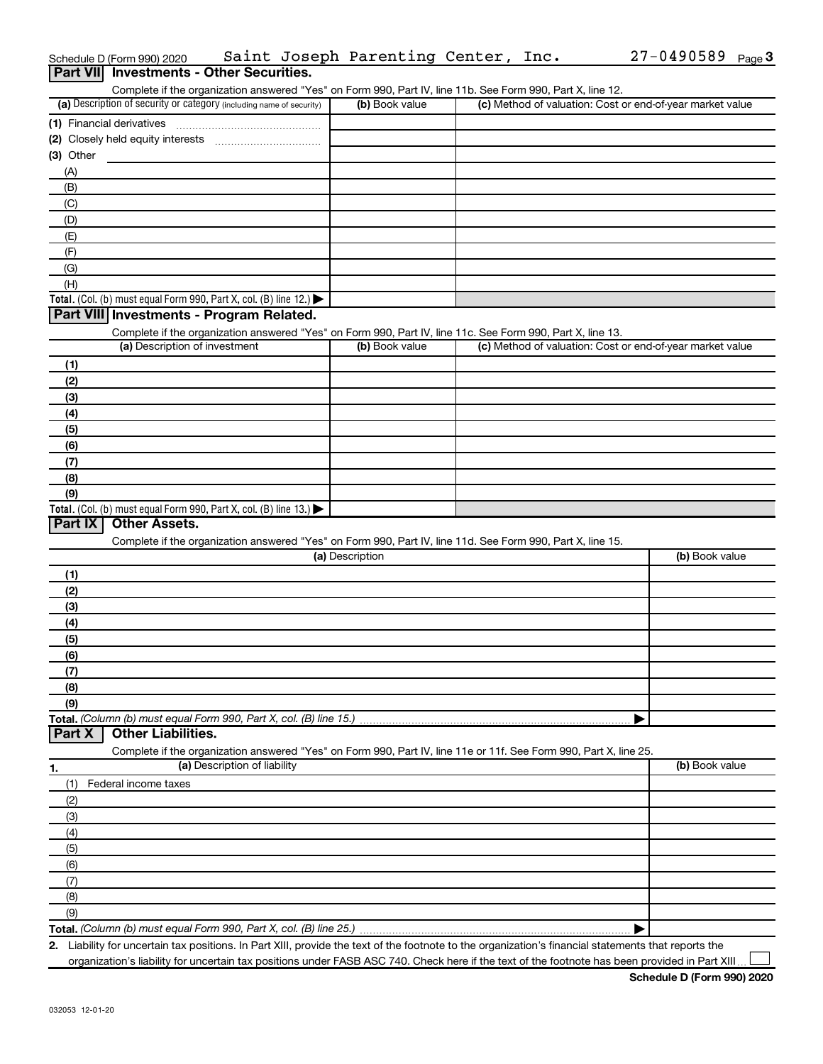|             | Schedule D (Form 990) 2020                                           |                              | Saint Joseph Parenting Center, Inc.                                                                               |  | 27-0490589<br>Page $3$                                    |
|-------------|----------------------------------------------------------------------|------------------------------|-------------------------------------------------------------------------------------------------------------------|--|-----------------------------------------------------------|
|             | Part VII Investments - Other Securities.                             |                              |                                                                                                                   |  |                                                           |
|             |                                                                      |                              | Complete if the organization answered "Yes" on Form 990, Part IV, line 11b. See Form 990, Part X, line 12.        |  |                                                           |
|             | (a) Description of security or category (including name of security) |                              | (b) Book value                                                                                                    |  | (c) Method of valuation: Cost or end-of-year market value |
|             | (1) Financial derivatives                                            |                              |                                                                                                                   |  |                                                           |
|             |                                                                      |                              |                                                                                                                   |  |                                                           |
| $(3)$ Other |                                                                      |                              |                                                                                                                   |  |                                                           |
| (A)         |                                                                      |                              |                                                                                                                   |  |                                                           |
| (B)         |                                                                      |                              |                                                                                                                   |  |                                                           |
| (C)         |                                                                      |                              |                                                                                                                   |  |                                                           |
| (D)         |                                                                      |                              |                                                                                                                   |  |                                                           |
| (E)         |                                                                      |                              |                                                                                                                   |  |                                                           |
| (F)         |                                                                      |                              |                                                                                                                   |  |                                                           |
| (G)         |                                                                      |                              |                                                                                                                   |  |                                                           |
| (H)         |                                                                      |                              |                                                                                                                   |  |                                                           |
|             | Total. (Col. (b) must equal Form 990, Part X, col. (B) line 12.)     |                              |                                                                                                                   |  |                                                           |
|             | Part VIII Investments - Program Related.                             |                              |                                                                                                                   |  |                                                           |
|             |                                                                      |                              | Complete if the organization answered "Yes" on Form 990, Part IV, line 11c. See Form 990, Part X, line 13.        |  |                                                           |
|             | (a) Description of investment                                        |                              | (b) Book value                                                                                                    |  | (c) Method of valuation: Cost or end-of-year market value |
| (1)         |                                                                      |                              |                                                                                                                   |  |                                                           |
| (2)         |                                                                      |                              |                                                                                                                   |  |                                                           |
| (3)         |                                                                      |                              |                                                                                                                   |  |                                                           |
| (4)         |                                                                      |                              |                                                                                                                   |  |                                                           |
| (5)         |                                                                      |                              |                                                                                                                   |  |                                                           |
| (6)         |                                                                      |                              |                                                                                                                   |  |                                                           |
| (7)         |                                                                      |                              |                                                                                                                   |  |                                                           |
| (8)         |                                                                      |                              |                                                                                                                   |  |                                                           |
| (9)         |                                                                      |                              |                                                                                                                   |  |                                                           |
|             | Total. (Col. (b) must equal Form 990, Part X, col. (B) line 13.)     |                              |                                                                                                                   |  |                                                           |
| Part IX     | <b>Other Assets.</b>                                                 |                              |                                                                                                                   |  |                                                           |
|             |                                                                      |                              | Complete if the organization answered "Yes" on Form 990, Part IV, line 11d. See Form 990, Part X, line 15.        |  |                                                           |
|             |                                                                      |                              | (a) Description                                                                                                   |  | (b) Book value                                            |
| (1)         |                                                                      |                              |                                                                                                                   |  |                                                           |
| (2)         |                                                                      |                              |                                                                                                                   |  |                                                           |
| (3)         |                                                                      |                              |                                                                                                                   |  |                                                           |
| (4)         |                                                                      |                              |                                                                                                                   |  |                                                           |
| (5)         |                                                                      |                              |                                                                                                                   |  |                                                           |
| (6)         |                                                                      |                              |                                                                                                                   |  |                                                           |
| (7)         |                                                                      |                              |                                                                                                                   |  |                                                           |
| (8)         |                                                                      |                              |                                                                                                                   |  |                                                           |
| (9)         |                                                                      |                              |                                                                                                                   |  |                                                           |
|             | Total. (Column (b) must equal Form 990, Part X, col. (B) line 15.)   |                              |                                                                                                                   |  |                                                           |
| Part X      | <b>Other Liabilities.</b>                                            |                              |                                                                                                                   |  |                                                           |
|             |                                                                      |                              | Complete if the organization answered "Yes" on Form 990, Part IV, line 11e or 11f. See Form 990, Part X, line 25. |  |                                                           |
|             |                                                                      | (a) Description of liability |                                                                                                                   |  | (b) Book value                                            |
| 1.<br>(1)   | Federal income taxes                                                 |                              |                                                                                                                   |  |                                                           |
|             |                                                                      |                              |                                                                                                                   |  |                                                           |
| (2)         |                                                                      |                              |                                                                                                                   |  |                                                           |
| (3)         |                                                                      |                              |                                                                                                                   |  |                                                           |
| (4)         |                                                                      |                              |                                                                                                                   |  |                                                           |
| (5)         |                                                                      |                              |                                                                                                                   |  |                                                           |
| (6)         |                                                                      |                              |                                                                                                                   |  |                                                           |
| (7)         |                                                                      |                              |                                                                                                                   |  |                                                           |
| (8)         |                                                                      |                              |                                                                                                                   |  |                                                           |
| (9)         |                                                                      |                              |                                                                                                                   |  |                                                           |
|             |                                                                      |                              |                                                                                                                   |  |                                                           |

**2.** Liability for uncertain tax positions. In Part XIII, provide the text of the footnote to the organization's financial statements that reports the organization's liability for uncertain tax positions under FASB ASC 740. Check here if the text of the footnote has been provided in Part XIII.

 $\perp$ 

27-0490589 <sub>Page</sub> 3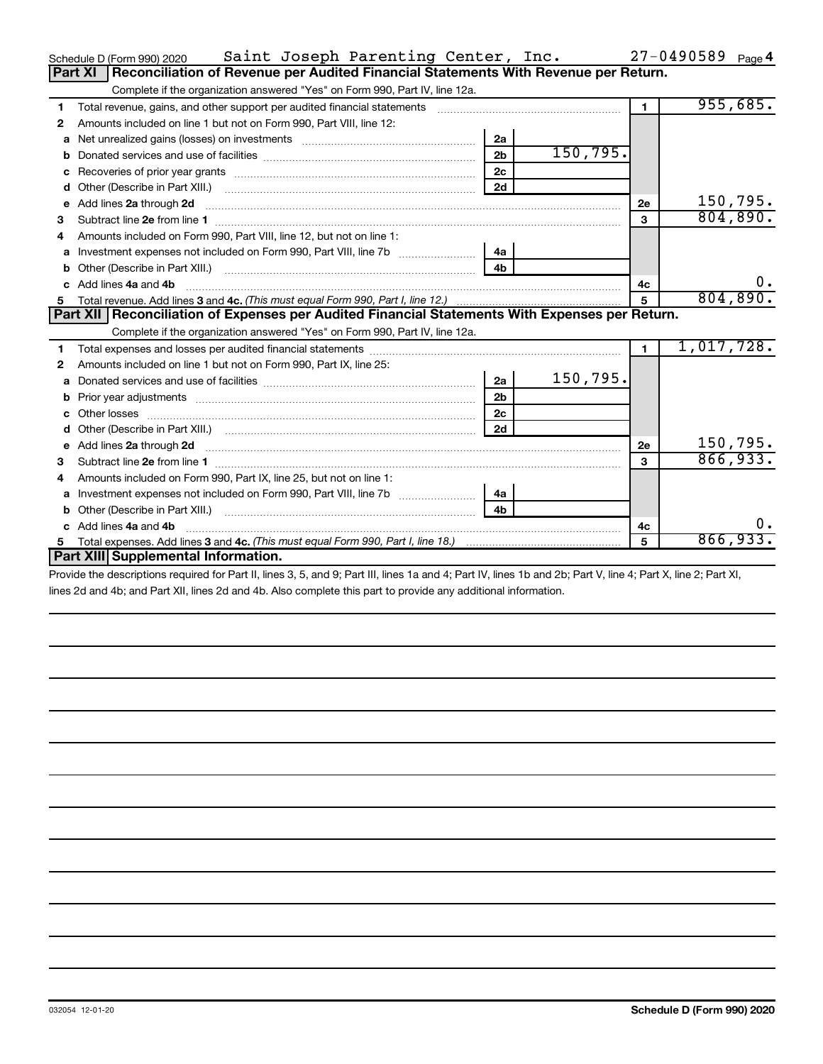|   | Saint Joseph Parenting Center, Inc.<br>Schedule D (Form 990) 2020                                                                                                                                                                             |                |           |                | $27 - 0490589$ Page 4 |
|---|-----------------------------------------------------------------------------------------------------------------------------------------------------------------------------------------------------------------------------------------------|----------------|-----------|----------------|-----------------------|
|   | Reconciliation of Revenue per Audited Financial Statements With Revenue per Return.<br>Part XI                                                                                                                                                |                |           |                |                       |
|   | Complete if the organization answered "Yes" on Form 990, Part IV, line 12a.                                                                                                                                                                   |                |           |                |                       |
| 1 | Total revenue, gains, and other support per audited financial statements                                                                                                                                                                      |                |           | $\blacksquare$ | 955,685.              |
| 2 | Amounts included on line 1 but not on Form 990, Part VIII, line 12:                                                                                                                                                                           |                |           |                |                       |
| a |                                                                                                                                                                                                                                               | 2a             |           |                |                       |
|   |                                                                                                                                                                                                                                               | 2 <sub>b</sub> | 150, 795. |                |                       |
|   |                                                                                                                                                                                                                                               | 2c             |           |                |                       |
| d |                                                                                                                                                                                                                                               | 2d             |           |                |                       |
| e | Add lines 2a through 2d                                                                                                                                                                                                                       |                |           | <b>2e</b>      | 150,795.              |
| 3 |                                                                                                                                                                                                                                               |                |           | 3              | 804, 890.             |
| 4 | Amounts included on Form 990, Part VIII, line 12, but not on line 1:                                                                                                                                                                          |                |           |                |                       |
| a |                                                                                                                                                                                                                                               | 4a             |           |                |                       |
|   |                                                                                                                                                                                                                                               | 4 <sub>h</sub> |           |                |                       |
|   | c Add lines 4a and 4b                                                                                                                                                                                                                         |                |           | 4с             | 0.                    |
|   |                                                                                                                                                                                                                                               | $5^{\circ}$    | 804, 890. |                |                       |
|   | Part XII   Reconciliation of Expenses per Audited Financial Statements With Expenses per Return.                                                                                                                                              |                |           |                |                       |
|   | Complete if the organization answered "Yes" on Form 990, Part IV, line 12a.                                                                                                                                                                   |                |           |                |                       |
| 1 |                                                                                                                                                                                                                                               |                |           |                | 1,017,728.            |
| 2 | Amounts included on line 1 but not on Form 990, Part IX, line 25:                                                                                                                                                                             |                |           |                |                       |
| a |                                                                                                                                                                                                                                               | 2a             | 150,795.  |                |                       |
| b |                                                                                                                                                                                                                                               | 2 <sub>b</sub> |           |                |                       |
|   | Other losses                                                                                                                                                                                                                                  | 2c             |           |                |                       |
|   |                                                                                                                                                                                                                                               | 2d             |           |                |                       |
|   | e Add lines 2a through 2d <b>[16]</b> Manuscription and the Add lines 2a through 1d manuscription and the Add lines 2a through 2d <b>[16]</b> Manuscription and the Add lines 2a through 2d <b>[16]</b> Manuscription and the Additional Addi |                |           | 2e             | 150,795.              |
| з | Subtract line 2e from line 1 <b>manufacture in the contract of the 2e</b> from line 1                                                                                                                                                         |                |           | 3              | 866,933.              |
|   | Amounts included on Form 990, Part IX, line 25, but not on line 1:                                                                                                                                                                            |                |           |                |                       |
| a |                                                                                                                                                                                                                                               | 4a             |           |                |                       |
| b |                                                                                                                                                                                                                                               | 4 <sub>b</sub> |           |                |                       |
|   | Add lines 4a and 4b                                                                                                                                                                                                                           |                |           | 4c             | 0.                    |
| 5 |                                                                                                                                                                                                                                               |                |           | 5              | 866,933.              |
|   | Part XIII Supplemental Information.                                                                                                                                                                                                           |                |           |                |                       |
|   |                                                                                                                                                                                                                                               |                |           |                |                       |

Provide the descriptions required for Part II, lines 3, 5, and 9; Part III, lines 1a and 4; Part IV, lines 1b and 2b; Part V, line 4; Part X, line 2; Part XI, lines 2d and 4b; and Part XII, lines 2d and 4b. Also complete this part to provide any additional information.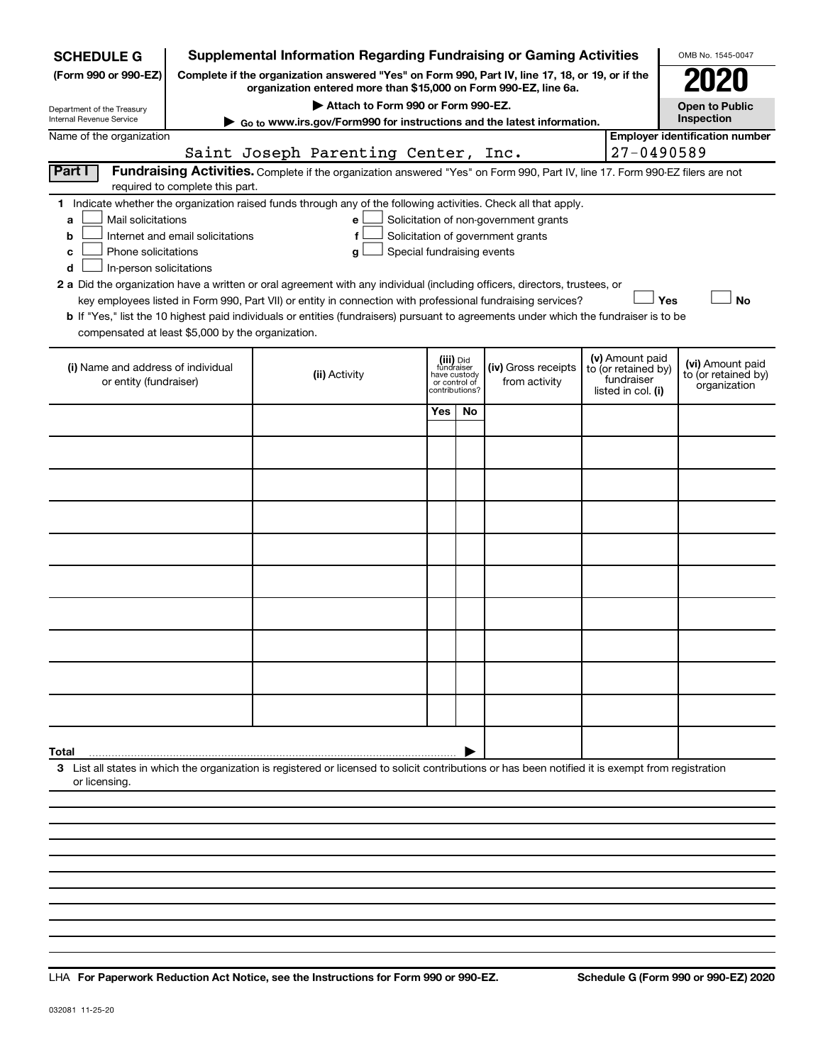| <b>SCHEDULE G</b>                                                                                                                                           |                                  |               | <b>Supplemental Information Regarding Fundraising or Gaming Activities</b>                                                                                          |                                         |    |                                       |                                        | OMB No. 1545-0047                     |
|-------------------------------------------------------------------------------------------------------------------------------------------------------------|----------------------------------|---------------|---------------------------------------------------------------------------------------------------------------------------------------------------------------------|-----------------------------------------|----|---------------------------------------|----------------------------------------|---------------------------------------|
| (Form 990 or 990-EZ)                                                                                                                                        |                                  |               | Complete if the organization answered "Yes" on Form 990, Part IV, line 17, 18, or 19, or if the<br>organization entered more than \$15,000 on Form 990-EZ, line 6a. |                                         |    |                                       |                                        |                                       |
| Department of the Treasury                                                                                                                                  |                                  |               | Attach to Form 990 or Form 990-EZ.                                                                                                                                  |                                         |    |                                       |                                        | <b>Open to Public</b>                 |
| Internal Revenue Service                                                                                                                                    |                                  |               | Go to www.irs.gov/Form990 for instructions and the latest information.                                                                                              |                                         |    |                                       |                                        | Inspection                            |
| Name of the organization                                                                                                                                    |                                  |               | Saint Joseph Parenting Center, Inc.                                                                                                                                 |                                         |    |                                       | 27-0490589                             | <b>Employer identification number</b> |
| Part I                                                                                                                                                      |                                  |               | Fundraising Activities. Complete if the organization answered "Yes" on Form 990, Part IV, line 17. Form 990-EZ filers are not                                       |                                         |    |                                       |                                        |                                       |
|                                                                                                                                                             | required to complete this part.  |               |                                                                                                                                                                     |                                         |    |                                       |                                        |                                       |
| 1 Indicate whether the organization raised funds through any of the following activities. Check all that apply.                                             |                                  |               |                                                                                                                                                                     |                                         |    |                                       |                                        |                                       |
| Mail solicitations<br>a                                                                                                                                     |                                  |               | е                                                                                                                                                                   |                                         |    | Solicitation of non-government grants |                                        |                                       |
| b<br>Phone solicitations<br>c                                                                                                                               | Internet and email solicitations |               | f                                                                                                                                                                   | Special fundraising events              |    | Solicitation of government grants     |                                        |                                       |
| In-person solicitations<br>d                                                                                                                                |                                  |               | g                                                                                                                                                                   |                                         |    |                                       |                                        |                                       |
| 2 a Did the organization have a written or oral agreement with any individual (including officers, directors, trustees, or                                  |                                  |               |                                                                                                                                                                     |                                         |    |                                       |                                        |                                       |
|                                                                                                                                                             |                                  |               | key employees listed in Form 990, Part VII) or entity in connection with professional fundraising services?                                                         |                                         |    |                                       | Yes                                    | <b>No</b>                             |
| b If "Yes," list the 10 highest paid individuals or entities (fundraisers) pursuant to agreements under which the fundraiser is to be                       |                                  |               |                                                                                                                                                                     |                                         |    |                                       |                                        |                                       |
| compensated at least \$5,000 by the organization.                                                                                                           |                                  |               |                                                                                                                                                                     |                                         |    |                                       |                                        |                                       |
| (i) Name and address of individual                                                                                                                          |                                  |               |                                                                                                                                                                     | (iii) Did<br>fundraiser<br>have custody |    | (iv) Gross receipts                   | (v) Amount paid<br>to (or retained by) | (vi) Amount paid                      |
| or entity (fundraiser)                                                                                                                                      |                                  | (ii) Activity |                                                                                                                                                                     | or control of<br>contributions?         |    | from activity                         | fundraiser<br>listed in col. (i)       | to (or retained by)<br>organization   |
|                                                                                                                                                             |                                  |               |                                                                                                                                                                     |                                         |    |                                       |                                        |                                       |
|                                                                                                                                                             |                                  |               |                                                                                                                                                                     | Yes                                     | No |                                       |                                        |                                       |
|                                                                                                                                                             |                                  |               |                                                                                                                                                                     |                                         |    |                                       |                                        |                                       |
|                                                                                                                                                             |                                  |               |                                                                                                                                                                     |                                         |    |                                       |                                        |                                       |
|                                                                                                                                                             |                                  |               |                                                                                                                                                                     |                                         |    |                                       |                                        |                                       |
|                                                                                                                                                             |                                  |               |                                                                                                                                                                     |                                         |    |                                       |                                        |                                       |
|                                                                                                                                                             |                                  |               |                                                                                                                                                                     |                                         |    |                                       |                                        |                                       |
|                                                                                                                                                             |                                  |               |                                                                                                                                                                     |                                         |    |                                       |                                        |                                       |
|                                                                                                                                                             |                                  |               |                                                                                                                                                                     |                                         |    |                                       |                                        |                                       |
|                                                                                                                                                             |                                  |               |                                                                                                                                                                     |                                         |    |                                       |                                        |                                       |
|                                                                                                                                                             |                                  |               |                                                                                                                                                                     |                                         |    |                                       |                                        |                                       |
|                                                                                                                                                             |                                  |               |                                                                                                                                                                     |                                         |    |                                       |                                        |                                       |
|                                                                                                                                                             |                                  |               |                                                                                                                                                                     |                                         |    |                                       |                                        |                                       |
|                                                                                                                                                             |                                  |               |                                                                                                                                                                     |                                         |    |                                       |                                        |                                       |
|                                                                                                                                                             |                                  |               |                                                                                                                                                                     |                                         |    |                                       |                                        |                                       |
|                                                                                                                                                             |                                  |               |                                                                                                                                                                     |                                         |    |                                       |                                        |                                       |
|                                                                                                                                                             |                                  |               |                                                                                                                                                                     |                                         |    |                                       |                                        |                                       |
|                                                                                                                                                             |                                  |               |                                                                                                                                                                     |                                         |    |                                       |                                        |                                       |
| Total<br>3 List all states in which the organization is registered or licensed to solicit contributions or has been notified it is exempt from registration |                                  |               |                                                                                                                                                                     |                                         |    |                                       |                                        |                                       |
| or licensing.                                                                                                                                               |                                  |               |                                                                                                                                                                     |                                         |    |                                       |                                        |                                       |
|                                                                                                                                                             |                                  |               |                                                                                                                                                                     |                                         |    |                                       |                                        |                                       |
|                                                                                                                                                             |                                  |               |                                                                                                                                                                     |                                         |    |                                       |                                        |                                       |
|                                                                                                                                                             |                                  |               |                                                                                                                                                                     |                                         |    |                                       |                                        |                                       |

**For Paperwork Reduction Act Notice, see the Instructions for Form 990 or 990-EZ. Schedule G (Form 990 or 990-EZ) 2020** LHA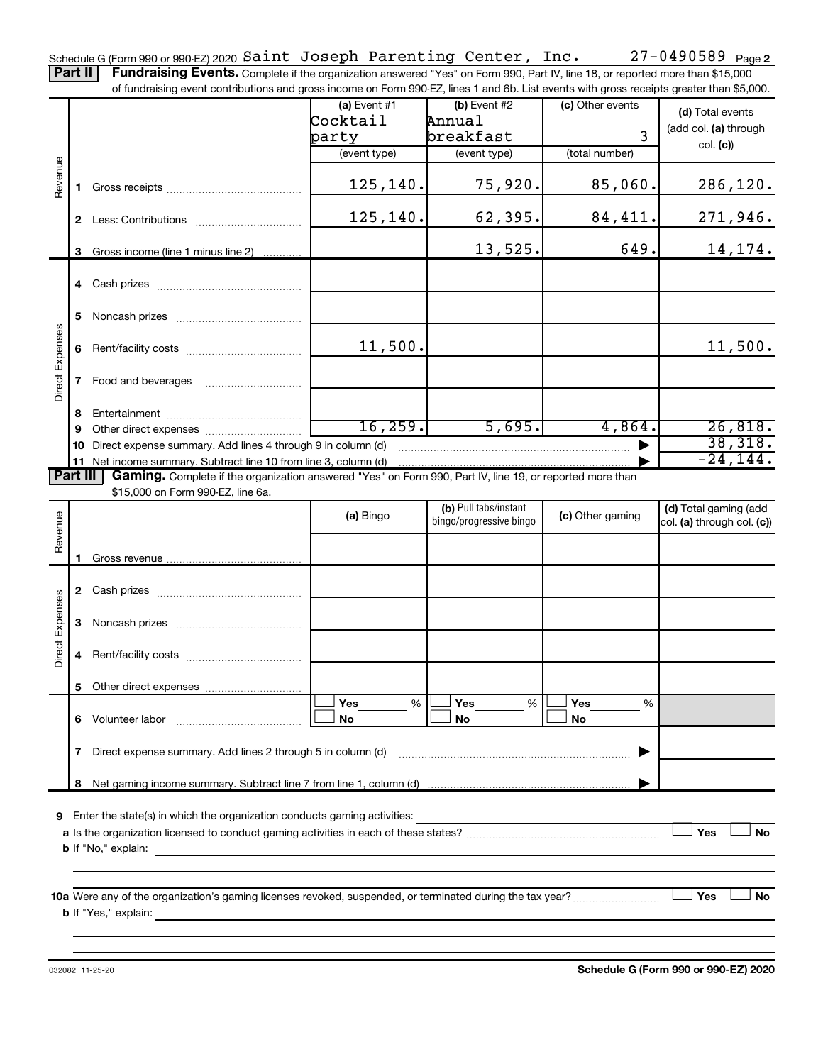Part II | Fundraising Events. Complete if the organization answered "Yes" on Form 990, Part IV, line 18, or reported more than \$15,000 of fundraising event contributions and gross income on Form 990-EZ, lines 1 and 6b. List events with gross receipts greater than \$5,000.

|                        |    | ovent continuations and gross income on Form oco EE, infost Faria ob. Else events with gross receipts groater than \$0,000. |                |                         |                  |                            |
|------------------------|----|-----------------------------------------------------------------------------------------------------------------------------|----------------|-------------------------|------------------|----------------------------|
|                        |    |                                                                                                                             | $(a)$ Event #1 | $(b)$ Event #2          | (c) Other events | (d) Total events           |
|                        |    |                                                                                                                             | Cocktail       | Annua1                  |                  | (add col. (a) through      |
|                        |    |                                                                                                                             | party          | breakfast               | 3                | col. (c)                   |
|                        |    |                                                                                                                             | (event type)   | (event type)            | (total number)   |                            |
|                        |    |                                                                                                                             |                |                         |                  |                            |
| Revenue                |    |                                                                                                                             | 125,140.       | 75,920.                 | 85,060.          | 286, 120.                  |
|                        |    |                                                                                                                             |                |                         |                  |                            |
|                        |    |                                                                                                                             | 125,140.       | 62,395.                 | 84,411.          | <u>271,946.</u>            |
|                        |    |                                                                                                                             |                |                         |                  |                            |
|                        |    | 3 Gross income (line 1 minus line 2)                                                                                        |                | 13,525.                 | 649.             | 14, 174.                   |
|                        |    |                                                                                                                             |                |                         |                  |                            |
|                        |    |                                                                                                                             |                |                         |                  |                            |
|                        |    |                                                                                                                             |                |                         |                  |                            |
|                        |    |                                                                                                                             |                |                         |                  |                            |
|                        | 5  |                                                                                                                             |                |                         |                  |                            |
|                        |    |                                                                                                                             | 11,500.        |                         |                  | 11,500.                    |
|                        | 6  |                                                                                                                             |                |                         |                  |                            |
| <b>Direct Expenses</b> |    |                                                                                                                             |                |                         |                  |                            |
|                        |    | 7 Food and beverages                                                                                                        |                |                         |                  |                            |
|                        |    |                                                                                                                             |                |                         |                  |                            |
|                        | 8  |                                                                                                                             |                |                         |                  |                            |
|                        | 9  |                                                                                                                             | 16, 259.       | 5,695.                  | 4,864.           | 26,818.                    |
|                        | 10 | Direct expense summary. Add lines 4 through 9 in column (d)                                                                 |                |                         |                  | 38,318.                    |
|                        |    |                                                                                                                             |                |                         |                  | $-24, 144.$                |
| Part III               |    | Gaming. Complete if the organization answered "Yes" on Form 990, Part IV, line 19, or reported more than                    |                |                         |                  |                            |
|                        |    | \$15,000 on Form 990-EZ, line 6a.                                                                                           |                |                         |                  |                            |
|                        |    |                                                                                                                             | (a) Bingo      | (b) Pull tabs/instant   | (c) Other gaming | (d) Total gaming (add      |
| Revenue                |    |                                                                                                                             |                | bingo/progressive bingo |                  | col. (a) through col. (c)) |
|                        |    |                                                                                                                             |                |                         |                  |                            |
|                        |    |                                                                                                                             |                |                         |                  |                            |
|                        |    |                                                                                                                             |                |                         |                  |                            |
|                        |    |                                                                                                                             |                |                         |                  |                            |
|                        |    |                                                                                                                             |                |                         |                  |                            |
|                        | 3  |                                                                                                                             |                |                         |                  |                            |
| <b>Direct Expenses</b> |    |                                                                                                                             |                |                         |                  |                            |
|                        |    |                                                                                                                             |                |                         |                  |                            |
|                        |    |                                                                                                                             |                |                         |                  |                            |
|                        |    |                                                                                                                             |                |                         |                  |                            |
|                        |    |                                                                                                                             | Yes<br>%       | Yes<br>%                | Yes<br>%         |                            |
|                        | 6  | Volunteer labor                                                                                                             | No             | No                      | No               |                            |
|                        |    |                                                                                                                             |                |                         |                  |                            |
|                        | 7  | Direct expense summary. Add lines 2 through 5 in column (d)                                                                 |                |                         |                  |                            |
|                        |    |                                                                                                                             |                |                         |                  |                            |
|                        | 8  |                                                                                                                             |                |                         |                  |                            |
|                        |    |                                                                                                                             |                |                         |                  |                            |
| 9                      |    | Enter the state(s) in which the organization conducts gaming activities:                                                    |                |                         |                  |                            |
|                        |    |                                                                                                                             |                |                         |                  | Yes<br>No                  |
|                        |    | <b>b</b> If "No," explain:                                                                                                  |                |                         |                  |                            |
|                        |    |                                                                                                                             |                |                         |                  |                            |
|                        |    |                                                                                                                             |                |                         |                  |                            |
|                        |    |                                                                                                                             |                |                         |                  | Yes<br>No                  |
|                        |    | <b>b</b> If "Yes," explain:                                                                                                 |                |                         |                  |                            |
|                        |    |                                                                                                                             |                |                         |                  |                            |
|                        |    |                                                                                                                             |                |                         |                  |                            |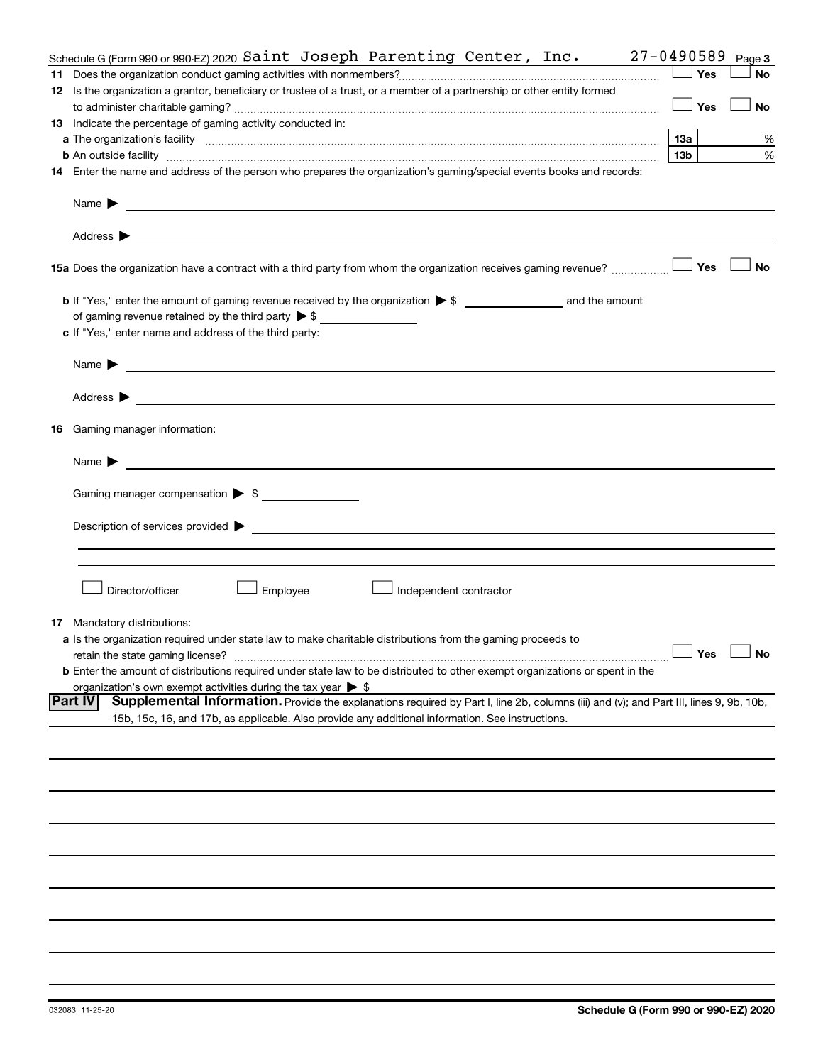| Schedule G (Form 990 or 990-EZ) 2020 Saint Joseph Parenting Center, $Inc.$                                                                                                                                                                                            | $27 - 0490589$       | Page 3    |
|-----------------------------------------------------------------------------------------------------------------------------------------------------------------------------------------------------------------------------------------------------------------------|----------------------|-----------|
|                                                                                                                                                                                                                                                                       | Yes                  | <b>No</b> |
| 12 Is the organization a grantor, beneficiary or trustee of a trust, or a member of a partnership or other entity formed                                                                                                                                              |                      |           |
|                                                                                                                                                                                                                                                                       | Yes                  | No        |
| 13 Indicate the percentage of gaming activity conducted in:                                                                                                                                                                                                           |                      |           |
|                                                                                                                                                                                                                                                                       | 13а                  | %         |
| <b>b</b> An outside facility <i>www.communicality communicality communicality communicality communically communically communically communically communically communically communically communically communically communically communi</i>                             | 13 <sub>b</sub>      | %         |
| 14 Enter the name and address of the person who prepares the organization's gaming/special events books and records:                                                                                                                                                  |                      |           |
|                                                                                                                                                                                                                                                                       |                      |           |
| Name $\blacktriangleright$<br><u> 1989 - Johann Barbara, martxa al III-lea (h. 1989).</u>                                                                                                                                                                             |                      |           |
|                                                                                                                                                                                                                                                                       |                      |           |
| Address $\blacktriangleright$<br><u>and the state of the state of the state of the state of the state of the state of the state of the state of the state of the state of the state of the state of the state of the state of the state of the state of the state</u> |                      |           |
| 15a Does the organization have a contract with a third party from whom the organization receives gaming revenue?                                                                                                                                                      | Yes                  | <b>No</b> |
|                                                                                                                                                                                                                                                                       |                      |           |
| of gaming revenue retained by the third party > \$                                                                                                                                                                                                                    |                      |           |
| c If "Yes," enter name and address of the third party:                                                                                                                                                                                                                |                      |           |
|                                                                                                                                                                                                                                                                       |                      |           |
| Name $\blacktriangleright$<br><u>and the contract of the contract of the contract of the contract of the contract of the contract of</u>                                                                                                                              |                      |           |
|                                                                                                                                                                                                                                                                       |                      |           |
| Address $\blacktriangleright$<br><u>and the contract of the contract of the contract of the contract of the contract of the contract of the contract of</u>                                                                                                           |                      |           |
| <b>16</b> Gaming manager information:                                                                                                                                                                                                                                 |                      |           |
| <u>and the contract of the contract of the contract of the contract of the contract of the contract of the contract of</u><br>Name $\blacktriangleright$                                                                                                              |                      |           |
|                                                                                                                                                                                                                                                                       |                      |           |
| Gaming manager compensation > \$                                                                                                                                                                                                                                      |                      |           |
|                                                                                                                                                                                                                                                                       |                      |           |
|                                                                                                                                                                                                                                                                       |                      |           |
|                                                                                                                                                                                                                                                                       |                      |           |
|                                                                                                                                                                                                                                                                       |                      |           |
| Director/officer<br>Employee<br>Independent contractor                                                                                                                                                                                                                |                      |           |
|                                                                                                                                                                                                                                                                       |                      |           |
| <b>17</b> Mandatory distributions:                                                                                                                                                                                                                                    |                      |           |
| a Is the organization required under state law to make charitable distributions from the gaming proceeds to                                                                                                                                                           |                      |           |
| retain the state gaming license?                                                                                                                                                                                                                                      | $\Box$ Yes $\Box$ No |           |
| <b>b</b> Enter the amount of distributions required under state law to be distributed to other exempt organizations or spent in the                                                                                                                                   |                      |           |
| organization's own exempt activities during the tax year $\triangleright$ \$                                                                                                                                                                                          |                      |           |
| <b>Part IV</b><br>Supplemental Information. Provide the explanations required by Part I, line 2b, columns (iii) and (v); and Part III, lines 9, 9b, 10b,                                                                                                              |                      |           |
| 15b, 15c, 16, and 17b, as applicable. Also provide any additional information. See instructions.                                                                                                                                                                      |                      |           |
|                                                                                                                                                                                                                                                                       |                      |           |
|                                                                                                                                                                                                                                                                       |                      |           |
|                                                                                                                                                                                                                                                                       |                      |           |
|                                                                                                                                                                                                                                                                       |                      |           |
|                                                                                                                                                                                                                                                                       |                      |           |
|                                                                                                                                                                                                                                                                       |                      |           |
|                                                                                                                                                                                                                                                                       |                      |           |
|                                                                                                                                                                                                                                                                       |                      |           |
|                                                                                                                                                                                                                                                                       |                      |           |
|                                                                                                                                                                                                                                                                       |                      |           |
|                                                                                                                                                                                                                                                                       |                      |           |
|                                                                                                                                                                                                                                                                       |                      |           |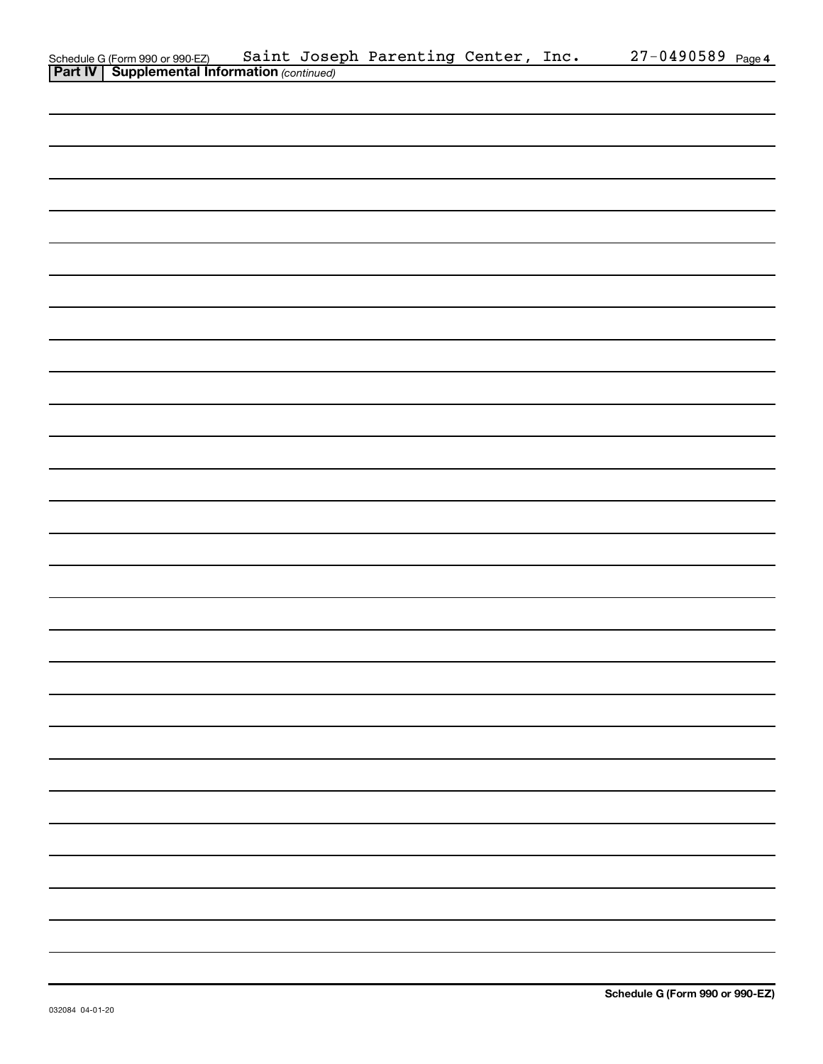|                                                                                                     | Saint Joseph Parenting Center, Inc. |  | $27 - 0490589$ Page 4 |  |
|-----------------------------------------------------------------------------------------------------|-------------------------------------|--|-----------------------|--|
| Schedule G (Form 990 or 990-EZ) Saint Jose<br><b>Part IV   Supplemental Information</b> (continued) |                                     |  |                       |  |
|                                                                                                     |                                     |  |                       |  |
|                                                                                                     |                                     |  |                       |  |
|                                                                                                     |                                     |  |                       |  |
|                                                                                                     |                                     |  |                       |  |
|                                                                                                     |                                     |  |                       |  |
|                                                                                                     |                                     |  |                       |  |
|                                                                                                     |                                     |  |                       |  |
|                                                                                                     |                                     |  |                       |  |
|                                                                                                     |                                     |  |                       |  |
|                                                                                                     |                                     |  |                       |  |
|                                                                                                     |                                     |  |                       |  |
|                                                                                                     |                                     |  |                       |  |
|                                                                                                     |                                     |  |                       |  |
|                                                                                                     |                                     |  |                       |  |
|                                                                                                     |                                     |  |                       |  |
|                                                                                                     |                                     |  |                       |  |
|                                                                                                     |                                     |  |                       |  |
|                                                                                                     |                                     |  |                       |  |
|                                                                                                     |                                     |  |                       |  |
|                                                                                                     |                                     |  |                       |  |
|                                                                                                     |                                     |  |                       |  |
|                                                                                                     |                                     |  |                       |  |
|                                                                                                     |                                     |  |                       |  |
|                                                                                                     |                                     |  |                       |  |
|                                                                                                     |                                     |  |                       |  |
|                                                                                                     |                                     |  |                       |  |
|                                                                                                     |                                     |  |                       |  |
|                                                                                                     |                                     |  |                       |  |
|                                                                                                     |                                     |  |                       |  |
|                                                                                                     |                                     |  |                       |  |
|                                                                                                     |                                     |  |                       |  |
|                                                                                                     |                                     |  |                       |  |
|                                                                                                     |                                     |  |                       |  |
|                                                                                                     |                                     |  |                       |  |
|                                                                                                     |                                     |  |                       |  |
|                                                                                                     |                                     |  |                       |  |
|                                                                                                     |                                     |  |                       |  |
|                                                                                                     |                                     |  |                       |  |
|                                                                                                     |                                     |  |                       |  |
|                                                                                                     |                                     |  |                       |  |
|                                                                                                     |                                     |  |                       |  |
|                                                                                                     |                                     |  |                       |  |
|                                                                                                     |                                     |  |                       |  |
|                                                                                                     |                                     |  |                       |  |
|                                                                                                     |                                     |  |                       |  |
|                                                                                                     |                                     |  |                       |  |
|                                                                                                     |                                     |  |                       |  |
|                                                                                                     |                                     |  |                       |  |
|                                                                                                     |                                     |  |                       |  |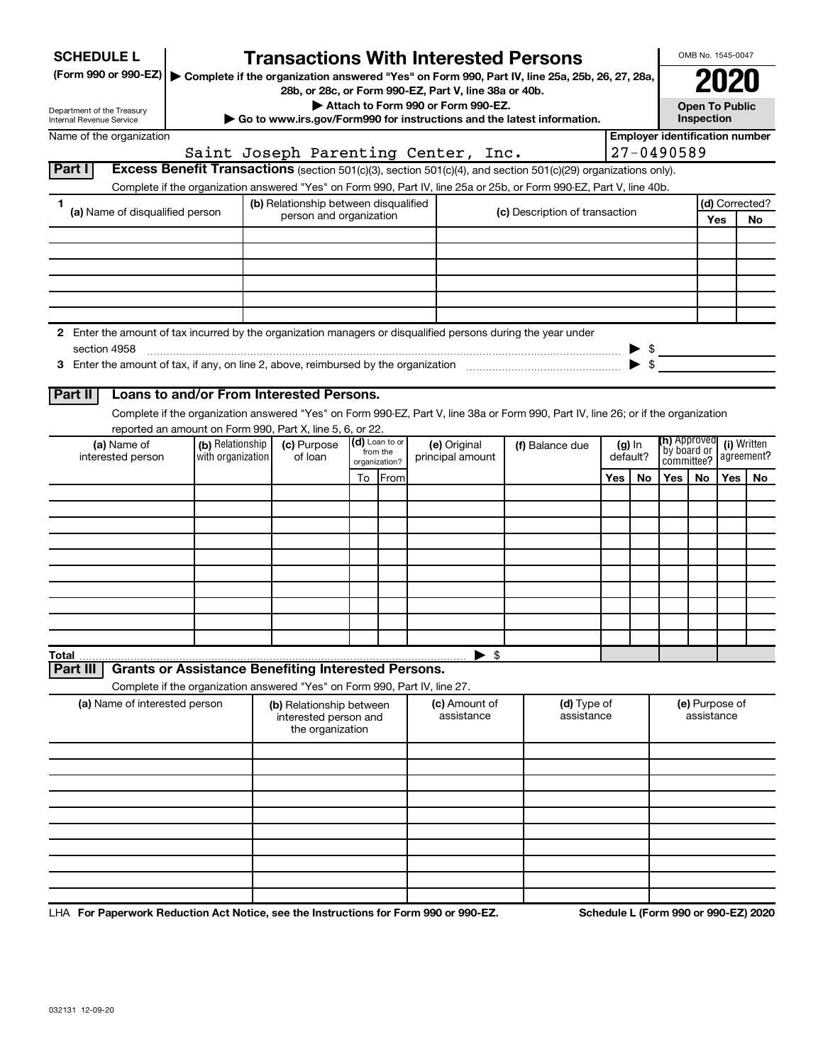| <b>SCHEDULE L</b>                                                                                                    |                                                                                                                                    |  | <b>Transactions With Interested Persons</b>                           |                           |                                    |  |                                                                        |     |                                                    |                                       |            | OMB No. 1545-0047     |                |  |
|----------------------------------------------------------------------------------------------------------------------|------------------------------------------------------------------------------------------------------------------------------------|--|-----------------------------------------------------------------------|---------------------------|------------------------------------|--|------------------------------------------------------------------------|-----|----------------------------------------------------|---------------------------------------|------------|-----------------------|----------------|--|
| (Form 990 or 990-EZ)   Complete if the organization answered "Yes" on Form 990, Part IV, line 25a, 25b, 26, 27, 28a, |                                                                                                                                    |  |                                                                       |                           |                                    |  |                                                                        |     |                                                    |                                       |            |                       |                |  |
|                                                                                                                      |                                                                                                                                    |  | 28b, or 28c, or Form 990-EZ, Part V, line 38a or 40b.                 |                           | Attach to Form 990 or Form 990-EZ. |  |                                                                        |     |                                                    |                                       |            | <b>Open To Public</b> |                |  |
| Department of the Treasury<br>Internal Revenue Service                                                               |                                                                                                                                    |  |                                                                       |                           |                                    |  | Go to www.irs.gov/Form990 for instructions and the latest information. |     |                                                    |                                       | Inspection |                       |                |  |
| Name of the organization                                                                                             |                                                                                                                                    |  |                                                                       |                           |                                    |  |                                                                        |     |                                                    | <b>Employer identification number</b> |            |                       |                |  |
| Part I                                                                                                               | Excess Benefit Transactions (section 501(c)(3), section 501(c)(4), and section 501(c)(29) organizations only).                     |  | Saint Joseph Parenting Center, Inc.                                   |                           |                                    |  |                                                                        |     |                                                    | 27-0490589                            |            |                       |                |  |
|                                                                                                                      | Complete if the organization answered "Yes" on Form 990, Part IV, line 25a or 25b, or Form 990-EZ, Part V, line 40b.               |  |                                                                       |                           |                                    |  |                                                                        |     |                                                    |                                       |            |                       |                |  |
| 1                                                                                                                    |                                                                                                                                    |  | (b) Relationship between disqualified                                 |                           |                                    |  |                                                                        |     |                                                    |                                       |            |                       | (d) Corrected? |  |
| (a) Name of disqualified person                                                                                      |                                                                                                                                    |  | person and organization                                               |                           |                                    |  | (c) Description of transaction                                         |     |                                                    |                                       |            | Yes                   | No             |  |
|                                                                                                                      |                                                                                                                                    |  |                                                                       |                           |                                    |  |                                                                        |     |                                                    |                                       |            |                       |                |  |
|                                                                                                                      |                                                                                                                                    |  |                                                                       |                           |                                    |  |                                                                        |     |                                                    |                                       |            |                       |                |  |
|                                                                                                                      |                                                                                                                                    |  |                                                                       |                           |                                    |  |                                                                        |     |                                                    |                                       |            |                       |                |  |
|                                                                                                                      |                                                                                                                                    |  |                                                                       |                           |                                    |  |                                                                        |     |                                                    |                                       |            |                       |                |  |
|                                                                                                                      |                                                                                                                                    |  |                                                                       |                           |                                    |  |                                                                        |     |                                                    |                                       |            |                       |                |  |
| 2 Enter the amount of tax incurred by the organization managers or disqualified persons during the year under        |                                                                                                                                    |  |                                                                       |                           |                                    |  |                                                                        |     |                                                    |                                       |            |                       |                |  |
| section 4958                                                                                                         |                                                                                                                                    |  |                                                                       |                           |                                    |  |                                                                        |     | $\blacktriangleright$ s<br>$\blacktriangleright$ s |                                       |            |                       |                |  |
|                                                                                                                      |                                                                                                                                    |  |                                                                       |                           |                                    |  |                                                                        |     |                                                    |                                       |            |                       |                |  |
| Part II                                                                                                              | Loans to and/or From Interested Persons.                                                                                           |  |                                                                       |                           |                                    |  |                                                                        |     |                                                    |                                       |            |                       |                |  |
|                                                                                                                      | Complete if the organization answered "Yes" on Form 990-EZ, Part V, line 38a or Form 990, Part IV, line 26; or if the organization |  |                                                                       |                           |                                    |  |                                                                        |     |                                                    |                                       |            |                       |                |  |
| (a) Name of                                                                                                          | reported an amount on Form 990, Part X, line 5, 6, or 22.<br>(b) Relationship                                                      |  | (c) Purpose                                                           | (d) Loan to or            | (e) Original                       |  | (f) Balance due                                                        |     | $(g)$ In                                           | <b>(h)</b> Approved                   |            |                       | (i) Written    |  |
| interested person                                                                                                    | with organization                                                                                                                  |  | of loan                                                               | from the<br>organization? | principal amount                   |  |                                                                        |     | default?                                           | `by board or<br>committee?            |            |                       | agreement?     |  |
|                                                                                                                      |                                                                                                                                    |  |                                                                       | To From                   |                                    |  |                                                                        | Yes | No                                                 | Yes                                   | No.        | <b>Yes</b>            | No             |  |
|                                                                                                                      |                                                                                                                                    |  |                                                                       |                           |                                    |  |                                                                        |     |                                                    |                                       |            |                       |                |  |
|                                                                                                                      |                                                                                                                                    |  |                                                                       |                           |                                    |  |                                                                        |     |                                                    |                                       |            |                       |                |  |
|                                                                                                                      |                                                                                                                                    |  |                                                                       |                           |                                    |  |                                                                        |     |                                                    |                                       |            |                       |                |  |
|                                                                                                                      |                                                                                                                                    |  |                                                                       |                           |                                    |  |                                                                        |     |                                                    |                                       |            |                       |                |  |
|                                                                                                                      |                                                                                                                                    |  |                                                                       |                           |                                    |  |                                                                        |     |                                                    |                                       |            |                       |                |  |
|                                                                                                                      |                                                                                                                                    |  |                                                                       |                           |                                    |  |                                                                        |     |                                                    |                                       |            |                       |                |  |
|                                                                                                                      |                                                                                                                                    |  |                                                                       |                           |                                    |  |                                                                        |     |                                                    |                                       |            |                       |                |  |
|                                                                                                                      |                                                                                                                                    |  |                                                                       |                           |                                    |  |                                                                        |     |                                                    |                                       |            |                       |                |  |
| Total                                                                                                                |                                                                                                                                    |  |                                                                       |                           | $\blacktriangleright$ \$           |  |                                                                        |     |                                                    |                                       |            |                       |                |  |
| Part II                                                                                                              | <b>Grants or Assistance Benefiting Interested Persons.</b>                                                                         |  |                                                                       |                           |                                    |  |                                                                        |     |                                                    |                                       |            |                       |                |  |
|                                                                                                                      | Complete if the organization answered "Yes" on Form 990, Part IV, line 27.                                                         |  |                                                                       |                           |                                    |  |                                                                        |     |                                                    |                                       |            |                       |                |  |
|                                                                                                                      | (a) Name of interested person                                                                                                      |  | (b) Relationship between<br>interested person and<br>the organization |                           | (c) Amount of<br>assistance        |  | (d) Type of<br>assistance                                              |     |                                                    |                                       | assistance | (e) Purpose of        |                |  |
|                                                                                                                      |                                                                                                                                    |  |                                                                       |                           |                                    |  |                                                                        |     |                                                    |                                       |            |                       |                |  |
|                                                                                                                      |                                                                                                                                    |  |                                                                       |                           |                                    |  |                                                                        |     |                                                    |                                       |            |                       |                |  |
|                                                                                                                      |                                                                                                                                    |  |                                                                       |                           |                                    |  |                                                                        |     |                                                    |                                       |            |                       |                |  |
|                                                                                                                      |                                                                                                                                    |  |                                                                       |                           |                                    |  |                                                                        |     |                                                    |                                       |            |                       |                |  |
|                                                                                                                      |                                                                                                                                    |  |                                                                       |                           |                                    |  |                                                                        |     |                                                    |                                       |            |                       |                |  |
|                                                                                                                      |                                                                                                                                    |  |                                                                       |                           |                                    |  |                                                                        |     |                                                    |                                       |            |                       |                |  |
|                                                                                                                      |                                                                                                                                    |  |                                                                       |                           |                                    |  |                                                                        |     |                                                    |                                       |            |                       |                |  |
|                                                                                                                      |                                                                                                                                    |  |                                                                       |                           |                                    |  |                                                                        |     |                                                    |                                       |            |                       |                |  |
|                                                                                                                      |                                                                                                                                    |  |                                                                       |                           |                                    |  |                                                                        |     |                                                    |                                       |            |                       |                |  |

LHA For Paperwork Reduction Act Notice, see the Instructions for Form 990 or 990-EZ. Schedule L (Form 990 or 990-EZ) 2020 ו-D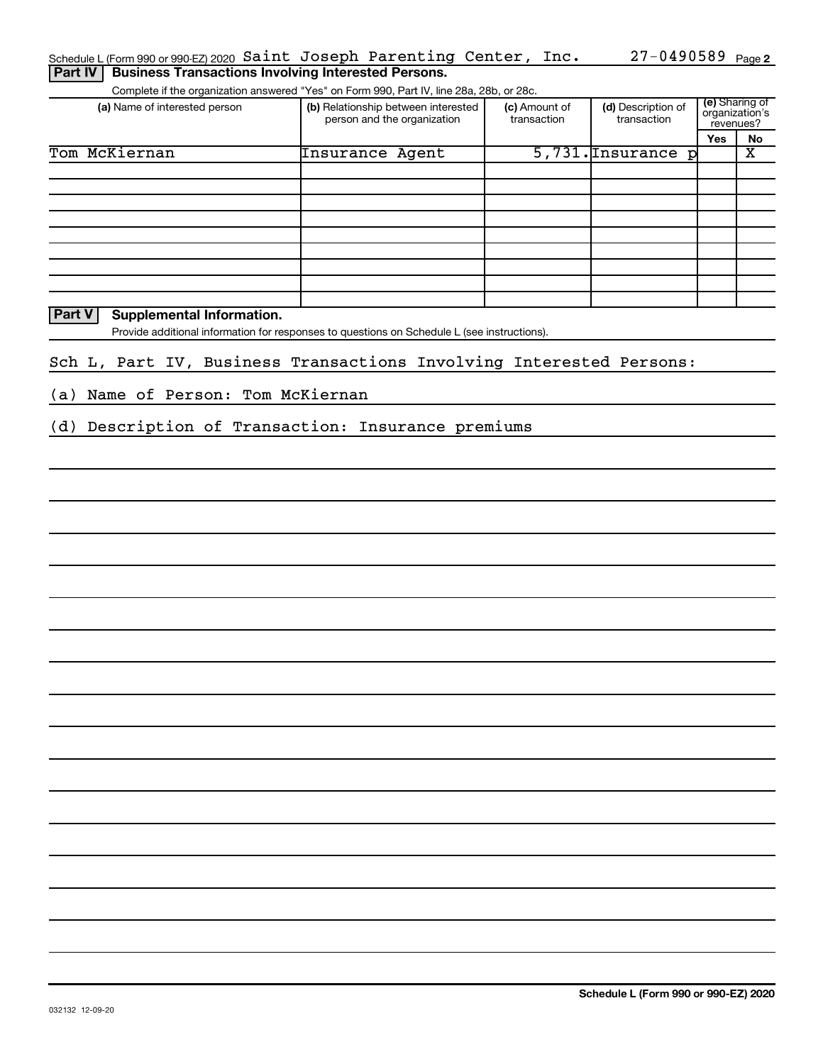| Schedule L (Form 990 or 990 EZ) 2020 Saint Joseph Parenting Center, Inc.                    |                                                                    |                              | $27 - 0490589$ Page 2             |            |                                               |
|---------------------------------------------------------------------------------------------|--------------------------------------------------------------------|------------------------------|-----------------------------------|------------|-----------------------------------------------|
| <b>Business Transactions Involving Interested Persons.</b><br>Part IV                       |                                                                    |                              |                                   |            |                                               |
| Complete if the organization answered "Yes" on Form 990, Part IV, line 28a, 28b, or 28c.    |                                                                    |                              |                                   |            |                                               |
| (a) Name of interested person                                                               | (b) Relationship between interested<br>person and the organization | (c) Amount of<br>transaction | (d) Description of<br>transaction |            | (e) Sharing of<br>organization's<br>revenues? |
|                                                                                             |                                                                    |                              |                                   | <b>Yes</b> | No                                            |
| Tom McKiernan                                                                               | Insurance Agent                                                    |                              | 5,731. Insurance p                |            | $\overline{\textbf{x}}$                       |
|                                                                                             |                                                                    |                              |                                   |            |                                               |
|                                                                                             |                                                                    |                              |                                   |            |                                               |
|                                                                                             |                                                                    |                              |                                   |            |                                               |
|                                                                                             |                                                                    |                              |                                   |            |                                               |
|                                                                                             |                                                                    |                              |                                   |            |                                               |
|                                                                                             |                                                                    |                              |                                   |            |                                               |
|                                                                                             |                                                                    |                              |                                   |            |                                               |
|                                                                                             |                                                                    |                              |                                   |            |                                               |
|                                                                                             |                                                                    |                              |                                   |            |                                               |
| Part V<br>Supplemental Information.                                                         |                                                                    |                              |                                   |            |                                               |
| Provide additional information for responses to questions on Schedule L (see instructions). |                                                                    |                              |                                   |            |                                               |
|                                                                                             |                                                                    |                              |                                   |            |                                               |
| Sch L, Part IV, Business Transactions Involving Interested Persons:                         |                                                                    |                              |                                   |            |                                               |
|                                                                                             |                                                                    |                              |                                   |            |                                               |
| (a) Name of Person: Tom McKiernan                                                           |                                                                    |                              |                                   |            |                                               |
|                                                                                             |                                                                    |                              |                                   |            |                                               |
| (d) Description of Transaction: Insurance premiums                                          |                                                                    |                              |                                   |            |                                               |
|                                                                                             |                                                                    |                              |                                   |            |                                               |
|                                                                                             |                                                                    |                              |                                   |            |                                               |
|                                                                                             |                                                                    |                              |                                   |            |                                               |
|                                                                                             |                                                                    |                              |                                   |            |                                               |
|                                                                                             |                                                                    |                              |                                   |            |                                               |
|                                                                                             |                                                                    |                              |                                   |            |                                               |
|                                                                                             |                                                                    |                              |                                   |            |                                               |
|                                                                                             |                                                                    |                              |                                   |            |                                               |
|                                                                                             |                                                                    |                              |                                   |            |                                               |
|                                                                                             |                                                                    |                              |                                   |            |                                               |
|                                                                                             |                                                                    |                              |                                   |            |                                               |
|                                                                                             |                                                                    |                              |                                   |            |                                               |
|                                                                                             |                                                                    |                              |                                   |            |                                               |
|                                                                                             |                                                                    |                              |                                   |            |                                               |
|                                                                                             |                                                                    |                              |                                   |            |                                               |
|                                                                                             |                                                                    |                              |                                   |            |                                               |
|                                                                                             |                                                                    |                              |                                   |            |                                               |
|                                                                                             |                                                                    |                              |                                   |            |                                               |
|                                                                                             |                                                                    |                              |                                   |            |                                               |
|                                                                                             |                                                                    |                              |                                   |            |                                               |
|                                                                                             |                                                                    |                              |                                   |            |                                               |
|                                                                                             |                                                                    |                              |                                   |            |                                               |
|                                                                                             |                                                                    |                              |                                   |            |                                               |
|                                                                                             |                                                                    |                              |                                   |            |                                               |
|                                                                                             |                                                                    |                              |                                   |            |                                               |
|                                                                                             |                                                                    |                              |                                   |            |                                               |
|                                                                                             |                                                                    |                              |                                   |            |                                               |
|                                                                                             |                                                                    |                              |                                   |            |                                               |
|                                                                                             |                                                                    |                              |                                   |            |                                               |
|                                                                                             |                                                                    |                              |                                   |            |                                               |
|                                                                                             |                                                                    |                              |                                   |            |                                               |
|                                                                                             |                                                                    |                              |                                   |            |                                               |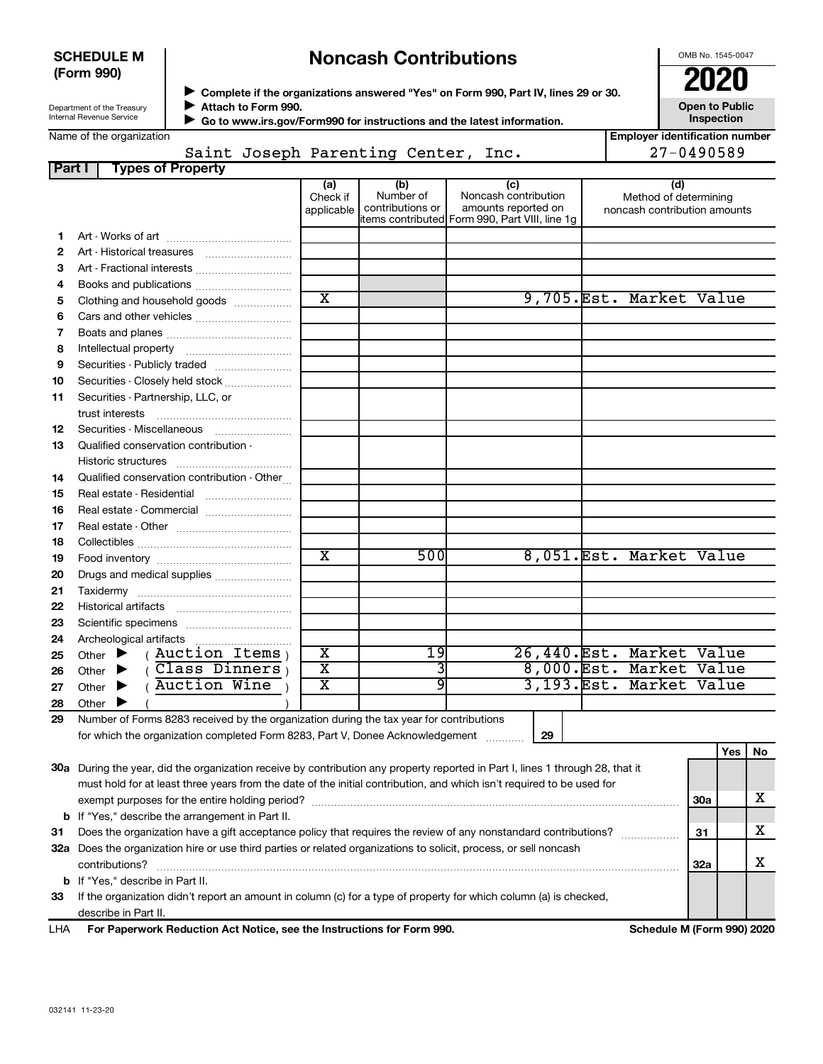| <b>SCHEDULE M</b> |  |
|-------------------|--|
| (Form 990)        |  |

# **Noncash Contributions**

OMB No. 1545-0047

**Employer identification number**

 $27 - 0490589$ 

| Department of the Treasury      |
|---------------------------------|
| <b>Internal Revenue Service</b> |

◆ Complete if the organizations answered "Yes" on Form 990, Part IV, lines 29 or 30.<br>● Complete if the organizations answered "Yes" on Form 990, Part IV, lines 29 or 30. **Attach to Form 990.** J

**Open to Public Inspection**

|  | Name of the organization |
|--|--------------------------|
|  |                          |

 **Go to www.irs.gov/Form990 for instructions and the latest information.** J

| e or the organization |  |                                     |  |  |
|-----------------------|--|-------------------------------------|--|--|
|                       |  | Saint Joseph Parenting Center, Inc. |  |  |

| Part I   | <b>Types of Property</b>                                                                                                       |                         |                  |                                                |                                                       |            |            |    |
|----------|--------------------------------------------------------------------------------------------------------------------------------|-------------------------|------------------|------------------------------------------------|-------------------------------------------------------|------------|------------|----|
|          |                                                                                                                                | (a)<br>Check if         | (b)<br>Number of | (c)<br>Noncash contribution                    | (d)                                                   |            |            |    |
|          |                                                                                                                                | applicable              | contributions or | amounts reported on                            | Method of determining<br>noncash contribution amounts |            |            |    |
|          |                                                                                                                                |                         |                  | items contributed Form 990, Part VIII, line 1g |                                                       |            |            |    |
| 1.       |                                                                                                                                |                         |                  |                                                |                                                       |            |            |    |
| 2        |                                                                                                                                |                         |                  |                                                |                                                       |            |            |    |
| З        | Art - Fractional interests                                                                                                     |                         |                  |                                                |                                                       |            |            |    |
| 4        | Books and publications                                                                                                         |                         |                  |                                                |                                                       |            |            |    |
| 5        | Clothing and household goods                                                                                                   | $\overline{\text{x}}$   |                  |                                                | 9,705.Est. Market Value                               |            |            |    |
| 6        |                                                                                                                                |                         |                  |                                                |                                                       |            |            |    |
| 7        |                                                                                                                                |                         |                  |                                                |                                                       |            |            |    |
| 8        |                                                                                                                                |                         |                  |                                                |                                                       |            |            |    |
| 9        |                                                                                                                                |                         |                  |                                                |                                                       |            |            |    |
| 10       | Securities - Closely held stock                                                                                                |                         |                  |                                                |                                                       |            |            |    |
| 11       | Securities - Partnership, LLC, or                                                                                              |                         |                  |                                                |                                                       |            |            |    |
|          | trust interests                                                                                                                |                         |                  |                                                |                                                       |            |            |    |
| 12<br>13 |                                                                                                                                |                         |                  |                                                |                                                       |            |            |    |
|          | Qualified conservation contribution -                                                                                          |                         |                  |                                                |                                                       |            |            |    |
| 14       | Qualified conservation contribution - Other                                                                                    |                         |                  |                                                |                                                       |            |            |    |
| 15       | Real estate - Residential                                                                                                      |                         |                  |                                                |                                                       |            |            |    |
| 16       | Real estate - Commercial                                                                                                       |                         |                  |                                                |                                                       |            |            |    |
| 17       |                                                                                                                                |                         |                  |                                                |                                                       |            |            |    |
| 18       |                                                                                                                                |                         |                  |                                                |                                                       |            |            |    |
| 19       |                                                                                                                                | $\overline{\mathtt{x}}$ | 500              |                                                | 8,051.Est. Market Value                               |            |            |    |
| 20       |                                                                                                                                |                         |                  |                                                |                                                       |            |            |    |
| 21       |                                                                                                                                |                         |                  |                                                |                                                       |            |            |    |
| 22       |                                                                                                                                |                         |                  |                                                |                                                       |            |            |    |
| 23       |                                                                                                                                |                         |                  |                                                |                                                       |            |            |    |
| 24       | Archeological artifacts                                                                                                        |                         |                  |                                                |                                                       |            |            |    |
| 25       | $(Auction$ Items<br>Other $\blacktriangleright$                                                                                | $\overline{\textbf{x}}$ | 19               |                                                | 26,440. Est. Market Value                             |            |            |    |
| 26       | $($ Class Dinners <sub>)</sub><br>Other $\blacktriangleright$                                                                  | $\overline{\mathtt{x}}$ | 3                |                                                | 8,000.Est. Market Value                               |            |            |    |
| 27       | (Auction Wine<br>Other<br>▸                                                                                                    | $\overline{\text{x}}$   | 9                |                                                | 3,193.Est. Market Value                               |            |            |    |
| 28       | Other $\blacktriangleright$                                                                                                    |                         |                  |                                                |                                                       |            |            |    |
| 29       | Number of Forms 8283 received by the organization during the tax year for contributions                                        |                         |                  |                                                |                                                       |            |            |    |
|          | for which the organization completed Form 8283, Part V, Donee Acknowledgement                                                  |                         |                  | 29                                             |                                                       |            |            |    |
|          |                                                                                                                                |                         |                  |                                                |                                                       |            | <b>Yes</b> | No |
|          | 30a During the year, did the organization receive by contribution any property reported in Part I, lines 1 through 28, that it |                         |                  |                                                |                                                       |            |            |    |
|          | must hold for at least three years from the date of the initial contribution, and which isn't required to be used for          |                         |                  |                                                |                                                       |            |            |    |
|          |                                                                                                                                |                         |                  |                                                |                                                       | <b>30a</b> |            | x  |
|          | <b>b</b> If "Yes," describe the arrangement in Part II.                                                                        |                         |                  |                                                |                                                       |            |            |    |
| 31       | Does the organization have a gift acceptance policy that requires the review of any nonstandard contributions?                 |                         |                  |                                                |                                                       | 31         |            | x  |

**32 a** Does the organization hire or use third parties or related organizations to solicit, process, or sell noncash **33** If the organization didn't report an amount in column (c) for a type of property for which column (a) is checked, **b** If "Yes," describe in Part II.  $\text{contributions?}$   $\ldots$   $\ldots$   $\ldots$   $\ldots$   $\ldots$   $\ldots$   $\ldots$   $\ldots$   $\ldots$   $\ldots$   $\ldots$   $\ldots$   $\ldots$   $\ldots$   $\ldots$   $\ldots$   $\ldots$   $\ldots$   $\ldots$   $\ldots$   $\ldots$   $\ldots$   $\ldots$   $\ldots$   $\ldots$   $\ldots$   $\ldots$   $\ldots$   $\ldots$   $\ldots$   $\ldots$   $\ldots$   $\ldots$   $\ldots$   $\ldots$  describe in Part II.

**For Paperwork Reduction Act Notice, see the Instructions for Form 990. Schedule M (Form 990) 2020** LHA

**32a**

X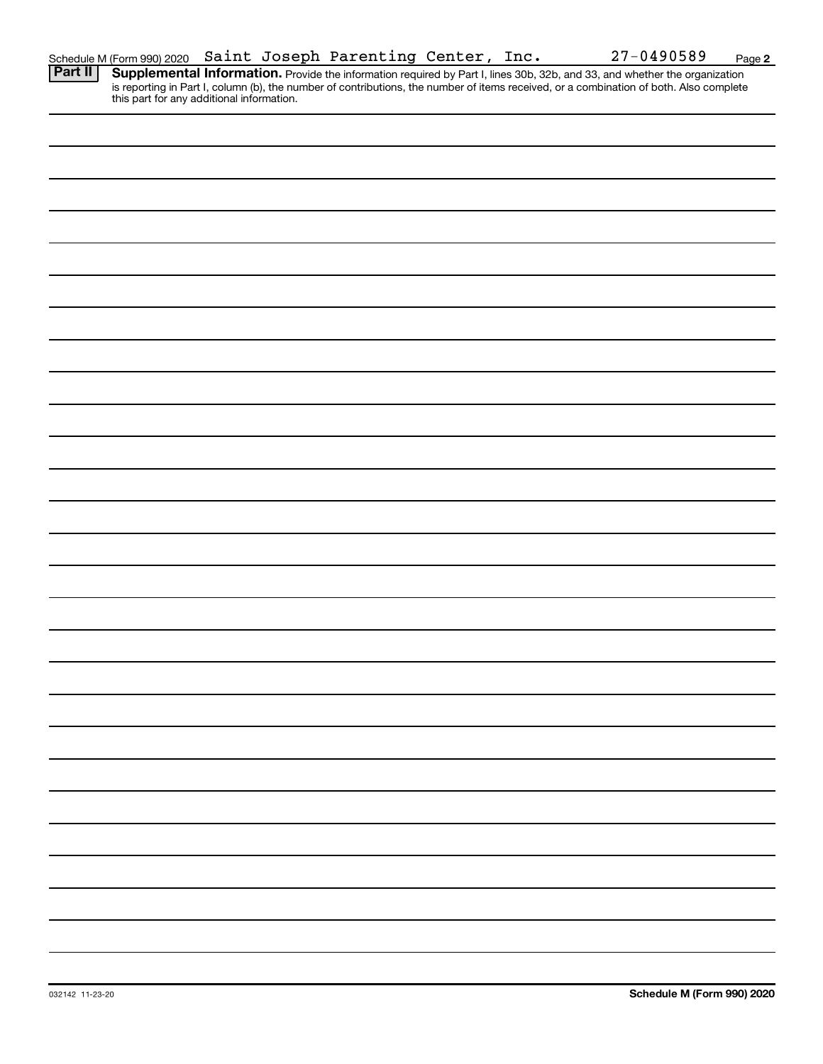| Schedule M (Form 990) 2020 Saint Joseph Parenting Center, Inc. |  |  |  |  |  |  | $27 - 0490589$ | Page |
|----------------------------------------------------------------|--|--|--|--|--|--|----------------|------|
|----------------------------------------------------------------|--|--|--|--|--|--|----------------|------|

Provide the information required by Part I, lines 30b, 32b, and 33, and whether the organization is reporting in Part I, column (b), the number of contributions, the number of items received, or a combination of both. Also complete this part for any additional information. **Part II Supplemental Information.**